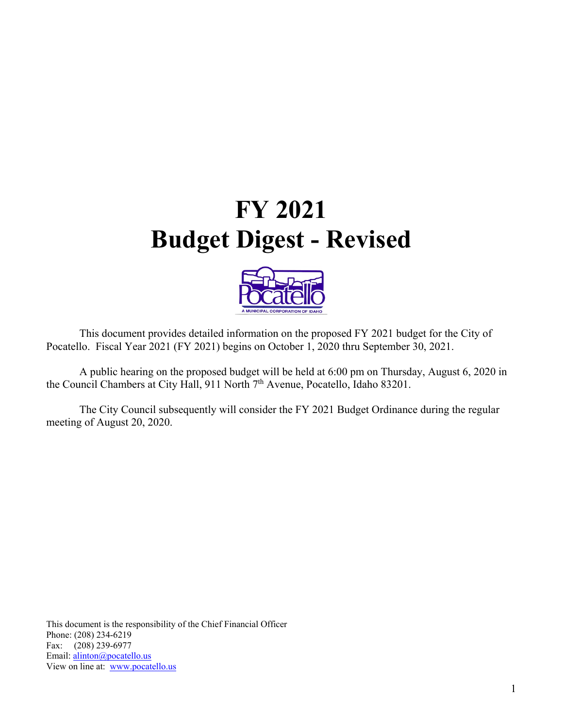# **FY 2021 Budget Digest - Revised**



 This document provides detailed information on the proposed FY 2021 budget for the City of Pocatello. Fiscal Year 2021 (FY 2021) begins on October 1, 2020 thru September 30, 2021.

 A public hearing on the proposed budget will be held at 6:00 pm on Thursday, August 6, 2020 in the Council Chambers at City Hall, 911 North 7th Avenue, Pocatello, Idaho 83201.

 The City Council subsequently will consider the FY 2021 Budget Ordinance during the regular meeting of August 20, 2020.

This document is the responsibility of the Chief Financial Officer Phone: (208) 234-6219 Fax: (208) 239-6977 Email: alinton@pocatello.us View on line at: www.pocatello.us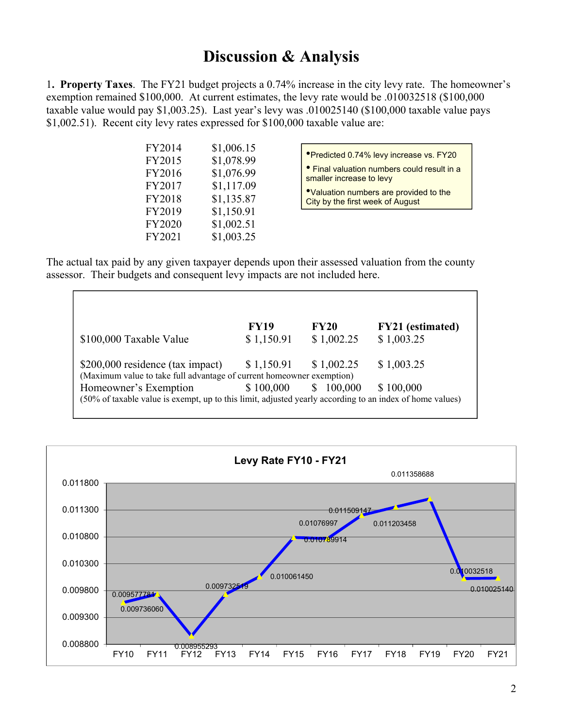### **Discussion & Analysis**

1**. Property Taxes**. The FY21 budget projects a 0.74% increase in the city levy rate. The homeowner's exemption remained \$100,000. At current estimates, the levy rate would be .010032518 (\$100,000 taxable value would pay \$1,003.25). Last year's levy was .010025140 (\$100,000 taxable value pays \$1,002.51). Recent city levy rates expressed for \$100,000 taxable value are:

| \$1,006.15 |
|------------|
| \$1,078.99 |
| \$1,076.99 |
| \$1,117.09 |
| \$1,135.87 |
| \$1,150.91 |
| \$1,002.51 |
| \$1,003.25 |
|            |

•Predicted 0.74% levy increase vs. FY20 • Final valuation numbers could result in a smaller increase to levy

•Valuation numbers are provided to the City by the first week of August

The actual tax paid by any given taxpayer depends upon their assessed valuation from the county assessor. Their budgets and consequent levy impacts are not included here.

|                                                                                                          | <b>FY19</b> | <b>FY20</b>   | <b>FY21</b> (estimated) |
|----------------------------------------------------------------------------------------------------------|-------------|---------------|-------------------------|
| \$100,000 Taxable Value                                                                                  | \$1,150.91  | \$1,002.25    | \$1,003.25              |
| \$200,000 residence (tax impact)                                                                         | \$1,150.91  | \$1,002.25    | \$1,003.25              |
| (Maximum value to take full advantage of current homeowner exemption)                                    |             |               |                         |
| Homeowner's Exemption                                                                                    | \$100,000   | 100,000<br>\$ | \$100,000               |
| (50% of taxable value is exempt, up to this limit, adjusted yearly according to an index of home values) |             |               |                         |

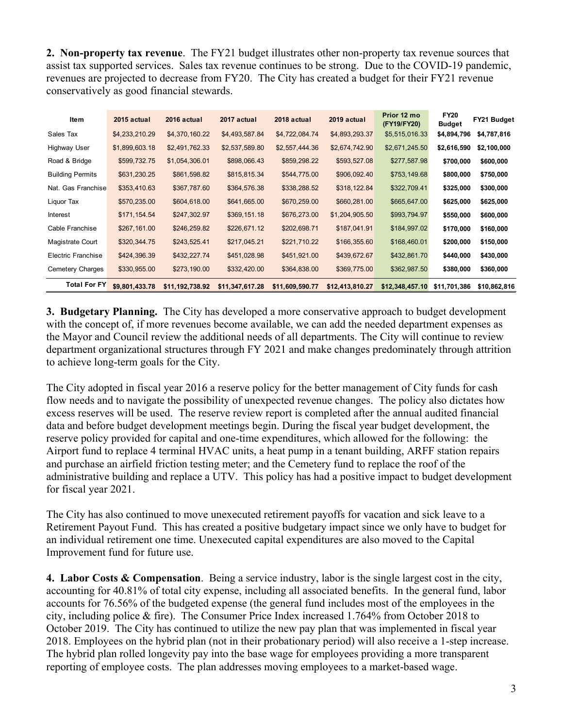**2. Non-property tax revenue**. The FY21 budget illustrates other non-property tax revenue sources that assist tax supported services. Sales tax revenue continues to be strong. Due to the COVID-19 pandemic, revenues are projected to decrease from FY20. The City has created a budget for their FY21 revenue conservatively as good financial stewards.

| ltem                    | 2015 actual    | 2016 actual     | 2017 actual     | 2018 actual     | 2019 actual     | Prior 12 mo<br>(FY19/FY20) | <b>FY20</b><br><b>Budget</b> | FY21 Budget  |
|-------------------------|----------------|-----------------|-----------------|-----------------|-----------------|----------------------------|------------------------------|--------------|
| Sales Tax               | \$4,233,210.29 | \$4,370,160.22  | \$4,493,587.84  | \$4,722,084.74  | \$4,893,293.37  | \$5,515,016.33             | \$4,894,796                  | \$4,787,816  |
| Highway User            | \$1,899,603.18 | \$2,491,762.33  | \$2,537,589.80  | \$2,557,444.36  | \$2,674,742.90  | \$2,671,245.50             | \$2,616,590                  | \$2,100,000  |
| Road & Bridge           | \$599,732.75   | \$1,054,306.01  | \$898,066.43    | \$859,298.22    | \$593,527.08    | \$277,587.98               | \$700,000                    | \$600,000    |
| <b>Building Permits</b> | \$631,230.25   | \$861,598.82    | \$815,815.34    | \$544,775.00    | \$906,092.40    | \$753,149.68               | \$800,000                    | \$750,000    |
| Nat. Gas Franchise      | \$353,410.63   | \$367,787.60    | \$364,576.38    | \$338,288.52    | \$318,122.84    | \$322,709.41               | \$325,000                    | \$300,000    |
| Liquor Tax              | \$570,235.00   | \$604,618.00    | \$641,665.00    | \$670,259.00    | \$660,281.00    | \$665,647.00               | \$625,000                    | \$625,000    |
| Interest                | \$171,154.54   | \$247,302.97    | \$369,151.18    | \$676,273.00    | \$1,204,905.50  | \$993,794.97               | \$550,000                    | \$600,000    |
| Cable Franchise         | \$267,161.00   | \$246,259.82    | \$226,671.12    | \$202,698.71    | \$187,041.91    | \$184,997.02               | \$170,000                    | \$160,000    |
| Magistrate Court        | \$320,344.75   | \$243,525.41    | \$217,045.21    | \$221,710.22    | \$166,355.60    | \$168,460.01               | \$200,000                    | \$150,000    |
| Electric Franchise      | \$424,396.39   | \$432,227.74    | \$451,028.98    | \$451,921.00    | \$439,672.67    | \$432,861.70               | \$440,000                    | \$430,000    |
| Cemetery Charges        | \$330,955.00   | \$273,190.00    | \$332,420.00    | \$364,838.00    | \$369,775.00    | \$362,987.50               | \$380,000                    | \$360,000    |
| <b>Total For FY</b>     | \$9,801,433.78 | \$11,192,738.92 | \$11,347,617.28 | \$11,609,590.77 | \$12,413,810.27 | \$12,348,457.10            | \$11,701,386                 | \$10,862,816 |

**3. Budgetary Planning.** The City has developed a more conservative approach to budget development with the concept of, if more revenues become available, we can add the needed department expenses as the Mayor and Council review the additional needs of all departments. The City will continue to review department organizational structures through FY 2021 and make changes predominately through attrition to achieve long-term goals for the City.

The City adopted in fiscal year 2016 a reserve policy for the better management of City funds for cash flow needs and to navigate the possibility of unexpected revenue changes. The policy also dictates how excess reserves will be used. The reserve review report is completed after the annual audited financial data and before budget development meetings begin. During the fiscal year budget development, the reserve policy provided for capital and one-time expenditures, which allowed for the following: the Airport fund to replace 4 terminal HVAC units, a heat pump in a tenant building, ARFF station repairs and purchase an airfield friction testing meter; and the Cemetery fund to replace the roof of the administrative building and replace a UTV. This policy has had a positive impact to budget development for fiscal year 2021.

The City has also continued to move unexecuted retirement payoffs for vacation and sick leave to a Retirement Payout Fund. This has created a positive budgetary impact since we only have to budget for an individual retirement one time. Unexecuted capital expenditures are also moved to the Capital Improvement fund for future use.

**4. Labor Costs & Compensation**. Being a service industry, labor is the single largest cost in the city, accounting for 40.81% of total city expense, including all associated benefits. In the general fund, labor accounts for 76.56% of the budgeted expense (the general fund includes most of the employees in the city, including police & fire). The Consumer Price Index increased 1.764% from October 2018 to October 2019. The City has continued to utilize the new pay plan that was implemented in fiscal year 2018. Employees on the hybrid plan (not in their probationary period) will also receive a 1-step increase. The hybrid plan rolled longevity pay into the base wage for employees providing a more transparent reporting of employee costs. The plan addresses moving employees to a market-based wage.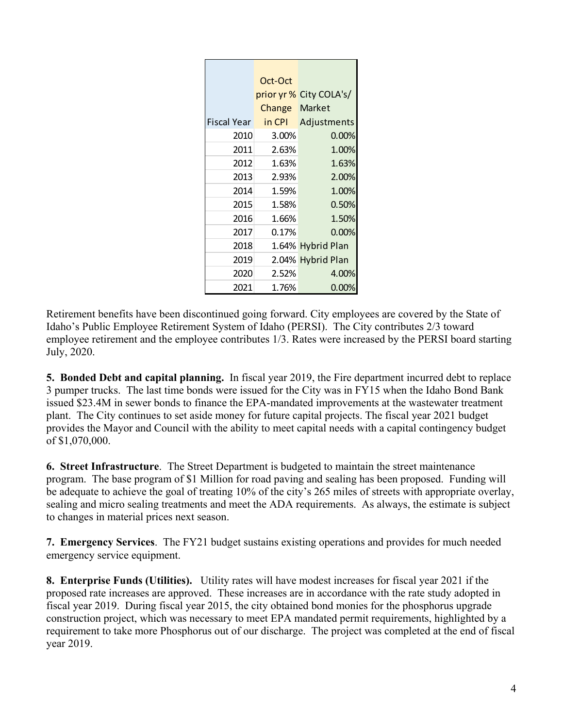|             | Oct-Oct |                         |
|-------------|---------|-------------------------|
|             |         | prior yr % City COLA's/ |
|             | Change  | Market                  |
| Fiscal Year | in CPI  | Adjustments             |
| 2010        | 3.00%   | $0.00\%$                |
| 2011        | 2.63%   | 1.00%                   |
| 2012        | 1.63%   | 1.63%                   |
| 2013        | 2.93%   | 2.00%                   |
| 2014        | 1.59%   | 1.00%                   |
| 2015        | 1.58%   | 0.50%                   |
| 2016        | 1.66%   | 1.50%                   |
| 2017        | 0.17%   | 0.00%                   |
| 2018        |         | 1.64% Hybrid Plan       |
| 2019        |         | 2.04% Hybrid Plan       |
| 2020        | 2.52%   | 4.00%                   |
| 2021        | 1.76%   | 0.00%                   |

Retirement benefits have been discontinued going forward. City employees are covered by the State of Idaho's Public Employee Retirement System of Idaho (PERSI). The City contributes 2/3 toward employee retirement and the employee contributes 1/3. Rates were increased by the PERSI board starting July, 2020.

**5. Bonded Debt and capital planning.** In fiscal year 2019, the Fire department incurred debt to replace 3 pumper trucks. The last time bonds were issued for the City was in FY15 when the Idaho Bond Bank issued \$23.4M in sewer bonds to finance the EPA-mandated improvements at the wastewater treatment plant. The City continues to set aside money for future capital projects. The fiscal year 2021 budget provides the Mayor and Council with the ability to meet capital needs with a capital contingency budget of \$1,070,000.

**6. Street Infrastructure**. The Street Department is budgeted to maintain the street maintenance program. The base program of \$1 Million for road paving and sealing has been proposed. Funding will be adequate to achieve the goal of treating 10% of the city's 265 miles of streets with appropriate overlay, sealing and micro sealing treatments and meet the ADA requirements. As always, the estimate is subject to changes in material prices next season.

**7. Emergency Services**. The FY21 budget sustains existing operations and provides for much needed emergency service equipment.

**8. Enterprise Funds (Utilities).** Utility rates will have modest increases for fiscal year 2021 if the proposed rate increases are approved. These increases are in accordance with the rate study adopted in fiscal year 2019. During fiscal year 2015, the city obtained bond monies for the phosphorus upgrade construction project, which was necessary to meet EPA mandated permit requirements, highlighted by a requirement to take more Phosphorus out of our discharge. The project was completed at the end of fiscal year 2019.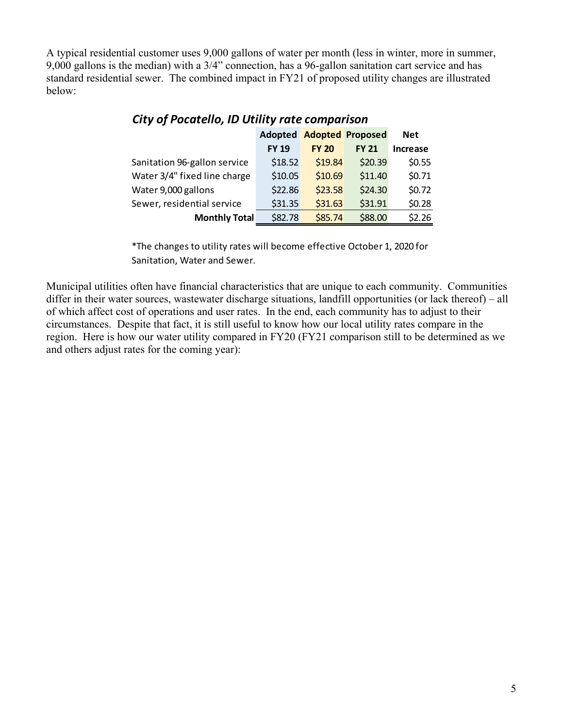A typical residential customer uses 9,000 gallons of water per month (less in winter, more in summer, 9,000 gallons is the median) with a 3/4" connection, has a 96-gallon sanitation cart service and has standard residential sewer. The combined impact in FY21 of proposed utility changes are illustrated below:

|                              | Adopted      |              | <b>Adopted Proposed</b> | <b>Net</b>      |
|------------------------------|--------------|--------------|-------------------------|-----------------|
|                              | <b>FY 19</b> | <b>FY 20</b> | <b>FY 21</b>            | <b>Increase</b> |
| Sanitation 96-gallon service | \$18.52      | \$19.84      | \$20.39                 | \$0.55          |
| Water 3/4" fixed line charge | \$10.05      | \$10.69      | \$11.40                 | \$0.71          |
| Water 9,000 gallons          | \$22.86      | \$23.58      | \$24.30                 | \$0.72          |
| Sewer, residential service   | \$31.35      | \$31.63      | \$31.91                 | \$0.28\$        |
| <b>Monthly Total</b>         | \$82.78      | \$85.74      | \$88.00                 | \$2.26          |

#### *City of Pocatello, ID Utility rate comparison*

\*The changes to utility rates will become effective October 1, 2020 for Sanitation, Water and Sewer.

Municipal utilities often have financial characteristics that are unique to each community. Communities differ in their water sources, wastewater discharge situations, landfill opportunities (or lack thereof) – all of which affect cost of operations and user rates. In the end, each community has to adjust to their circumstances. Despite that fact, it is still useful to know how our local utility rates compare in the region. Here is how our water utility compared in FY20 (FY21 comparison still to be determined as we and others adjust rates for the coming year):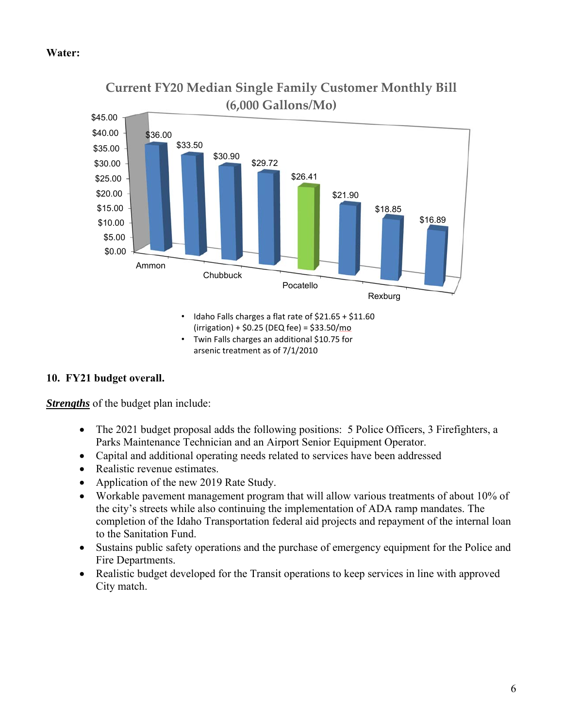#### **Water:**



**Current FY20 Median Single Family Customer Monthly Bill**

#### **10. FY21 budget overall.**

*Strengths* of the budget plan include:

- The 2021 budget proposal adds the following positions: 5 Police Officers, 3 Firefighters, a Parks Maintenance Technician and an Airport Senior Equipment Operator.
- Capital and additional operating needs related to services have been addressed
- Realistic revenue estimates.
- Application of the new 2019 Rate Study.
- Workable pavement management program that will allow various treatments of about 10% of the city's streets while also continuing the implementation of ADA ramp mandates. The completion of the Idaho Transportation federal aid projects and repayment of the internal loan to the Sanitation Fund.
- Sustains public safety operations and the purchase of emergency equipment for the Police and Fire Departments.
- Realistic budget developed for the Transit operations to keep services in line with approved City match.

 $(irrigation) + $0.25 (DEQ fee) = $33.50/mol$ • Twin Falls charges an additional \$10.75 for

arsenic treatment as of 7/1/2010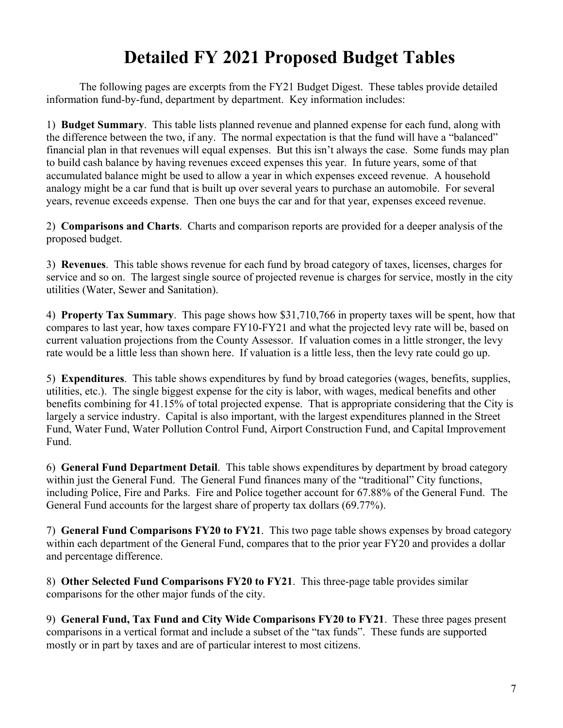## **Detailed FY 2021 Proposed Budget Tables**

 The following pages are excerpts from the FY21 Budget Digest. These tables provide detailed information fund-by-fund, department by department. Key information includes:

1) **Budget Summary**. This table lists planned revenue and planned expense for each fund, along with the difference between the two, if any. The normal expectation is that the fund will have a "balanced" financial plan in that revenues will equal expenses. But this isn't always the case. Some funds may plan to build cash balance by having revenues exceed expenses this year. In future years, some of that accumulated balance might be used to allow a year in which expenses exceed revenue. A household analogy might be a car fund that is built up over several years to purchase an automobile. For several years, revenue exceeds expense. Then one buys the car and for that year, expenses exceed revenue.

2) **Comparisons and Charts**. Charts and comparison reports are provided for a deeper analysis of the proposed budget.

3) **Revenues**. This table shows revenue for each fund by broad category of taxes, licenses, charges for service and so on. The largest single source of projected revenue is charges for service, mostly in the city utilities (Water, Sewer and Sanitation).

4) **Property Tax Summary**. This page shows how \$31,710,766 in property taxes will be spent, how that compares to last year, how taxes compare FY10-FY21 and what the projected levy rate will be, based on current valuation projections from the County Assessor. If valuation comes in a little stronger, the levy rate would be a little less than shown here. If valuation is a little less, then the levy rate could go up.

5) **Expenditures**. This table shows expenditures by fund by broad categories (wages, benefits, supplies, utilities, etc.). The single biggest expense for the city is labor, with wages, medical benefits and other benefits combining for 41.15% of total projected expense. That is appropriate considering that the City is largely a service industry. Capital is also important, with the largest expenditures planned in the Street Fund, Water Fund, Water Pollution Control Fund, Airport Construction Fund, and Capital Improvement Fund.

6) **General Fund Department Detail**. This table shows expenditures by department by broad category within just the General Fund. The General Fund finances many of the "traditional" City functions, including Police, Fire and Parks. Fire and Police together account for 67.88% of the General Fund. The General Fund accounts for the largest share of property tax dollars (69.77%).

7) **General Fund Comparisons FY20 to FY21**. This two page table shows expenses by broad category within each department of the General Fund, compares that to the prior year FY20 and provides a dollar and percentage difference.

8) **Other Selected Fund Comparisons FY20 to FY21**. This three-page table provides similar comparisons for the other major funds of the city.

9) **General Fund, Tax Fund and City Wide Comparisons FY20 to FY21**. These three pages present comparisons in a vertical format and include a subset of the "tax funds". These funds are supported mostly or in part by taxes and are of particular interest to most citizens.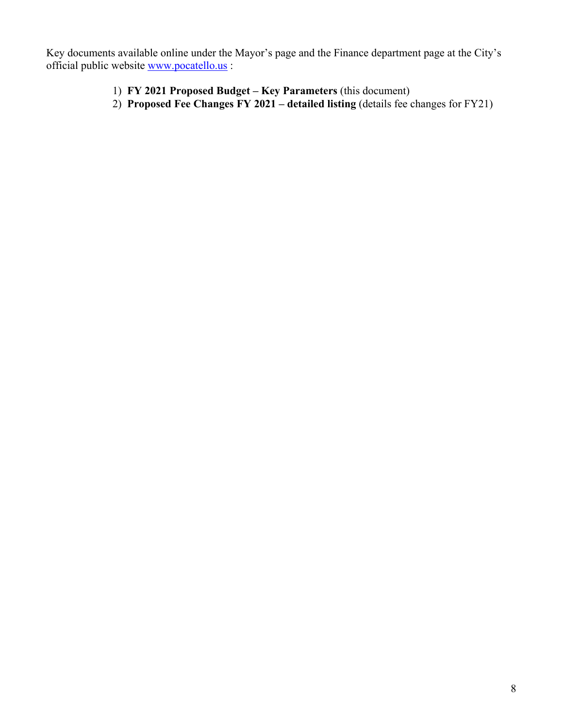Key documents available online under the Mayor's page and the Finance department page at the City's official public website www.pocatello.us :

- 1) **FY 2021 Proposed Budget Key Parameters** (this document)
- 2) **Proposed Fee Changes FY 2021 detailed listing** (details fee changes for FY21)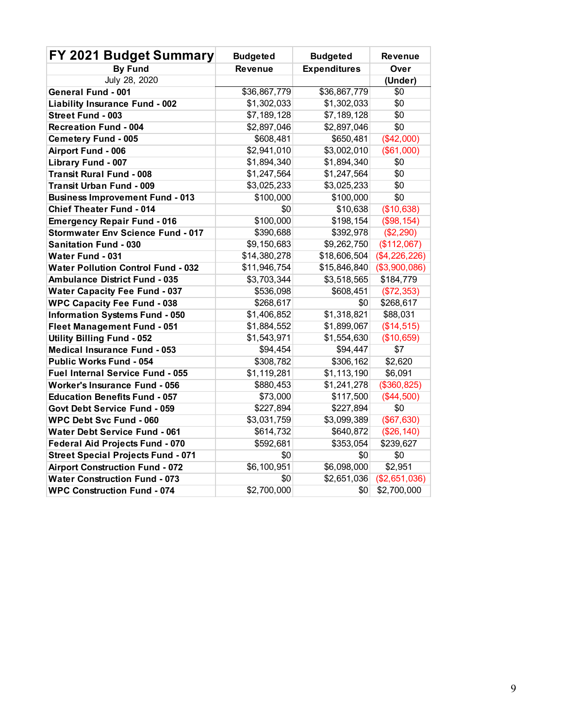| FY 2021 Budget Summary                    | <b>Budgeted</b>        | <b>Budgeted</b>     | <b>Revenue</b> |  |  |
|-------------------------------------------|------------------------|---------------------|----------------|--|--|
| <b>By Fund</b>                            | <b>Revenue</b>         | <b>Expenditures</b> | Over           |  |  |
| July 28, 2020                             |                        |                     | (Under)        |  |  |
| <b>General Fund - 001</b>                 | \$36,867,779           | \$36,867,779        | \$0            |  |  |
| <b>Liability Insurance Fund - 002</b>     | \$1,302,033            | \$1,302,033         | \$0            |  |  |
| Street Fund - 003                         | \$7,189,128            | \$7,189,128         | \$0            |  |  |
| <b>Recreation Fund - 004</b>              | \$2,897,046            | \$2,897,046         | \$0            |  |  |
| <b>Cemetery Fund - 005</b>                | \$608,481              | \$650,481           | (\$42,000)     |  |  |
| Airport Fund - 006                        | \$2,941,010            | \$3,002,010         | (\$61,000)     |  |  |
| Library Fund - 007                        | $\overline{1,894,340}$ | \$1,894,340         | \$0            |  |  |
| <b>Transit Rural Fund - 008</b>           | \$1,247,564            | \$1,247,564         | \$0            |  |  |
| <b>Transit Urban Fund - 009</b>           | \$3,025,233            | \$3,025,233         | \$0            |  |  |
| <b>Business Improvement Fund - 013</b>    | \$100,000              | \$100,000           | \$0            |  |  |
| <b>Chief Theater Fund - 014</b>           | \$0                    | \$10,638            | (\$10,638)     |  |  |
| <b>Emergency Repair Fund - 016</b>        | \$100,000              | \$198,154           | (\$98,154)     |  |  |
| <b>Stormwater Env Science Fund - 017</b>  | \$390,688              | \$392,978           | (\$2,290)      |  |  |
| <b>Sanitation Fund - 030</b>              | \$9,150,683            | \$9,262,750         | (\$112,067)    |  |  |
| <b>Water Fund - 031</b>                   | \$14,380,278           | \$18,606,504        | (\$4,226,226)  |  |  |
| <b>Water Pollution Control Fund - 032</b> | \$11,946,754           | \$15,846,840        | (\$3,900,086)  |  |  |
| <b>Ambulance District Fund - 035</b>      | \$3,703,344            | \$3,518,565         | \$184,779      |  |  |
| <b>Water Capacity Fee Fund - 037</b>      | \$536,098              | \$608,451           | (\$72,353)     |  |  |
| <b>WPC Capacity Fee Fund - 038</b>        | \$268,617              | \$0                 | \$268,617      |  |  |
| <b>Information Systems Fund - 050</b>     | \$1,406,852            | \$1,318,821         | \$88,031       |  |  |
| <b>Fleet Management Fund - 051</b>        | \$1,884,552            | \$1,899,067         | (\$14,515)     |  |  |
| <b>Utility Billing Fund - 052</b>         | \$1,543,971            | \$1,554,630         | (\$10,659)     |  |  |
| <b>Medical Insurance Fund - 053</b>       | \$94,454               | \$94,447            | \$7            |  |  |
| <b>Public Works Fund - 054</b>            | \$308,782              | \$306,162           | \$2,620        |  |  |
| Fuel Internal Service Fund - 055          | \$1,119,281            | \$1,113,190         | \$6,091        |  |  |
| <b>Worker's Insurance Fund - 056</b>      | \$880,453              | \$1,241,278         | (\$360, 825)   |  |  |
| <b>Education Benefits Fund - 057</b>      | \$73,000               | \$117,500           | (\$44,500)     |  |  |
| Govt Debt Service Fund - 059              | \$227,894              | \$227,894           | \$0            |  |  |
| <b>WPC Debt Svc Fund - 060</b>            | \$3,031,759            | \$3,099,389         | (\$67,630)     |  |  |
| <b>Water Debt Service Fund - 061</b>      | \$614,732              | \$640,872           | (\$26,140)     |  |  |
| <b>Federal Aid Projects Fund - 070</b>    | \$592,681              | \$353,054           | \$239,627      |  |  |
| <b>Street Special Projects Fund - 071</b> | \$0                    | \$0                 | \$0            |  |  |
| <b>Airport Construction Fund - 072</b>    | \$6,100,951            | \$6,098,000         | \$2,951        |  |  |
| <b>Water Construction Fund - 073</b>      | \$0                    | \$2,651,036         | (\$2,651,036)  |  |  |
| <b>WPC Construction Fund - 074</b>        | \$2,700,000            | \$0                 | \$2,700,000    |  |  |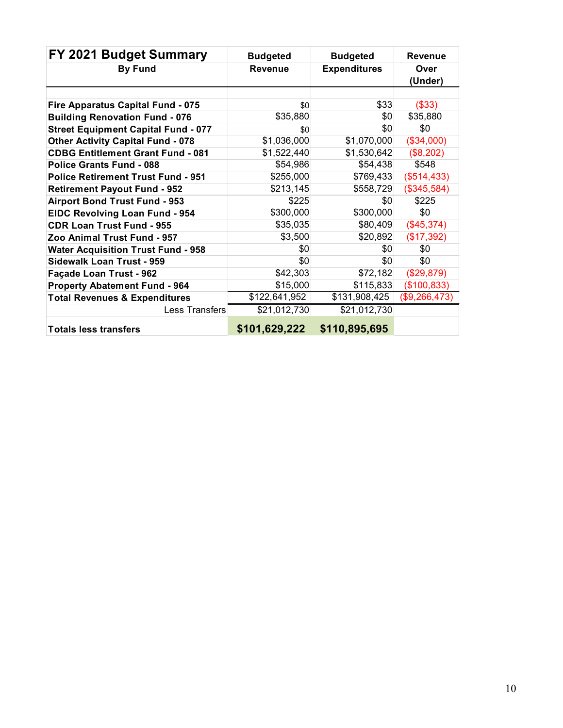| FY 2021 Budget Summary                     | <b>Budgeted</b> | <b>Budgeted</b>     | <b>Revenue</b> |
|--------------------------------------------|-----------------|---------------------|----------------|
| <b>By Fund</b>                             | <b>Revenue</b>  | <b>Expenditures</b> | Over           |
|                                            |                 |                     | (Under)        |
|                                            |                 |                     |                |
| Fire Apparatus Capital Fund - 075          | \$0             | \$33                | (\$33)         |
| <b>Building Renovation Fund - 076</b>      | \$35,880        | \$0                 | \$35,880       |
| <b>Street Equipment Capital Fund - 077</b> | \$0             | \$0                 | \$0            |
| <b>Other Activity Capital Fund - 078</b>   | \$1,036,000     | \$1,070,000         | (\$34,000)     |
| <b>CDBG Entitlement Grant Fund - 081</b>   | \$1,522,440     | \$1,530,642         | (\$8,202)      |
| <b>Police Grants Fund - 088</b>            | \$54,986        | \$54,438            | \$548          |
| <b>Police Retirement Trust Fund - 951</b>  | \$255,000       | \$769,433           | (\$514,433)    |
| <b>Retirement Payout Fund - 952</b>        | \$213,145       | \$558,729           | (\$345,584)    |
| <b>Airport Bond Trust Fund - 953</b>       | \$225           | \$0                 | \$225          |
| <b>EIDC Revolving Loan Fund - 954</b>      | \$300,000       | \$300,000           | \$0            |
| <b>CDR Loan Trust Fund - 955</b>           | \$35,035        | \$80,409            | (\$45,374)     |
| Zoo Animal Trust Fund - 957                | \$3,500         | \$20,892            | (\$17,392)     |
| <b>Water Acquisition Trust Fund - 958</b>  | \$0             | \$0                 | \$0            |
| <b>Sidewalk Loan Trust - 959</b>           | \$0             | \$0                 | \$0            |
| Façade Loan Trust - 962                    | \$42,303        | \$72,182            | (\$29,879)     |
| <b>Property Abatement Fund - 964</b>       | \$15,000        | \$115,833           | (\$100, 833)   |
| <b>Total Revenues &amp; Expenditures</b>   | \$122,641,952   | \$131,908,425       | (\$9,266,473)  |
| Less Transfers                             | \$21,012,730    | \$21,012,730        |                |
| <b>Totals less transfers</b>               | \$101,629,222   | \$110,895,695       |                |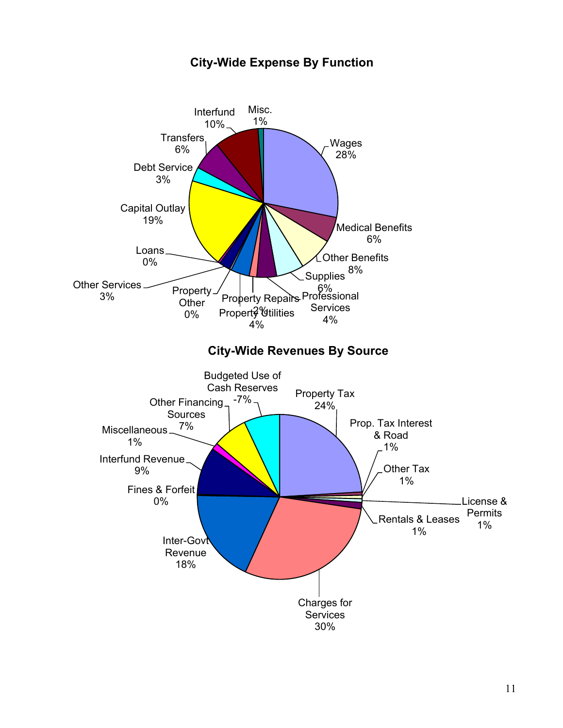

#### **City-Wide Expense By Function**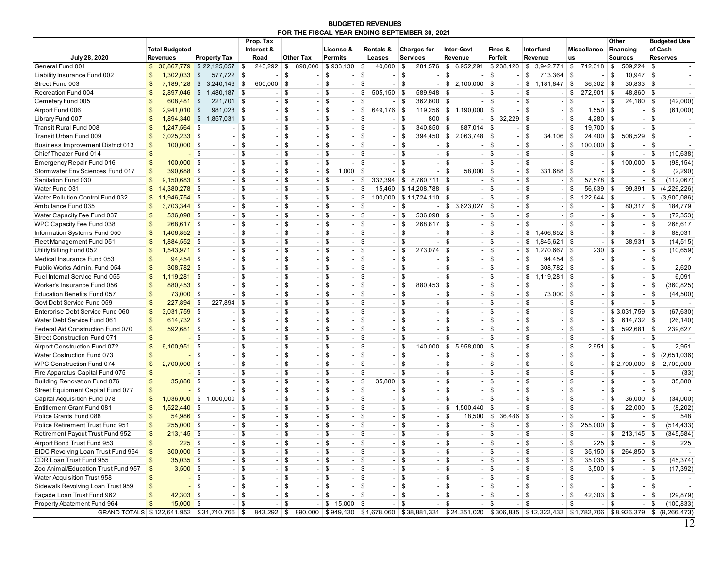| <b>BUDGETED REVENUES</b><br>FOR THE FISCAL YEAR ENDING SEPTEMBER 30, 2021 |                       |                          |                               |              |                          |                                |                    |                       |                          |                                      |            |                                |                                |         |                |          |                          |          |                          |                                                                                                                       |
|---------------------------------------------------------------------------|-----------------------|--------------------------|-------------------------------|--------------|--------------------------|--------------------------------|--------------------|-----------------------|--------------------------|--------------------------------------|------------|--------------------------------|--------------------------------|---------|----------------|----------|--------------------------|----------|--------------------------|-----------------------------------------------------------------------------------------------------------------------|
|                                                                           |                       |                          |                               |              |                          |                                |                    |                       |                          |                                      |            |                                |                                |         |                |          |                          |          |                          |                                                                                                                       |
|                                                                           |                       |                          |                               | Prop. Tax    |                          |                                |                    |                       |                          |                                      |            |                                |                                |         |                |          |                          | Other    |                          | <b>Budgeted Use</b>                                                                                                   |
|                                                                           | <b>Total Budgeted</b> |                          |                               | Interest &   |                          |                                | License &          |                       | Rentals &                | <b>Charges for</b>                   |            | Inter-Govt                     | Fines &                        |         | Interfund      |          | Miscellaneo              |          | <b>Financing</b>         | of Cash                                                                                                               |
| July 28, 2020                                                             | <b>Revenues</b>       |                          | <b>Property Tax</b>           | Road         |                          | <b>Other Tax</b>               | Permits            |                       | Leases                   | <b>Services</b>                      |            | Revenue                        | <b>Forfeit</b>                 |         | Revenue        | us       |                          |          | <b>Sources</b>           | <b>Reserves</b>                                                                                                       |
| General Fund 001                                                          | \$                    | 36,867,779               | $$22,125,057$ \$              | 243,292      |                          | 890,000<br>\$                  | \$933,130          | \$                    | 40,000                   | <b>\$</b><br>281,576                 |            | 6,952,291<br>\$                | \$238,120                      | \$      | 3,942,771      | \$       | 712,318                  | \$       | 509,224                  | \$<br>$\sim$                                                                                                          |
| Liability Insurance Fund 002                                              | \$                    | 1,302,033                | $\sqrt{3}$<br>577,722 \$      |              |                          | \$<br>$\sim$ 1                 | \$                 | \$<br>$\sim$          | - 1                      | \$<br>$\overline{\phantom{a}}$       |            | \$                             | \$                             | \$      | 713,364 \$     |          | $\overline{\phantom{a}}$ | \$       | 10,947                   | \$<br>$\blacksquare$                                                                                                  |
| Street Fund 003                                                           | \$                    | 7,189,128                | $\sqrt{3}$<br>3,240,146 \$    | 600,000 \$   |                          |                                | $-$ \$             | \$<br>$\sim$ 1        |                          | $-1$ \$                              | $-$ \$     | $2,100,000$ \$                 |                                | $-1$ \$ | $1,181,847$ \$ |          | $36,302$ \$              |          | $30,833$ \$              |                                                                                                                       |
| Recreation Fund 004                                                       | $\mathfrak{s}$        | 2,897,046                | $\sqrt{3}$<br>1,480,187 \$    |              | \$<br>- 1                | $\sim$ 1                       | \$                 | \$<br>$\sim$          | $505,150$ \$             | 589,948 \$                           |            |                                | $-1$ \$                        | $-1$ \$ |                | $-$ \$   | $272,901$ \$             |          | 48,860 \$                | $\sim$ 1                                                                                                              |
| Cemetery Fund 005                                                         | $\mathfrak{s}$        | 608,481 \$               | 221,701 \$                    |              | $\overline{\phantom{a}}$ | \$<br>$\sim$ 1                 | <b>S</b>           | \$<br>$\sim$ 1        |                          | $-1$ \$<br>$362,600$ \$              |            |                                | $-1$ \$                        | $-1$ \$ |                | $-1$ \$  |                          | $-1$ \$  | $24,180$ \$              | (42,000)                                                                                                              |
| Airport Fund 006                                                          | $\mathfrak{s}$        | 2,941,010                | $\frac{1}{2}$<br>981,028 \$   |              | $\overline{\phantom{a}}$ | \$<br>$\sim$                   | \$                 | \$                    | $649,176$ \$             | 119,256                              |            | $\frac{1}{2}$ 1,190,000        | $\vert$ \$                     | $-1$ \$ |                | \$       | $1,550$ \$               |          | - 1                      | \$<br>(61,000)                                                                                                        |
| Library Fund 007                                                          | \$                    | 1,894,340                | $$1,857,031$ \$               |              | $\overline{\phantom{a}}$ | \$<br>$\sim$                   | \$                 | -\$<br>$\sim$         |                          | -8<br>800                            | \$         |                                | $-1$ \$<br>$32.229$ \$         |         | $\sim$         | <b>S</b> | $4,280$ \ \$             |          | $\sim$                   | \$<br>$\sim$ .                                                                                                        |
| Transit Rural Fund 008                                                    | $\mathfrak{s}$        | 1,247,564                | $-$ \$<br><b>\$</b>           |              | $\overline{\phantom{a}}$ | \$<br>$\sim$ 1                 | \$                 | \$<br>$\sim$ 1        | $\sim$                   | $\overline{\$}$<br>340,850           | <b>S</b>   | 887,014 \$                     |                                | $-1$ \$ |                | $-1$ \$  | $19,700$ \$              |          | $\overline{\phantom{a}}$ | \$                                                                                                                    |
| Transit Urban Fund 009                                                    | \$                    | $3,025,233$ \$           | $-$ \$                        |              | $\overline{\phantom{a}}$ | \$<br>$\sim$ 1                 | \$                 | \$<br>$\sim$ 1        |                          | $-1$ \$                              |            | 394,450 \$ 2,063,748 \$        |                                | $-1$ \$ | $34,106$ \$    |          | $24,400$ \$              |          | $508,529$ \$             |                                                                                                                       |
| Business Improvement District 013                                         | \$                    | $100,000$ \$             | $-$ \$                        |              | $\overline{\phantom{a}}$ | \$                             | $-1$ \$            | <b>S</b><br>$\sim$ 1  |                          | $-1$ \$<br>$\overline{a}$            | <b>S</b>   |                                | $-1$ \$                        | $-1$ \$ |                | $-1$ \$  | $100,000$ \$             |          | $\sim$ 1                 | \$<br>$\sim$                                                                                                          |
| Chief Theater Fund 014                                                    | $\mathfrak{s}$        | $-$ \$                   | $-$ \$                        |              |                          | \$                             | \$                 | \$                    |                          | $-1$ \$<br>$\sim$                    | \$         |                                | $-1$ \$                        | $-1$ \$ |                | \$       |                          | $-1$ \$  | $\sim$                   | \$<br>(10, 638)                                                                                                       |
| Emergency Repair Fund 016                                                 | \$                    | $100,000$ \$             | $-$ \$                        |              | $\overline{\phantom{a}}$ | \$<br>$\sim$ 1                 | $\sqrt{3}$         | \$<br>$\sim$ 100 $\,$ |                          | $-$ \$                               | $-1$ \$    |                                | $-1$ \$                        | $-$ \$  |                | $-1$ \$  |                          | $-1$ \$  | $100,000$ \$             | (98, 154)                                                                                                             |
| Stormwater Env Sciences Fund 017                                          | \$                    | 390,688 \$               |                               | $-$ \$       | $\overline{\phantom{a}}$ | \$<br>- 1                      | <b>\$</b><br>1,000 | <b>\$</b>             | $\overline{\phantom{0}}$ | \$<br>$\overline{\phantom{a}}$       | <b>\$</b>  | $58,000$ \$                    | $\sim$                         | \$      | $331,688$ \$   |          | $\sim$                   | <b>S</b> | $\overline{\phantom{a}}$ | \$<br>(2,290)                                                                                                         |
| Sanitation Fund 030                                                       | \$                    | 9,150,683 \$             | $-1$ \$                       |              | $\overline{\phantom{a}}$ | \$<br>$\sim$ 1                 | \$                 | \$<br>- 1             | 332,394                  | $8,760,711$ \$                       |            |                                | $-1$ \$                        | $-1$ \$ |                | $-1$ \$  | $57,578$ \$              |          | $\sim$                   | \$<br>(112,067)                                                                                                       |
| Water Fund 031                                                            | \$                    | 14,380,278 \$            | $-$ \$                        |              | $\overline{\phantom{a}}$ | \$                             | $-1$ \$            | \$<br>- 1             |                          | 15,460 \$14,208,788 \$               |            |                                | $-1$ \$                        | $-1$ \$ |                | $-1$ \$  | 56,639 \$                |          | 99,391                   | \$<br>(4,226,226)                                                                                                     |
| Water Pollution Control Fund 032                                          | \$                    | 11,946,754               | $\sqrt{3}$                    | $-$ \$       | $\overline{\phantom{a}}$ | \$<br>$\sim$ 1                 | $\sqrt{3}$         | <b>\$</b><br>$\sim$ 1 |                          | $100,000$ \$ 11,724,110 \$           |            |                                | $-1$ \$                        | $-1$ \$ |                | $-1$ \$  | $122,644$ \$             |          |                          | (3,900,086)<br>\$                                                                                                     |
| Ambulance Fund 035                                                        | \$                    | 3,703,344 \$             | $-$ \$                        |              | $\overline{\phantom{a}}$ | \$<br>$\sim$ 1                 | \$                 | \$<br>$\sim$ 1        |                          | $-1$ \$                              |            | $-$ \$ 3,623,027 \$            |                                | $-1$ \$ |                | $-1$ \$  |                          | $-1$ \$  | $80,317$ \$              | 184,779                                                                                                               |
| Water Capacity Fee Fund 037                                               | \$                    | 536,098 \$               |                               | $-$ \$       | $\overline{\phantom{a}}$ | \$<br>$\sim$                   | \$                 | \$<br>$\sim$          | $\overline{\phantom{a}}$ | \$<br>$536,098$ \$                   |            |                                | $-1$ \$                        | $-1$ \$ | $\sim$         | \$       |                          | $-$ \$   | $\overline{\phantom{a}}$ | \$<br>(72, 353)                                                                                                       |
| WPC Capacity Fee Fund 038                                                 | \$                    | 268,617 \$               |                               | $-1$ \$      |                          | \$                             | \$                 | -\$<br>$\sim$         |                          | $-1$ \$<br>268,617 \$                |            |                                | $-1$ \$                        | $-1$ \$ | - 1            | \$       | $\sim$                   | <b>S</b> | $\overline{\phantom{a}}$ | \$<br>268,617                                                                                                         |
| Information Systems Fund 050                                              | \$                    | 1,406,852 \$             | $-$ \$                        |              | $\overline{\phantom{a}}$ | \$<br>$\sim$ 1                 | \$                 | \$<br>$\sim$ 1        |                          | $-1$ \$<br>$\overline{\phantom{a}}$  |            | \$                             | $-1$ \$                        | $-1$ \$ | $1,406,852$ \$ |          |                          | $-1$ \$  | $\overline{\phantom{a}}$ | \$<br>88,031                                                                                                          |
| Fleet Management Fund 051                                                 | \$                    | 1,884,552 \$             | $-$ \$                        |              | $\overline{\phantom{a}}$ | \$<br>$\sim$ 1                 | \$                 | <b>\$</b><br>$\sim$ 1 |                          | $-1$ \$<br>$\sim$                    | $\sqrt{3}$ |                                | $-1$ \$                        | $-1$ \$ | $1,845,621$ \$ |          |                          | $-1$ \$  | $38,931$ \$              | (14, 515)                                                                                                             |
| Utility Billing Fund 052                                                  | \$                    | $1,543,971$ \$           |                               | $-$ \$       | $\overline{\phantom{a}}$ | \$<br>$\sim$ 1                 | \$                 | <b>\$</b><br>$\sim$ 1 |                          | $-1$ \$<br>$273,074$ \$              |            |                                | $-1$ \$                        | $-1$ \$ | $1,270,667$ \$ |          | 230 S                    |          | $\overline{\phantom{a}}$ | \$<br>(10, 659)                                                                                                       |
| Medical Insurance Fund 053                                                | \$                    | 94,454 \$                |                               | $-$ \$       | $\overline{\phantom{a}}$ | \$<br>$\sim$                   | \$                 | \$<br>$\sim$          |                          | $-1$ \$                              | $\sqrt{3}$ |                                | $-1$ \$                        | \$      | 94,454 \$      |          |                          | $-1$ \$  | $\sim$                   | \$<br>$\overline{7}$                                                                                                  |
| Public Works Admin. Fund 054                                              | \$                    | 308,782 \$               | $-$ \$                        |              | $\overline{\phantom{a}}$ | \$<br>$\sim$                   | \$                 | \$<br>$\sim$          |                          | $-1$ \$<br>$\overline{\phantom{a}}$  |            | \$                             | $-1$ \$<br>$\sim$ $^{\circ}$   | -\$     | $308,782$ \$   |          |                          | $-1$ \$  | $\sim$                   | \$<br>2,620                                                                                                           |
| Fuel Internal Service Fund 055                                            | $\mathfrak{L}$        | 1.119.281 \$             | $-$ \$                        |              | $\overline{\phantom{a}}$ | \$<br>$\sim$                   | \$                 | \$<br>$\sim$          |                          | $-1$ \$<br>$\overline{\phantom{a}}$  |            | $\ddot{\$}$                    | $-1$ \$                        | $-1$ \$ | 1,119,281      | \$       |                          | $-1$ \$  | $\overline{\phantom{a}}$ | \$<br>6,091                                                                                                           |
| Worker's Insurance Fund 056                                               | \$                    | 880,453 \$               | $-1$ \$                       |              | $\overline{\phantom{a}}$ | \$<br>$\sim$ 1                 | \$                 | \$<br>$\sim$ 1        | $\sim$ 1                 | <b>S</b><br>880,453 \$               |            |                                | $-1$ \$                        | $-1$ \$ |                | $-1$ \$  |                          | $-1$ \$  | $\overline{\phantom{a}}$ | \$<br>(360, 825)                                                                                                      |
| <b>Education Benefits Fund 057</b>                                        | \$                    | 73,000 \$                | $-$ \$                        |              | $\overline{\phantom{a}}$ | \$                             | $-1$ \$            | <b>\$</b><br>$\sim$ 1 |                          | $-1$ \$                              | $-1$ \$    |                                | $-1$ \$                        | $-1$ \$ | 73,000 \$      |          |                          | $-1$ \$  | $\overline{\phantom{a}}$ | \$<br>(44,500)                                                                                                        |
| Govt Debt Service Fund 059                                                | $\mathfrak{s}$        | 227,894                  | \$<br>227,894 \$              |              |                          | \$                             | \$                 | \$                    |                          | $-1$ \$                              | $-1$ \$    |                                | $-1$ \$                        | $-1$ \$ |                | <b>S</b> | $\sim$                   | \$       | $\sim$ 1                 | \$                                                                                                                    |
| Enterprise Debt Service Fund 060                                          | \$                    | 3,031,759 \$             | $-$ \$                        |              | $\overline{\phantom{a}}$ | \$<br>$\sim$ 1                 | \$                 | \$<br>$\sim$          |                          | $-$ \$                               | $-1$ \$    |                                | $-$ \$                         | $-1$ \$ |                | $-1$ \$  |                          |          | $-$ \$3,031,759 \$       | (67, 630)                                                                                                             |
| Water Debt Service Fund 06 $^{\prime}$                                    | $\mathfrak{s}$        | 614,732 \$               |                               | $-$ \$       |                          | \$<br>$\sim$                   | \$                 | \$<br>$\sim$          | $\overline{\phantom{a}}$ | \$<br>$\overline{\phantom{a}}$       |            | \$<br>$\sim$                   | 5<br>$\overline{a}$            | 5       |                | \$       | $\overline{\phantom{a}}$ | \$       | $614,732$ \$             | (26, 140)                                                                                                             |
| Federal Aid Construction Fund 070                                         | \$                    | 592,681 \$               | $-$ \$                        |              | $\overline{\phantom{a}}$ | \$                             | \$                 | \$                    |                          | $-1$ \$<br>- 1                       | <b>S</b>   |                                | $-1$ \$                        | $-1$ \$ |                | $-1$ \$  |                          | $-1$ \$  | 592,681 \$               | 239,627                                                                                                               |
| Street Construction Fund 071                                              | \$                    |                          | \$<br>$-$ \$                  |              | $\overline{\phantom{a}}$ | \$<br>$\sim$ 1                 | \$                 | \$<br>$\sim$ 1        |                          | $-$ \$                               | $-$ \$     |                                | $-1$ \$                        | $-1$ \$ |                | $-1$ \$  |                          | $-1$ \$  | $\overline{\phantom{a}}$ | \$                                                                                                                    |
| Airport Construction Fund 072                                             | \$                    | 6,100,951 \$             | $-$ \$                        |              | $\overline{\phantom{a}}$ | \$<br>$\overline{\phantom{a}}$ | \$                 | \$<br>$\sim$ 1        |                          | $140,000$ \$<br>$-1$ \$              |            | $5,958,000$ \$                 |                                | $-1$ \$ |                | $-1$ \$  | $2,951$ \$               |          | $\sim$                   | \$<br>2,951                                                                                                           |
| Water Costruction Fund 073                                                | $\mathfrak{s}$        | $-$ \$                   | $-$ \$                        |              | $\overline{\phantom{a}}$ | \$<br>$\sim$                   | \$                 | \$<br>$\sim$          |                          | $-1$ \$                              |            | $\sqrt{3}$                     | $-1$ \$                        | $-1$ \$ |                | $-1$ \$  |                          | $-1$ \$  | - 1                      | \$<br>(2,651,036)                                                                                                     |
| WPC Construction Fund 074                                                 | $\mathfrak{L}$        | 2,700,000                | $-$ \$<br><b>\$</b>           |              | $\overline{\phantom{a}}$ | \$<br>$\sim$                   | \$                 | \$<br>$\sim$          |                          | $-$ \$<br>$\overline{\phantom{a}}$   |            | \$                             | $-1$ \$                        | $-1$ \$ | $\sim$         | \$       |                          |          | $-$ \$2,700,000 \$       | 2,700,000                                                                                                             |
| Fire Apparatus Capital Fund 075                                           | \$                    | $\overline{\phantom{a}}$ | -\$                           | $-1$ \$      | $\overline{\phantom{a}}$ | \$<br>$\sim$                   | \$                 | \$<br>$\sim$ 1        | - 1                      | <b>S</b><br>$\overline{\phantom{a}}$ | <b>\$</b>  |                                | $-1$ \$                        | $-1$ \$ | $\sim$         | \$       |                          | $-1$ \$  | - 1                      | \$<br>(33)                                                                                                            |
| <b>Building Renovation Fund 076</b>                                       | $\mathfrak{L}$        | 35,880                   | $-$ \$<br>$\sqrt{3}$          |              | $\overline{\phantom{a}}$ | \$<br>$\sim$ 1                 | \$                 | $-1$ \$               | 35,880 \$                | $\sim$                               |            | $\overline{\$}$                | $-1$ \$                        | $-1$ \$ | $\sim$         | <b>S</b> |                          | $-1$ \$  | $\overline{\phantom{a}}$ | \$<br>35,880                                                                                                          |
| Street Equipment Capital Fund 077                                         | $\mathfrak{s}$        |                          | $\bullet$ \$                  | $-$ \$       | \$<br>$\sim$             |                                | $-1$ \$            | $-1$ \$               |                          | $-1$ \$                              | $-1$ \$    |                                | $-1$ \$                        | $-1$ \$ |                | $-1$ \$  |                          | $-1$ \$  | $\sim$                   | \$<br>$\overline{\phantom{a}}$                                                                                        |
| Capital Acquisition Fund 078                                              | \$                    | 1,036,000                | $\frac{1}{2}$ \$ 1,000,000 \$ |              | $\overline{\phantom{a}}$ | \$<br>$\sim$ 1                 | <b>\$</b>          | $-1$ \$               |                          | $-1$ \$                              | $-1$ \$    |                                | $-1$ \$                        | $-1$ \$ |                | $-1$ \$  |                          | $-1$ \$  | $36,000$ \$              | (34,000)                                                                                                              |
| <b>Entitlement Grant Fund 081</b>                                         | $\mathfrak{L}$        | 1,522,440 \$             |                               | $-$ \$       | $\overline{\phantom{a}}$ | \$                             | \$                 | \$                    |                          | $-$ \$                               | $-1$ \$    | $1,500,440$ \$                 |                                | $-$ \$  |                | \$       |                          | $-1$ \$  | $22,000$ \$              | (8,202)                                                                                                               |
| Police Grants Fund 088                                                    | \$                    | 54,986 \$                | $-1$ \$                       |              |                          | \$                             | \$                 | \$                    |                          | $-1$ \$                              | $-1$ \$    | $18,500$ \$                    | $36,486$ \$                    |         |                | \$       | $\sim$                   | <b>S</b> | $\overline{\phantom{a}}$ | \$<br>548                                                                                                             |
| Police Retirement Trust Fund 951                                          | \$                    | 255,000 \$               | $-$ \$                        |              | $\overline{\phantom{a}}$ | \$<br>$\sim$                   | \$                 | \$<br>$\sim$          |                          | $-1$ \$<br>$\overline{\phantom{a}}$  |            | \$<br>$\overline{\phantom{a}}$ | \$<br>$\overline{\phantom{a}}$ | -\$     |                | \$       | $255,000$ \$             |          | $\overline{\phantom{a}}$ | \$<br>(514, 433)                                                                                                      |
| Retirement Payout Trust Fund 952                                          | \$                    | $213,145$ \$             | $-$ \$                        |              | $-1$ \$                  |                                | $-$ \$             | $-1$ \$               |                          | $-$ \$                               | $-1$ \$    |                                | $-$ \$                         | $-$ \$  |                | $-$ \$   |                          | $-$ \$   | $213,145$ \$             | (345, 584)                                                                                                            |
| Airport Bond Trust Fund 953                                               | $\mathsf{\$}$         | $225$ \$                 |                               | $-$ \$       | \$<br>$-1$               |                                | $-$ \$             | $-$ \$                |                          | $-$ \$                               | $-$ \$     |                                | $-1$ \$                        | $-$ \$  |                | $-$ \$   | $225$ \$                 |          | $\overline{\phantom{0}}$ | \$<br>225                                                                                                             |
| EIDC Revolving Loan Trust Fund 954                                        | $\frac{3}{2}$         | 300,000 \$               |                               | $-$ \$       | $\sim$                   | \$                             | $-1$ \$            | $-1$ \$               |                          | $-1$ \$                              | $-$ \$     |                                | $-$ \$                         | $-$ \$  |                | $-$ \$   |                          |          | 35,150 \$ 264,850 \$     | $\sim$ 1                                                                                                              |
| CDR Loan Trust Fund 955                                                   | $\mathsf{\$}$         | $35,035$ \$              | $-1$ \$                       |              | $\sim$                   | \$                             | $-$ \$             | $-1$ \$               |                          | $-$ \$                               | $-1$ \$    |                                | $-$ \$                         | $-$ \$  |                | $-$ \$   | $35,035$ \$              |          |                          | $-1$ \$<br>(45, 374)                                                                                                  |
| Zoo Animal/Education Trust Fund 957                                       | $\frac{3}{2}$         | $3,500$ \$               | $-$ \$                        |              | $\overline{\phantom{a}}$ | \$                             | $-$ \$             | $-$ \$                |                          | $-$ \$                               | $-$ \$     |                                | $-$ \$                         | $-$ \$  |                | $-$ \$   | $3,500$ \$               |          | $\overline{\phantom{0}}$ | \$<br>(17, 392)                                                                                                       |
| Water Acquisition Trust 958                                               | \$                    | $-$ \$                   | $-$ \$                        |              | $\sim$                   | \$                             | $\sqrt{3}$         | $-$ \$                |                          | $-1$ \$                              | $-1$ \$    |                                | $-$ \$                         | $-$ \$  |                | $-$ \$   |                          | $-1$ \$  | ÷.                       | \$<br>$\sim$ .                                                                                                        |
| Sidewalk Revolving Loan Trust 959                                         | \$                    | $-$ \$                   | $-$ \$                        |              | $\sim$                   | \$                             | $-$ \$             | $-1$ \$               |                          | $-1$ \$                              | $-1$ \$    |                                | $-$ \$                         | $-$ \$  |                | $-$ \$   |                          | $-$ \$   |                          | $-1$ \$<br>$\sim$                                                                                                     |
| Façade Loan Trust Fund 962                                                | $\frac{3}{2}$         | $42,303$ \$              | $-$ \$                        |              | $-1$ \$                  |                                | $-$ \$             | $-$ \$                |                          | $-$ \$                               | $-1$ \$    |                                | $-$ \$                         | $-$ \$  |                | $-$ \$   | $42,303$ \$              |          | $-$ \$                   | (29, 879)                                                                                                             |
| Property Abatement Fund 964                                               | $\mathfrak{S}$        | $15,000$ \$              | $-$ \$                        |              | $-1$ \$                  |                                | $-$ \$ 15,000 \$   |                       |                          | $-1$ \$                              | $-1$ \$    |                                | $-1$ \$                        | $-1$ \$ |                | $-$ \$   |                          | $-1$ \$  |                          | $-1$ \$<br>(100, 833)                                                                                                 |
| GRAND TOTALS \$122,641,952 \$31,710,766 \$                                |                       |                          |                               | $843,292$ \$ |                          |                                |                    |                       |                          |                                      |            |                                |                                |         |                |          |                          |          |                          | 890,000 \$949,130 \$1,678,060 \$38,881,331 \$24,351,020 \$306,835 \$12,322,433 \$1,782,706 \$8,926,379 \$ (9,266,473) |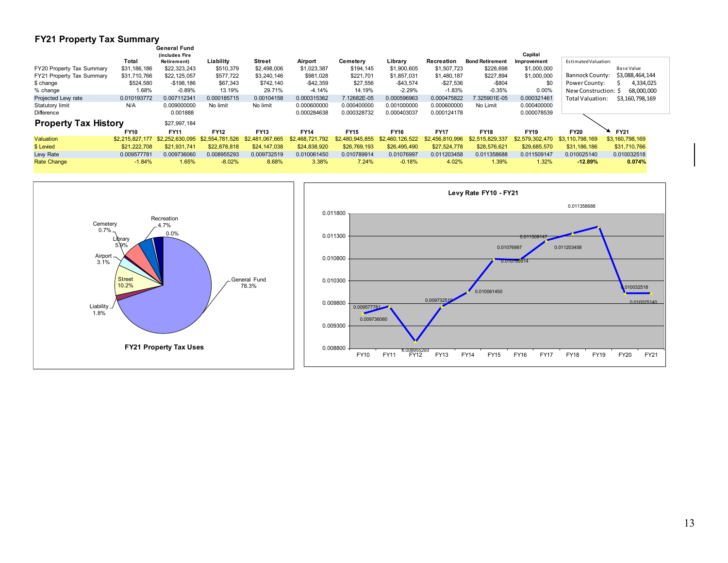#### **FY21 Property Tax Summary**

|                             |                 | <b>General Fund</b> |                 |                     |                 |                 |                 |                 |                        |                 |                         |                 |
|-----------------------------|-----------------|---------------------|-----------------|---------------------|-----------------|-----------------|-----------------|-----------------|------------------------|-----------------|-------------------------|-----------------|
|                             |                 | (includes Fire      |                 |                     |                 |                 |                 |                 |                        | Capital         |                         |                 |
|                             | Total           | Retirement)         | Liability       | Street              | Airport         | Cemetery        | Library         | Recreation      | <b>Bond Retirement</b> | Improvement     | Estimated Valuation:    |                 |
| FY20 Property Tax Summary   | \$31,186,186    | \$22,323,243        | \$510,379       | \$2,498,006         | \$1,023,387     | \$194,145       | \$1,900,605     | \$1,507,723     | \$228,698              | \$1,000,000     |                         | Base Value      |
| FY21 Property Tax Summary   | \$31,710,766    | \$22,125,057        | \$577,722       | \$3,240,146         | \$981,028       | \$221,701       | \$1,857,031     | \$1,480,187     | \$227,894              | \$1,000,000     | Bannock County:         | \$3,088,464,144 |
| \$ change                   | \$524,580       | $-$198,186$         | \$67,343        | \$742.140           | $-$42,359$      | \$27,556        | $-$ \$43,574    | $-$27,536$      | $-$ \$804              | \$0             | Power County:           | 4,334,025       |
| % change                    | 1.68%           | $-0.89%$            | 13.19%          | 29.71%              | $-4.14%$        | 14.19%          | $-2.29%$        | $-1.83%$        | $-0.35%$               | 0.00%           | New Construction: \$    | 68,000,000      |
| Projected Levy rate         | 0.010193772     | 0.007112341         | 0.000185715     | 0.00104158          | 0.000315362     | 7.12682E-05     | 0.000596963     | 0.000475822     | 7.325901E-05           | 0.000321461     | <b>Total Valuation:</b> | \$3,160,798,169 |
| <b>Statutory limit</b>      | N/A             | 0.009000000         | No limit        | No limit            | 0.000600000     | 0.000400000     | 0.001000000     | 0.000600000     | No Limit               | 0.000400000     |                         |                 |
| Difference                  |                 | 0.001888            |                 |                     | 0.000284638     | 0.000328732     | 0.000403037     | 0.000124178     |                        | 0.000078539     |                         |                 |
| <b>Property Tax History</b> |                 | \$27,997,184        |                 |                     |                 |                 |                 |                 |                        |                 |                         |                 |
|                             | <b>FY10</b>     | <b>FY11</b>         | <b>FY12</b>     | <b>FY13</b>         | <b>FY14</b>     | <b>FY15</b>     | <b>FY16</b>     | <b>FY17</b>     | <b>FY18</b>            | <b>FY19</b>     | <b>FY20</b>             | <b>FY21</b>     |
| Valuation                   | \$2,215,827,177 | \$2,252,630,095     | \$2,554,781,526 | .067.665<br>\$2,481 | \$2,468,721,792 | \$2,480,945,855 | \$2,460,126,522 | \$2,456,810,996 | \$2,515,829,337        | \$2,579,302,470 | \$3.110.798.169         | \$3,160,798,169 |
| \$ Levied                   | \$21,222,708    | \$21,931,741        | \$22,878,818    | \$24,147,038        | \$24,838,920    | \$26,769,193    | \$26,495,490    | \$27,524,778    | \$28,576,621           | \$29,685,570    | \$31,186,186            | \$31,710,766    |
|                             | 0.009577781     | 0.009736060         | 0.008955293     | 0.009732519         | 0.010061450     | 0.010789914     | 0.01076997      | 0.011203458     | 0.011358688            | 0.011509147     | 0.010025140             | 0.010032518     |
| Lew Rate                    |                 |                     |                 |                     |                 |                 |                 |                 |                        |                 |                         |                 |
|                             |                 |                     |                 |                     |                 |                 |                 |                 |                        |                 |                         |                 |

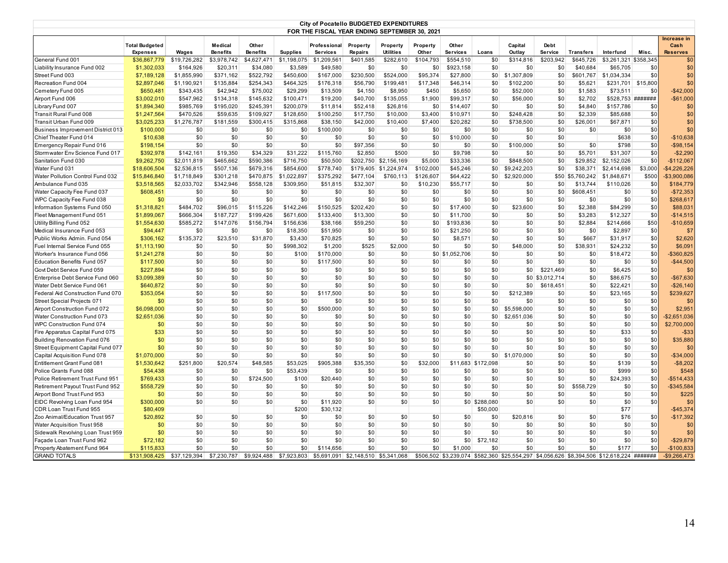| Increase in<br><b>Total Budgeted</b><br>Medical<br>Other<br>Capital<br>Property<br>Other<br>Debt<br>Cash<br>Professional<br>Property<br>Property<br>Misc.<br><b>Expenses</b><br>Wages<br><b>Benefits</b><br><b>Benefits</b><br><b>Supplies</b><br><b>Services</b><br><b>Repairs</b><br><b>Utilities</b><br>Other<br><b>Services</b><br>Loans<br>Outlay<br><b>Service</b><br><b>Transfers</b><br>Interfund<br><b>Reserves</b><br>\$203.942<br>General Fund 001<br>\$19,726,282<br>\$3,978,742<br>\$4,627,471<br>\$1,198,075<br>\$1,209,561<br>\$401,585<br>\$282,610<br>\$104,793<br>\$554,510<br>\$0<br>\$314,816<br>\$645,726<br>\$3,261,321<br>\$358,345<br>\$36,867,779<br>\$0<br>\$40,684<br>\$0<br>Liability Insurance Fund 002<br>\$1,302,033<br>\$164,926<br>\$20,311<br>\$34,080<br>\$3,589<br>\$49,580<br>\$0<br>\$0<br>\$0<br>\$923,158<br>\$0<br>\$0<br>\$65,705<br>\$0<br>\$524,000<br>\$95,374<br>\$0<br>\$1,307,809<br>Street Fund 003<br>\$7,189,128<br>\$1,855,990<br>\$371.162<br>\$522.792<br>\$450,600<br>\$167,000<br>\$230.500<br>\$27,800<br>\$0<br>\$601.767<br>\$1.034.334<br>Recreation Fund 004<br>\$1,190,921<br>\$135,884<br>\$254,343<br>\$464,325<br>\$176,318<br>\$56,790<br>\$199,481<br>\$17,348<br>\$46,314<br>\$0<br>\$102,200<br>\$0<br>\$5,621<br>\$231,701<br>\$15,800<br>\$2,897,046<br>Cemetery Fund 005<br>\$343,435<br>\$42,942<br>\$75,002<br>\$29,299<br>\$13,509<br>\$4,150<br>\$8,950<br>\$450<br>\$5,650<br>\$0<br>\$52,000<br>\$0<br>\$1,583<br>\$73,511<br>\$0<br>\$650,481<br>\$145,632<br>\$528,753 #######<br>Airport Fund 006<br>\$3,002,010<br>\$547,962<br>\$134,318<br>\$100,471<br>\$19,200<br>\$40,700<br>\$135,055<br>\$1,900<br>\$99,317<br>\$0<br>\$56,000<br>\$0<br>\$2,702<br>\$0<br>\$195.020<br>\$245.391<br>\$52.418<br>\$26,816<br>\$0<br>\$0<br>\$4,840<br>\$157,786<br>\$0<br>Library Fund 007<br>\$1,894,340<br>\$985.769<br>\$200.079<br>\$11.814<br>\$0<br>\$14,407<br>\$0<br>Transit Rural Fund 008<br>\$1,247,564<br>\$470,526<br>\$59,635<br>\$109,927<br>\$128,650<br>\$100,250<br>\$17,750<br>\$10,000<br>\$3,400<br>\$10,971<br>\$0<br>\$248,428<br>\$0<br>\$2,339<br>\$85,688<br>\$3,025,233<br>\$1,276,787<br>\$181,559<br>\$300,415<br>\$315,868<br>\$38,150<br>\$42,000<br>\$10,400<br>\$7,400<br>\$20,282<br>\$0<br>\$738,500<br>\$0<br>\$26,001<br>\$67,871<br>\$0<br>Transit Urban Fund 009<br>\$0<br>\$0<br>\$0<br>\$0<br>Business Improvement District 013<br>\$100,000<br>\$0<br>\$0<br>\$0<br>\$100,000<br>\$0<br>\$0<br>\$0<br>\$0<br>\$0<br>\$0<br>\$0<br>\$0<br>\$0<br>\$0<br>\$0<br>\$0<br>\$0<br>\$0<br>\$0<br>\$638<br>Chief Theater Fund 014<br>\$10,638<br>\$0<br>\$0<br>\$0<br>\$0<br>\$10,000<br>\$0<br>\$0<br>Emergency Repair Fund 016<br>\$198,154<br>\$0<br>\$0<br>\$0<br>\$0<br>\$97,356<br>\$0<br>\$0<br>\$0<br>\$0<br>\$100,000<br>\$0<br>\$0<br>\$798<br>\$0<br>\$392,978<br>\$142,161<br>\$19,350<br>\$34,329<br>\$31,222<br>\$115,760<br>\$2,850<br>\$500<br>\$0<br>\$9,798<br>\$0<br>\$0<br>\$0<br>\$5,701<br>\$31,307<br>$-$2,290$<br>\$0<br>\$848,500<br>\$0<br>$-$112,067$<br>\$9,262,750<br>\$2,011,819<br>\$465,662<br>\$590,386<br>\$716,750<br>\$50,500<br>\$202,750<br>\$2,156,169<br>\$5,000<br>\$33,336<br>\$0<br>\$29,852<br>\$2,152,026<br>\$102,000<br>\$0<br>\$9,242,203<br>\$3.000<br>\$4,226,226<br>\$18,606,504<br>\$2,536,815<br>\$507.136<br>\$679.316<br>\$854,600<br>\$778.740<br>\$179,405 \$1,224,974<br>\$45,246<br>\$0<br>\$38.371<br>\$2,414,698<br>Water Pollution Control Fund 032<br>\$15,846,840<br>\$1,718,849<br>\$301,218<br>\$470,875<br>\$1,022,897<br>\$375,292<br>\$477,104<br>\$760,113<br>\$126,607<br>\$64,422<br>\$0<br>\$2,920,000<br>\$50 \$5,760,242<br>\$1,848,671<br>\$500<br>\$3,900,086<br>\$2,033,702<br>\$342,946<br>\$558,128<br>\$309,950<br>\$51,815<br>\$32,307<br>\$0<br>\$10,230<br>\$55,717<br>\$0<br>\$0<br>\$13,744<br>\$110,026<br>\$0<br>\$3,518,565<br>\$0<br>\$0<br>\$0<br>\$0<br>\$0<br>\$0<br>\$0<br>\$608,451<br>\$608,451<br>\$0<br>\$0<br>\$0<br>\$0<br>\$0<br>\$0<br>\$0<br>\$0<br>\$0<br>\$0<br>\$0<br>\$0<br>\$0<br>\$0<br>\$0<br>\$0<br>\$0<br>\$0<br>\$0<br>\$268,617<br>WPC Capacity Fee Fund 038<br>\$0<br>\$0<br>\$0<br>\$0<br>\$0<br>\$142,246<br>\$150,525<br>\$202,420<br>\$0<br>\$23,600<br>\$0<br>\$1,318,821<br>\$484,702<br>\$96,015<br>\$115,226<br>\$0<br>\$0<br>\$17,400<br>\$0<br>\$2,388<br>\$84,299<br>\$88,031<br>\$0<br>\$0<br>\$0<br>\$0<br>\$1,899,067<br>\$187,727<br>\$199,426<br>\$671,600<br>\$133,400<br>\$13,300<br>\$0<br>\$11,700<br>\$0<br>\$3,283<br>\$12,327<br>\$666,304<br>\$50<br>\$147,076<br>\$156,794<br>\$38,166<br>\$59,250<br>\$0<br>\$193,836<br>\$0<br>\$0<br>\$0<br>\$2,884<br>\$214,666<br>$-$10,659$<br>\$1,554,630<br>\$585,272<br>\$156,636<br>\$0<br>\$94,447<br>\$0<br>\$0<br>\$0<br>\$18,350<br>\$51,950<br>\$0<br>\$0<br>\$21,250<br>\$0<br>\$0<br>\$0<br>\$0<br>\$2,897<br>\$0<br>\$7<br>\$0<br>\$31,870<br>\$0<br>Public Works Admin. Fund 054<br>\$306,162<br>\$135,372<br>\$23,510<br>\$3,430<br>\$70,825<br>\$0<br>\$0<br>\$0<br>\$8,571<br>\$0<br>\$0<br>\$0<br>\$667<br>\$31,917<br>\$0<br>\$1,113,190<br>\$0<br>\$0<br>\$0<br>\$998,302<br>\$1,200<br>\$525<br>\$2,000<br>\$0<br>\$0<br>\$0<br>\$48,000<br>\$0<br>\$38,931<br>\$24,232<br>\$6,091<br>\$0<br>\$0<br>\$0<br>\$0<br>\$1,241,278<br>\$0<br>\$0<br>\$100<br>\$170,000<br>\$0<br>\$0<br>\$0 \$1,052,706<br>\$0<br>\$0<br>\$18,472<br>\$360,825<br>\$0<br>\$0<br>\$0<br>\$0<br>\$117,500<br>\$0<br>\$0<br>\$0<br>\$0<br>\$0<br>\$0<br>\$117,500<br>\$0<br>\$0<br>\$0<br>\$0<br>\$0<br>\$227,894<br>\$0<br>\$0<br>\$0<br>\$0<br>\$0<br>\$0<br>\$0<br>\$0<br>\$0<br>\$0<br>\$0<br>\$221,469<br>\$0<br>\$6,425<br>\$0<br>\$0<br>\$0<br>\$0<br>\$0<br>\$0<br>\$0<br>\$0<br>\$0<br>\$0<br>\$0<br>\$0<br>\$0 \$3,012,714<br>\$0<br>\$86,675<br>\$3,099,389<br>\$0<br>\$0<br>\$0<br>\$0<br>\$0<br>\$0<br>\$0<br>Water Debt Service Fund 06<br>\$640,872<br>\$0<br>\$0<br>\$0<br>\$0<br>\$0<br>\$618,451<br>\$0<br>\$22,421<br>$-$26,140$<br>\$0<br>\$0<br>\$117,500<br>\$0<br>\$0<br>\$0<br>\$0<br>\$212,389<br>\$23,165<br>\$0<br>\$239,627<br>\$353,054<br>\$0<br>\$0<br>\$0<br>\$0<br>\$0<br>\$0<br>\$0<br>\$0<br>\$0<br>\$0<br>\$0<br>\$0<br>\$0<br>\$0<br>\$0<br>\$0<br>\$0<br>\$0<br>Street Special Projects 071<br>\$0<br>\$0<br>\$0<br>\$0<br>\$500,000<br>\$0<br>\$6,098,000<br>\$0<br>\$0<br>\$0<br>\$0<br>\$0<br>\$0<br>\$0<br>\$0<br>\$0<br>\$5,598,000<br>\$0<br>\$0<br>\$0<br>\$2,951<br>Airport Construction Fund 072<br>\$0<br>\$0<br>\$0<br>\$0<br>\$0<br>\$0<br>\$0<br>\$0<br>\$0<br>\$2,651,036<br>\$0<br>\$0<br>\$0<br>\$0<br>\$2,651,036<br>\$0<br>WPC Construction Fund 074<br>\$0<br>\$0<br>\$0<br>\$0<br>\$0<br>\$0<br>\$0<br>\$0<br>\$0<br>\$0<br>\$0<br>\$0<br>\$0<br>\$0<br>\$2,700,000<br>\$0<br>\$0<br>\$33<br>\$0<br>\$0<br>\$0<br>\$0<br>\$0<br>\$0<br>\$0<br>\$0<br>\$0<br>\$0<br>\$0<br>\$0<br>\$33<br>\$0<br>\$0<br>\$0<br>\$0<br>\$0<br>\$0<br>\$0<br>\$0<br>\$0<br>\$0<br>\$0<br>\$0<br>\$0<br>\$0<br>\$0<br>\$0<br>\$0<br>\$0<br>\$0<br>\$0<br>\$0<br>\$0<br>\$0<br>\$0<br>Street Equipment Capital Fund 077<br>\$0<br>\$0<br>\$0<br>\$0<br>\$0<br>\$0<br>\$0<br>\$0<br>\$0<br>\$0<br>\$0<br>\$0<br>\$0<br>\$0<br>Capital Acquisition Fund 078<br>\$1,070,000<br>\$0<br>\$0<br>\$0<br>\$0<br>\$0<br>\$0<br>\$0<br>\$0<br>\$1,070,000<br>\$0<br>\$0<br>\$0<br>\$0<br>\$251,800<br>\$20,574<br>\$48,585<br>\$53,025<br>\$905,388<br>\$35,350<br>\$0<br>\$32,000<br>\$11,683 \$172,098<br>\$0<br>\$0<br>\$139<br>Entitlement Grant Fund 081<br>\$1,530,642<br>\$0<br>\$0<br>\$0<br>\$0<br>\$0<br>\$0<br>\$53,439<br>\$0<br>\$0<br>\$0<br>\$0<br>\$0<br>\$0<br>\$0<br>\$0<br>\$999<br>\$548<br>Police Grants Fund 088<br>\$54,438<br>\$0<br>\$0<br>\$0<br>\$0<br>\$0<br>\$0<br>Police Retirement Trust Fund 951<br>\$769,433<br>\$0<br>\$0<br>\$724,500<br>\$100<br>\$20,440<br>\$0<br>\$0<br>\$0<br>\$24,393<br>\$0<br>Retirement Payout Trust Fund 952<br>\$558,729<br>\$0<br>\$0<br>\$0<br>\$0<br>\$0<br>\$0<br>\$0<br>\$0<br>\$0<br>\$0<br>\$0<br>\$0<br>\$558,729<br>\$0<br>\$345,584<br>\$0<br>\$0<br>\$0<br>\$0<br>\$0<br>\$0<br>\$0<br>\$0<br>\$0<br>\$0<br>\$0<br>\$0<br>\$0<br>\$0<br>\$225<br>Airport Bond Trust Fund 953<br>\$0<br>\$0<br>\$0<br>\$0<br>\$0<br>\$0<br>\$0<br>EIDC Revolving Loan Fund 954<br>\$300,000<br>\$0<br>\$0<br>\$0<br>\$11,920<br>\$0<br>\$0<br>\$0 \$288,080<br>\$0<br>\$0<br>\$77<br>CDR Loan Trust Fund 955<br>\$80,409<br>\$200<br>\$30,132<br>\$50,000<br>\$0<br>Zoo Animal/Education Trust 957<br>\$20,892<br>\$0<br>\$0<br>\$0<br>\$0<br>\$0<br>\$0<br>\$0<br>\$0<br>\$0<br>\$0<br>\$20,816<br>\$0<br>\$76<br>\$0<br>\$0<br>\$0<br>\$0<br>\$0<br>Water Acquisition Trust 958<br>\$0<br>\$0<br>\$0<br>\$0<br>\$0<br>\$0<br>\$0<br>\$0<br>\$0<br>\$0<br>\$0<br>\$0<br>\$0<br>\$0<br>\$0<br>\$0<br>\$0<br>\$0<br>\$0<br>\$0<br>\$0<br>\$0<br>\$0<br>\$0<br>\$0<br>\$0<br>\$0<br>\$0<br>\$0<br>Sidewalk Revolving Loan Trust 959<br>\$0<br>\$0<br>\$0<br>\$0<br>\$0<br>\$0<br>\$0<br>\$0<br>\$0<br>\$0<br>\$72,182<br>\$0<br>\$0<br>\$0<br>\$0<br>Façade Loan Trust Fund 962<br>\$72,182<br>Property Abatement Fund 964<br>\$115,833<br>\$0<br>\$0<br>\$0<br>\$0<br>\$0<br>\$1,000<br>\$0<br>\$177<br>\$0<br>$-$100,833$<br>\$0<br>\$0<br>\$114,656<br>\$0<br>\$0<br>\$0<br>\$506,502 \$3,239,074 \$582,360 \$25,554,297 \$4,056,626 \$8,394,506 \$12,618,224 ######## |                                    | <b>City of Pocatello BUDGETED EXPENDITURES</b><br>FOR THE FISCAL YEAR ENDING SEPTEMBER 30, 2021 |              |             |             |             |             |             |             |  |  |  |  |  |  |  |             |
|-----------------------------------------------------------------------------------------------------------------------------------------------------------------------------------------------------------------------------------------------------------------------------------------------------------------------------------------------------------------------------------------------------------------------------------------------------------------------------------------------------------------------------------------------------------------------------------------------------------------------------------------------------------------------------------------------------------------------------------------------------------------------------------------------------------------------------------------------------------------------------------------------------------------------------------------------------------------------------------------------------------------------------------------------------------------------------------------------------------------------------------------------------------------------------------------------------------------------------------------------------------------------------------------------------------------------------------------------------------------------------------------------------------------------------------------------------------------------------------------------------------------------------------------------------------------------------------------------------------------------------------------------------------------------------------------------------------------------------------------------------------------------------------------------------------------------------------------------------------------------------------------------------------------------------------------------------------------------------------------------------------------------------------------------------------------------------------------------------------------------------------------------------------------------------------------------------------------------------------------------------------------------------------------------------------------------------------------------------------------------------------------------------------------------------------------------------------------------------------------------------------------------------------------------------------------------------------------------------------------------------------------------------------------------------------------------------------------------------------------------------------------------------------------------------------------------------------------------------------------------------------------------------------------------------------------------------------------------------------------------------------------------------------------------------------------------------------------------------------------------------------------------------------------------------------------------------------------------------------------------------------------------------------------------------------------------------------------------------------------------------------------------------------------------------------------------------------------------------------------------------------------------------------------------------------------------------------------------------------------------------------------------------------------------------------------------------------------------------------------------------------------------------------------------------------------------------------------------------------------------------------------------------------------------------------------------------------------------------------------------------------------------------------------------------------------------------------------------------------------------------------------------------------------------------------------------------------------------------------------------------------------------------------------------------------------------------------------------------------------------------------------------------------------------------------------------------------------------------------------------------------------------------------------------------------------------------------------------------------------------------------------------------------------------------------------------------------------------------------------------------------------------------------------------------------------------------------------------------------------------------------------------------------------------------------------------------------------------------------------------------------------------------------------------------------------------------------------------------------------------------------------------------------------------------------------------------------------------------------------------------------------------------------------------------------------------------------------------------------------------------------------------------------------------------------------------------------------------------------------------------------------------------------------------------------------------------------------------------------------------------------------------------------------------------------------------------------------------------------------------------------------------------------------------------------------------------------------------------------------------------------------------------------------------------------------------------------------------------------------------------------------------------------------------------------------------------------------------------------------------------------------------------------------------------------------------------------------------------------------------------------------------------------------------------------------------------------------------------------------------------------------------------------------------------------------------------------------------------------------------------------------------------------------------------------------------------------------------------------------------------------------------------------------------------------------------------------------------------------------------------------------------------------------------------------------------------------------------------------------------------------------------------------------------------------------------------------------------------------------------------------------------------------------------------------------------------------------------------------------------------------------------------------------------------------------------------------------------------------------------------------------------------------------------------------------------------------------------------------------------------------------------------------------------------------------------------------------------------------------------------------------------------------------------------------------------------------------------------------------------------------------------------------------------------------------------------------------------------------------------------------------------------------------------------------------------------------------------------------------------------------------------------------------------------------------------------------------------------------------------------------------------------------------------------------------------------------------------------------------------------------------------------------------------------------------------------------------------------------------------------------------------------------------------------------------------------------------------------------------------------------------------------------------------------------------------------------------------------------------------------------------------------------------------------------------------------------------------------------------------------------------------------------------------------------------------------------------------------------------------------------------------------------------------------------------------------------------------------------------------------------------------------------------------------------------------------------------------------------------------------------------------------------------------------------------------------------------------------------------------------------------------------------------------------------------------------------------------------------------------------------------------------------------------------------------------------------------------------------------------------------------------------------------------------------------------------|------------------------------------|-------------------------------------------------------------------------------------------------|--------------|-------------|-------------|-------------|-------------|-------------|-------------|--|--|--|--|--|--|--|-------------|
|                                                                                                                                                                                                                                                                                                                                                                                                                                                                                                                                                                                                                                                                                                                                                                                                                                                                                                                                                                                                                                                                                                                                                                                                                                                                                                                                                                                                                                                                                                                                                                                                                                                                                                                                                                                                                                                                                                                                                                                                                                                                                                                                                                                                                                                                                                                                                                                                                                                                                                                                                                                                                                                                                                                                                                                                                                                                                                                                                                                                                                                                                                                                                                                                                                                                                                                                                                                                                                                                                                                                                                                                                                                                                                                                                                                                                                                                                                                                                                                                                                                                                                                                                                                                                                                                                                                                                                                                                                                                                                                                                                                                                                                                                                                                                                                                                                                                                                                                                                                                                                                                                                                                                                                                                                                                                                                                                                                                                                                                                                                                                                                                                                                                                                                                                                                                                                                                                                                                                                                                                                                                                                                                                                                                                                                                                                                                                                                                                                                                                                                                                                                                                                                                                                                                                                                                                                                                                                                                                                                                                                                                                                                                                                                                                                                                                                                                                                                                                                                                                                                                                                                                                                                                                                                                                                                                                                                                                                                                                                                                                                                                                                                                                                                                                                                                                                                                                                                                                                                                                                                                                                                                                                                                                                                                                                                                                                                                                                                                                                                                                                                                                                                                                                                                                                                                                                                                                                                                                                                     |                                    |                                                                                                 |              |             |             |             |             |             |             |  |  |  |  |  |  |  |             |
| \$0<br>\$0                                                                                                                                                                                                                                                                                                                                                                                                                                                                                                                                                                                                                                                                                                                                                                                                                                                                                                                                                                                                                                                                                                                                                                                                                                                                                                                                                                                                                                                                                                                                                                                                                                                                                                                                                                                                                                                                                                                                                                                                                                                                                                                                                                                                                                                                                                                                                                                                                                                                                                                                                                                                                                                                                                                                                                                                                                                                                                                                                                                                                                                                                                                                                                                                                                                                                                                                                                                                                                                                                                                                                                                                                                                                                                                                                                                                                                                                                                                                                                                                                                                                                                                                                                                                                                                                                                                                                                                                                                                                                                                                                                                                                                                                                                                                                                                                                                                                                                                                                                                                                                                                                                                                                                                                                                                                                                                                                                                                                                                                                                                                                                                                                                                                                                                                                                                                                                                                                                                                                                                                                                                                                                                                                                                                                                                                                                                                                                                                                                                                                                                                                                                                                                                                                                                                                                                                                                                                                                                                                                                                                                                                                                                                                                                                                                                                                                                                                                                                                                                                                                                                                                                                                                                                                                                                                                                                                                                                                                                                                                                                                                                                                                                                                                                                                                                                                                                                                                                                                                                                                                                                                                                                                                                                                                                                                                                                                                                                                                                                                                                                                                                                                                                                                                                                                                                                                                                                                                                                                                          |                                    |                                                                                                 |              |             |             |             |             |             |             |  |  |  |  |  |  |  | \$0         |
|                                                                                                                                                                                                                                                                                                                                                                                                                                                                                                                                                                                                                                                                                                                                                                                                                                                                                                                                                                                                                                                                                                                                                                                                                                                                                                                                                                                                                                                                                                                                                                                                                                                                                                                                                                                                                                                                                                                                                                                                                                                                                                                                                                                                                                                                                                                                                                                                                                                                                                                                                                                                                                                                                                                                                                                                                                                                                                                                                                                                                                                                                                                                                                                                                                                                                                                                                                                                                                                                                                                                                                                                                                                                                                                                                                                                                                                                                                                                                                                                                                                                                                                                                                                                                                                                                                                                                                                                                                                                                                                                                                                                                                                                                                                                                                                                                                                                                                                                                                                                                                                                                                                                                                                                                                                                                                                                                                                                                                                                                                                                                                                                                                                                                                                                                                                                                                                                                                                                                                                                                                                                                                                                                                                                                                                                                                                                                                                                                                                                                                                                                                                                                                                                                                                                                                                                                                                                                                                                                                                                                                                                                                                                                                                                                                                                                                                                                                                                                                                                                                                                                                                                                                                                                                                                                                                                                                                                                                                                                                                                                                                                                                                                                                                                                                                                                                                                                                                                                                                                                                                                                                                                                                                                                                                                                                                                                                                                                                                                                                                                                                                                                                                                                                                                                                                                                                                                                                                                                                                     |                                    |                                                                                                 |              |             |             |             |             |             |             |  |  |  |  |  |  |  |             |
| \$0<br>$-$42,000$<br>$-$ \$61,000<br>\$0<br>\$0<br>\$0<br>\$0<br>$-$10,638$<br>$-$ \$98,154<br>$-$72,353$<br>$-$14,515$<br>\$2,620<br>$-$44,500$<br>$-$ \$67,630<br>\$2,651,036<br>\$35,880<br>$-$514,433$<br>\$0<br>$-$17,392$<br>\$0                                                                                                                                                                                                                                                                                                                                                                                                                                                                                                                                                                                                                                                                                                                                                                                                                                                                                                                                                                                                                                                                                                                                                                                                                                                                                                                                                                                                                                                                                                                                                                                                                                                                                                                                                                                                                                                                                                                                                                                                                                                                                                                                                                                                                                                                                                                                                                                                                                                                                                                                                                                                                                                                                                                                                                                                                                                                                                                                                                                                                                                                                                                                                                                                                                                                                                                                                                                                                                                                                                                                                                                                                                                                                                                                                                                                                                                                                                                                                                                                                                                                                                                                                                                                                                                                                                                                                                                                                                                                                                                                                                                                                                                                                                                                                                                                                                                                                                                                                                                                                                                                                                                                                                                                                                                                                                                                                                                                                                                                                                                                                                                                                                                                                                                                                                                                                                                                                                                                                                                                                                                                                                                                                                                                                                                                                                                                                                                                                                                                                                                                                                                                                                                                                                                                                                                                                                                                                                                                                                                                                                                                                                                                                                                                                                                                                                                                                                                                                                                                                                                                                                                                                                                                                                                                                                                                                                                                                                                                                                                                                                                                                                                                                                                                                                                                                                                                                                                                                                                                                                                                                                                                                                                                                                                                                                                                                                                                                                                                                                                                                                                                                                                                                                                                              |                                    |                                                                                                 |              |             |             |             |             |             |             |  |  |  |  |  |  |  |             |
|                                                                                                                                                                                                                                                                                                                                                                                                                                                                                                                                                                                                                                                                                                                                                                                                                                                                                                                                                                                                                                                                                                                                                                                                                                                                                                                                                                                                                                                                                                                                                                                                                                                                                                                                                                                                                                                                                                                                                                                                                                                                                                                                                                                                                                                                                                                                                                                                                                                                                                                                                                                                                                                                                                                                                                                                                                                                                                                                                                                                                                                                                                                                                                                                                                                                                                                                                                                                                                                                                                                                                                                                                                                                                                                                                                                                                                                                                                                                                                                                                                                                                                                                                                                                                                                                                                                                                                                                                                                                                                                                                                                                                                                                                                                                                                                                                                                                                                                                                                                                                                                                                                                                                                                                                                                                                                                                                                                                                                                                                                                                                                                                                                                                                                                                                                                                                                                                                                                                                                                                                                                                                                                                                                                                                                                                                                                                                                                                                                                                                                                                                                                                                                                                                                                                                                                                                                                                                                                                                                                                                                                                                                                                                                                                                                                                                                                                                                                                                                                                                                                                                                                                                                                                                                                                                                                                                                                                                                                                                                                                                                                                                                                                                                                                                                                                                                                                                                                                                                                                                                                                                                                                                                                                                                                                                                                                                                                                                                                                                                                                                                                                                                                                                                                                                                                                                                                                                                                                                                                     |                                    |                                                                                                 |              |             |             |             |             |             |             |  |  |  |  |  |  |  |             |
|                                                                                                                                                                                                                                                                                                                                                                                                                                                                                                                                                                                                                                                                                                                                                                                                                                                                                                                                                                                                                                                                                                                                                                                                                                                                                                                                                                                                                                                                                                                                                                                                                                                                                                                                                                                                                                                                                                                                                                                                                                                                                                                                                                                                                                                                                                                                                                                                                                                                                                                                                                                                                                                                                                                                                                                                                                                                                                                                                                                                                                                                                                                                                                                                                                                                                                                                                                                                                                                                                                                                                                                                                                                                                                                                                                                                                                                                                                                                                                                                                                                                                                                                                                                                                                                                                                                                                                                                                                                                                                                                                                                                                                                                                                                                                                                                                                                                                                                                                                                                                                                                                                                                                                                                                                                                                                                                                                                                                                                                                                                                                                                                                                                                                                                                                                                                                                                                                                                                                                                                                                                                                                                                                                                                                                                                                                                                                                                                                                                                                                                                                                                                                                                                                                                                                                                                                                                                                                                                                                                                                                                                                                                                                                                                                                                                                                                                                                                                                                                                                                                                                                                                                                                                                                                                                                                                                                                                                                                                                                                                                                                                                                                                                                                                                                                                                                                                                                                                                                                                                                                                                                                                                                                                                                                                                                                                                                                                                                                                                                                                                                                                                                                                                                                                                                                                                                                                                                                                                                                     |                                    |                                                                                                 |              |             |             |             |             |             |             |  |  |  |  |  |  |  |             |
|                                                                                                                                                                                                                                                                                                                                                                                                                                                                                                                                                                                                                                                                                                                                                                                                                                                                                                                                                                                                                                                                                                                                                                                                                                                                                                                                                                                                                                                                                                                                                                                                                                                                                                                                                                                                                                                                                                                                                                                                                                                                                                                                                                                                                                                                                                                                                                                                                                                                                                                                                                                                                                                                                                                                                                                                                                                                                                                                                                                                                                                                                                                                                                                                                                                                                                                                                                                                                                                                                                                                                                                                                                                                                                                                                                                                                                                                                                                                                                                                                                                                                                                                                                                                                                                                                                                                                                                                                                                                                                                                                                                                                                                                                                                                                                                                                                                                                                                                                                                                                                                                                                                                                                                                                                                                                                                                                                                                                                                                                                                                                                                                                                                                                                                                                                                                                                                                                                                                                                                                                                                                                                                                                                                                                                                                                                                                                                                                                                                                                                                                                                                                                                                                                                                                                                                                                                                                                                                                                                                                                                                                                                                                                                                                                                                                                                                                                                                                                                                                                                                                                                                                                                                                                                                                                                                                                                                                                                                                                                                                                                                                                                                                                                                                                                                                                                                                                                                                                                                                                                                                                                                                                                                                                                                                                                                                                                                                                                                                                                                                                                                                                                                                                                                                                                                                                                                                                                                                                                                     |                                    |                                                                                                 |              |             |             |             |             |             |             |  |  |  |  |  |  |  |             |
|                                                                                                                                                                                                                                                                                                                                                                                                                                                                                                                                                                                                                                                                                                                                                                                                                                                                                                                                                                                                                                                                                                                                                                                                                                                                                                                                                                                                                                                                                                                                                                                                                                                                                                                                                                                                                                                                                                                                                                                                                                                                                                                                                                                                                                                                                                                                                                                                                                                                                                                                                                                                                                                                                                                                                                                                                                                                                                                                                                                                                                                                                                                                                                                                                                                                                                                                                                                                                                                                                                                                                                                                                                                                                                                                                                                                                                                                                                                                                                                                                                                                                                                                                                                                                                                                                                                                                                                                                                                                                                                                                                                                                                                                                                                                                                                                                                                                                                                                                                                                                                                                                                                                                                                                                                                                                                                                                                                                                                                                                                                                                                                                                                                                                                                                                                                                                                                                                                                                                                                                                                                                                                                                                                                                                                                                                                                                                                                                                                                                                                                                                                                                                                                                                                                                                                                                                                                                                                                                                                                                                                                                                                                                                                                                                                                                                                                                                                                                                                                                                                                                                                                                                                                                                                                                                                                                                                                                                                                                                                                                                                                                                                                                                                                                                                                                                                                                                                                                                                                                                                                                                                                                                                                                                                                                                                                                                                                                                                                                                                                                                                                                                                                                                                                                                                                                                                                                                                                                                                                     |                                    |                                                                                                 |              |             |             |             |             |             |             |  |  |  |  |  |  |  |             |
|                                                                                                                                                                                                                                                                                                                                                                                                                                                                                                                                                                                                                                                                                                                                                                                                                                                                                                                                                                                                                                                                                                                                                                                                                                                                                                                                                                                                                                                                                                                                                                                                                                                                                                                                                                                                                                                                                                                                                                                                                                                                                                                                                                                                                                                                                                                                                                                                                                                                                                                                                                                                                                                                                                                                                                                                                                                                                                                                                                                                                                                                                                                                                                                                                                                                                                                                                                                                                                                                                                                                                                                                                                                                                                                                                                                                                                                                                                                                                                                                                                                                                                                                                                                                                                                                                                                                                                                                                                                                                                                                                                                                                                                                                                                                                                                                                                                                                                                                                                                                                                                                                                                                                                                                                                                                                                                                                                                                                                                                                                                                                                                                                                                                                                                                                                                                                                                                                                                                                                                                                                                                                                                                                                                                                                                                                                                                                                                                                                                                                                                                                                                                                                                                                                                                                                                                                                                                                                                                                                                                                                                                                                                                                                                                                                                                                                                                                                                                                                                                                                                                                                                                                                                                                                                                                                                                                                                                                                                                                                                                                                                                                                                                                                                                                                                                                                                                                                                                                                                                                                                                                                                                                                                                                                                                                                                                                                                                                                                                                                                                                                                                                                                                                                                                                                                                                                                                                                                                                                                     |                                    |                                                                                                 |              |             |             |             |             |             |             |  |  |  |  |  |  |  |             |
|                                                                                                                                                                                                                                                                                                                                                                                                                                                                                                                                                                                                                                                                                                                                                                                                                                                                                                                                                                                                                                                                                                                                                                                                                                                                                                                                                                                                                                                                                                                                                                                                                                                                                                                                                                                                                                                                                                                                                                                                                                                                                                                                                                                                                                                                                                                                                                                                                                                                                                                                                                                                                                                                                                                                                                                                                                                                                                                                                                                                                                                                                                                                                                                                                                                                                                                                                                                                                                                                                                                                                                                                                                                                                                                                                                                                                                                                                                                                                                                                                                                                                                                                                                                                                                                                                                                                                                                                                                                                                                                                                                                                                                                                                                                                                                                                                                                                                                                                                                                                                                                                                                                                                                                                                                                                                                                                                                                                                                                                                                                                                                                                                                                                                                                                                                                                                                                                                                                                                                                                                                                                                                                                                                                                                                                                                                                                                                                                                                                                                                                                                                                                                                                                                                                                                                                                                                                                                                                                                                                                                                                                                                                                                                                                                                                                                                                                                                                                                                                                                                                                                                                                                                                                                                                                                                                                                                                                                                                                                                                                                                                                                                                                                                                                                                                                                                                                                                                                                                                                                                                                                                                                                                                                                                                                                                                                                                                                                                                                                                                                                                                                                                                                                                                                                                                                                                                                                                                                                                                     |                                    |                                                                                                 |              |             |             |             |             |             |             |  |  |  |  |  |  |  |             |
|                                                                                                                                                                                                                                                                                                                                                                                                                                                                                                                                                                                                                                                                                                                                                                                                                                                                                                                                                                                                                                                                                                                                                                                                                                                                                                                                                                                                                                                                                                                                                                                                                                                                                                                                                                                                                                                                                                                                                                                                                                                                                                                                                                                                                                                                                                                                                                                                                                                                                                                                                                                                                                                                                                                                                                                                                                                                                                                                                                                                                                                                                                                                                                                                                                                                                                                                                                                                                                                                                                                                                                                                                                                                                                                                                                                                                                                                                                                                                                                                                                                                                                                                                                                                                                                                                                                                                                                                                                                                                                                                                                                                                                                                                                                                                                                                                                                                                                                                                                                                                                                                                                                                                                                                                                                                                                                                                                                                                                                                                                                                                                                                                                                                                                                                                                                                                                                                                                                                                                                                                                                                                                                                                                                                                                                                                                                                                                                                                                                                                                                                                                                                                                                                                                                                                                                                                                                                                                                                                                                                                                                                                                                                                                                                                                                                                                                                                                                                                                                                                                                                                                                                                                                                                                                                                                                                                                                                                                                                                                                                                                                                                                                                                                                                                                                                                                                                                                                                                                                                                                                                                                                                                                                                                                                                                                                                                                                                                                                                                                                                                                                                                                                                                                                                                                                                                                                                                                                                                                                     |                                    |                                                                                                 |              |             |             |             |             |             |             |  |  |  |  |  |  |  |             |
|                                                                                                                                                                                                                                                                                                                                                                                                                                                                                                                                                                                                                                                                                                                                                                                                                                                                                                                                                                                                                                                                                                                                                                                                                                                                                                                                                                                                                                                                                                                                                                                                                                                                                                                                                                                                                                                                                                                                                                                                                                                                                                                                                                                                                                                                                                                                                                                                                                                                                                                                                                                                                                                                                                                                                                                                                                                                                                                                                                                                                                                                                                                                                                                                                                                                                                                                                                                                                                                                                                                                                                                                                                                                                                                                                                                                                                                                                                                                                                                                                                                                                                                                                                                                                                                                                                                                                                                                                                                                                                                                                                                                                                                                                                                                                                                                                                                                                                                                                                                                                                                                                                                                                                                                                                                                                                                                                                                                                                                                                                                                                                                                                                                                                                                                                                                                                                                                                                                                                                                                                                                                                                                                                                                                                                                                                                                                                                                                                                                                                                                                                                                                                                                                                                                                                                                                                                                                                                                                                                                                                                                                                                                                                                                                                                                                                                                                                                                                                                                                                                                                                                                                                                                                                                                                                                                                                                                                                                                                                                                                                                                                                                                                                                                                                                                                                                                                                                                                                                                                                                                                                                                                                                                                                                                                                                                                                                                                                                                                                                                                                                                                                                                                                                                                                                                                                                                                                                                                                                                     |                                    |                                                                                                 |              |             |             |             |             |             |             |  |  |  |  |  |  |  |             |
|                                                                                                                                                                                                                                                                                                                                                                                                                                                                                                                                                                                                                                                                                                                                                                                                                                                                                                                                                                                                                                                                                                                                                                                                                                                                                                                                                                                                                                                                                                                                                                                                                                                                                                                                                                                                                                                                                                                                                                                                                                                                                                                                                                                                                                                                                                                                                                                                                                                                                                                                                                                                                                                                                                                                                                                                                                                                                                                                                                                                                                                                                                                                                                                                                                                                                                                                                                                                                                                                                                                                                                                                                                                                                                                                                                                                                                                                                                                                                                                                                                                                                                                                                                                                                                                                                                                                                                                                                                                                                                                                                                                                                                                                                                                                                                                                                                                                                                                                                                                                                                                                                                                                                                                                                                                                                                                                                                                                                                                                                                                                                                                                                                                                                                                                                                                                                                                                                                                                                                                                                                                                                                                                                                                                                                                                                                                                                                                                                                                                                                                                                                                                                                                                                                                                                                                                                                                                                                                                                                                                                                                                                                                                                                                                                                                                                                                                                                                                                                                                                                                                                                                                                                                                                                                                                                                                                                                                                                                                                                                                                                                                                                                                                                                                                                                                                                                                                                                                                                                                                                                                                                                                                                                                                                                                                                                                                                                                                                                                                                                                                                                                                                                                                                                                                                                                                                                                                                                                                                                     |                                    |                                                                                                 |              |             |             |             |             |             |             |  |  |  |  |  |  |  |             |
|                                                                                                                                                                                                                                                                                                                                                                                                                                                                                                                                                                                                                                                                                                                                                                                                                                                                                                                                                                                                                                                                                                                                                                                                                                                                                                                                                                                                                                                                                                                                                                                                                                                                                                                                                                                                                                                                                                                                                                                                                                                                                                                                                                                                                                                                                                                                                                                                                                                                                                                                                                                                                                                                                                                                                                                                                                                                                                                                                                                                                                                                                                                                                                                                                                                                                                                                                                                                                                                                                                                                                                                                                                                                                                                                                                                                                                                                                                                                                                                                                                                                                                                                                                                                                                                                                                                                                                                                                                                                                                                                                                                                                                                                                                                                                                                                                                                                                                                                                                                                                                                                                                                                                                                                                                                                                                                                                                                                                                                                                                                                                                                                                                                                                                                                                                                                                                                                                                                                                                                                                                                                                                                                                                                                                                                                                                                                                                                                                                                                                                                                                                                                                                                                                                                                                                                                                                                                                                                                                                                                                                                                                                                                                                                                                                                                                                                                                                                                                                                                                                                                                                                                                                                                                                                                                                                                                                                                                                                                                                                                                                                                                                                                                                                                                                                                                                                                                                                                                                                                                                                                                                                                                                                                                                                                                                                                                                                                                                                                                                                                                                                                                                                                                                                                                                                                                                                                                                                                                                                     | Stormwater Env Science Fund 017    |                                                                                                 |              |             |             |             |             |             |             |  |  |  |  |  |  |  |             |
| \$184,779<br>$-$ \$33<br>$-$ \$34,000                                                                                                                                                                                                                                                                                                                                                                                                                                                                                                                                                                                                                                                                                                                                                                                                                                                                                                                                                                                                                                                                                                                                                                                                                                                                                                                                                                                                                                                                                                                                                                                                                                                                                                                                                                                                                                                                                                                                                                                                                                                                                                                                                                                                                                                                                                                                                                                                                                                                                                                                                                                                                                                                                                                                                                                                                                                                                                                                                                                                                                                                                                                                                                                                                                                                                                                                                                                                                                                                                                                                                                                                                                                                                                                                                                                                                                                                                                                                                                                                                                                                                                                                                                                                                                                                                                                                                                                                                                                                                                                                                                                                                                                                                                                                                                                                                                                                                                                                                                                                                                                                                                                                                                                                                                                                                                                                                                                                                                                                                                                                                                                                                                                                                                                                                                                                                                                                                                                                                                                                                                                                                                                                                                                                                                                                                                                                                                                                                                                                                                                                                                                                                                                                                                                                                                                                                                                                                                                                                                                                                                                                                                                                                                                                                                                                                                                                                                                                                                                                                                                                                                                                                                                                                                                                                                                                                                                                                                                                                                                                                                                                                                                                                                                                                                                                                                                                                                                                                                                                                                                                                                                                                                                                                                                                                                                                                                                                                                                                                                                                                                                                                                                                                                                                                                                                                                                                                                                                               | Sanitation Fund 030                |                                                                                                 |              |             |             |             |             |             |             |  |  |  |  |  |  |  |             |
|                                                                                                                                                                                                                                                                                                                                                                                                                                                                                                                                                                                                                                                                                                                                                                                                                                                                                                                                                                                                                                                                                                                                                                                                                                                                                                                                                                                                                                                                                                                                                                                                                                                                                                                                                                                                                                                                                                                                                                                                                                                                                                                                                                                                                                                                                                                                                                                                                                                                                                                                                                                                                                                                                                                                                                                                                                                                                                                                                                                                                                                                                                                                                                                                                                                                                                                                                                                                                                                                                                                                                                                                                                                                                                                                                                                                                                                                                                                                                                                                                                                                                                                                                                                                                                                                                                                                                                                                                                                                                                                                                                                                                                                                                                                                                                                                                                                                                                                                                                                                                                                                                                                                                                                                                                                                                                                                                                                                                                                                                                                                                                                                                                                                                                                                                                                                                                                                                                                                                                                                                                                                                                                                                                                                                                                                                                                                                                                                                                                                                                                                                                                                                                                                                                                                                                                                                                                                                                                                                                                                                                                                                                                                                                                                                                                                                                                                                                                                                                                                                                                                                                                                                                                                                                                                                                                                                                                                                                                                                                                                                                                                                                                                                                                                                                                                                                                                                                                                                                                                                                                                                                                                                                                                                                                                                                                                                                                                                                                                                                                                                                                                                                                                                                                                                                                                                                                                                                                                                                                     | Water Fund 031                     |                                                                                                 |              |             |             |             |             |             |             |  |  |  |  |  |  |  |             |
|                                                                                                                                                                                                                                                                                                                                                                                                                                                                                                                                                                                                                                                                                                                                                                                                                                                                                                                                                                                                                                                                                                                                                                                                                                                                                                                                                                                                                                                                                                                                                                                                                                                                                                                                                                                                                                                                                                                                                                                                                                                                                                                                                                                                                                                                                                                                                                                                                                                                                                                                                                                                                                                                                                                                                                                                                                                                                                                                                                                                                                                                                                                                                                                                                                                                                                                                                                                                                                                                                                                                                                                                                                                                                                                                                                                                                                                                                                                                                                                                                                                                                                                                                                                                                                                                                                                                                                                                                                                                                                                                                                                                                                                                                                                                                                                                                                                                                                                                                                                                                                                                                                                                                                                                                                                                                                                                                                                                                                                                                                                                                                                                                                                                                                                                                                                                                                                                                                                                                                                                                                                                                                                                                                                                                                                                                                                                                                                                                                                                                                                                                                                                                                                                                                                                                                                                                                                                                                                                                                                                                                                                                                                                                                                                                                                                                                                                                                                                                                                                                                                                                                                                                                                                                                                                                                                                                                                                                                                                                                                                                                                                                                                                                                                                                                                                                                                                                                                                                                                                                                                                                                                                                                                                                                                                                                                                                                                                                                                                                                                                                                                                                                                                                                                                                                                                                                                                                                                                                                                     |                                    |                                                                                                 |              |             |             |             |             |             |             |  |  |  |  |  |  |  |             |
|                                                                                                                                                                                                                                                                                                                                                                                                                                                                                                                                                                                                                                                                                                                                                                                                                                                                                                                                                                                                                                                                                                                                                                                                                                                                                                                                                                                                                                                                                                                                                                                                                                                                                                                                                                                                                                                                                                                                                                                                                                                                                                                                                                                                                                                                                                                                                                                                                                                                                                                                                                                                                                                                                                                                                                                                                                                                                                                                                                                                                                                                                                                                                                                                                                                                                                                                                                                                                                                                                                                                                                                                                                                                                                                                                                                                                                                                                                                                                                                                                                                                                                                                                                                                                                                                                                                                                                                                                                                                                                                                                                                                                                                                                                                                                                                                                                                                                                                                                                                                                                                                                                                                                                                                                                                                                                                                                                                                                                                                                                                                                                                                                                                                                                                                                                                                                                                                                                                                                                                                                                                                                                                                                                                                                                                                                                                                                                                                                                                                                                                                                                                                                                                                                                                                                                                                                                                                                                                                                                                                                                                                                                                                                                                                                                                                                                                                                                                                                                                                                                                                                                                                                                                                                                                                                                                                                                                                                                                                                                                                                                                                                                                                                                                                                                                                                                                                                                                                                                                                                                                                                                                                                                                                                                                                                                                                                                                                                                                                                                                                                                                                                                                                                                                                                                                                                                                                                                                                                                                     | Ambulance Fund 035                 |                                                                                                 |              |             |             |             |             |             |             |  |  |  |  |  |  |  |             |
|                                                                                                                                                                                                                                                                                                                                                                                                                                                                                                                                                                                                                                                                                                                                                                                                                                                                                                                                                                                                                                                                                                                                                                                                                                                                                                                                                                                                                                                                                                                                                                                                                                                                                                                                                                                                                                                                                                                                                                                                                                                                                                                                                                                                                                                                                                                                                                                                                                                                                                                                                                                                                                                                                                                                                                                                                                                                                                                                                                                                                                                                                                                                                                                                                                                                                                                                                                                                                                                                                                                                                                                                                                                                                                                                                                                                                                                                                                                                                                                                                                                                                                                                                                                                                                                                                                                                                                                                                                                                                                                                                                                                                                                                                                                                                                                                                                                                                                                                                                                                                                                                                                                                                                                                                                                                                                                                                                                                                                                                                                                                                                                                                                                                                                                                                                                                                                                                                                                                                                                                                                                                                                                                                                                                                                                                                                                                                                                                                                                                                                                                                                                                                                                                                                                                                                                                                                                                                                                                                                                                                                                                                                                                                                                                                                                                                                                                                                                                                                                                                                                                                                                                                                                                                                                                                                                                                                                                                                                                                                                                                                                                                                                                                                                                                                                                                                                                                                                                                                                                                                                                                                                                                                                                                                                                                                                                                                                                                                                                                                                                                                                                                                                                                                                                                                                                                                                                                                                                                                                     | Water Capacity Fee Fund 037        |                                                                                                 |              |             |             |             |             |             |             |  |  |  |  |  |  |  |             |
|                                                                                                                                                                                                                                                                                                                                                                                                                                                                                                                                                                                                                                                                                                                                                                                                                                                                                                                                                                                                                                                                                                                                                                                                                                                                                                                                                                                                                                                                                                                                                                                                                                                                                                                                                                                                                                                                                                                                                                                                                                                                                                                                                                                                                                                                                                                                                                                                                                                                                                                                                                                                                                                                                                                                                                                                                                                                                                                                                                                                                                                                                                                                                                                                                                                                                                                                                                                                                                                                                                                                                                                                                                                                                                                                                                                                                                                                                                                                                                                                                                                                                                                                                                                                                                                                                                                                                                                                                                                                                                                                                                                                                                                                                                                                                                                                                                                                                                                                                                                                                                                                                                                                                                                                                                                                                                                                                                                                                                                                                                                                                                                                                                                                                                                                                                                                                                                                                                                                                                                                                                                                                                                                                                                                                                                                                                                                                                                                                                                                                                                                                                                                                                                                                                                                                                                                                                                                                                                                                                                                                                                                                                                                                                                                                                                                                                                                                                                                                                                                                                                                                                                                                                                                                                                                                                                                                                                                                                                                                                                                                                                                                                                                                                                                                                                                                                                                                                                                                                                                                                                                                                                                                                                                                                                                                                                                                                                                                                                                                                                                                                                                                                                                                                                                                                                                                                                                                                                                                                                     |                                    |                                                                                                 |              |             |             |             |             |             |             |  |  |  |  |  |  |  |             |
|                                                                                                                                                                                                                                                                                                                                                                                                                                                                                                                                                                                                                                                                                                                                                                                                                                                                                                                                                                                                                                                                                                                                                                                                                                                                                                                                                                                                                                                                                                                                                                                                                                                                                                                                                                                                                                                                                                                                                                                                                                                                                                                                                                                                                                                                                                                                                                                                                                                                                                                                                                                                                                                                                                                                                                                                                                                                                                                                                                                                                                                                                                                                                                                                                                                                                                                                                                                                                                                                                                                                                                                                                                                                                                                                                                                                                                                                                                                                                                                                                                                                                                                                                                                                                                                                                                                                                                                                                                                                                                                                                                                                                                                                                                                                                                                                                                                                                                                                                                                                                                                                                                                                                                                                                                                                                                                                                                                                                                                                                                                                                                                                                                                                                                                                                                                                                                                                                                                                                                                                                                                                                                                                                                                                                                                                                                                                                                                                                                                                                                                                                                                                                                                                                                                                                                                                                                                                                                                                                                                                                                                                                                                                                                                                                                                                                                                                                                                                                                                                                                                                                                                                                                                                                                                                                                                                                                                                                                                                                                                                                                                                                                                                                                                                                                                                                                                                                                                                                                                                                                                                                                                                                                                                                                                                                                                                                                                                                                                                                                                                                                                                                                                                                                                                                                                                                                                                                                                                                                                     | Information Systems Fund 050       |                                                                                                 |              |             |             |             |             |             |             |  |  |  |  |  |  |  |             |
|                                                                                                                                                                                                                                                                                                                                                                                                                                                                                                                                                                                                                                                                                                                                                                                                                                                                                                                                                                                                                                                                                                                                                                                                                                                                                                                                                                                                                                                                                                                                                                                                                                                                                                                                                                                                                                                                                                                                                                                                                                                                                                                                                                                                                                                                                                                                                                                                                                                                                                                                                                                                                                                                                                                                                                                                                                                                                                                                                                                                                                                                                                                                                                                                                                                                                                                                                                                                                                                                                                                                                                                                                                                                                                                                                                                                                                                                                                                                                                                                                                                                                                                                                                                                                                                                                                                                                                                                                                                                                                                                                                                                                                                                                                                                                                                                                                                                                                                                                                                                                                                                                                                                                                                                                                                                                                                                                                                                                                                                                                                                                                                                                                                                                                                                                                                                                                                                                                                                                                                                                                                                                                                                                                                                                                                                                                                                                                                                                                                                                                                                                                                                                                                                                                                                                                                                                                                                                                                                                                                                                                                                                                                                                                                                                                                                                                                                                                                                                                                                                                                                                                                                                                                                                                                                                                                                                                                                                                                                                                                                                                                                                                                                                                                                                                                                                                                                                                                                                                                                                                                                                                                                                                                                                                                                                                                                                                                                                                                                                                                                                                                                                                                                                                                                                                                                                                                                                                                                                                                     | Fleet Management Fund 051          |                                                                                                 |              |             |             |             |             |             |             |  |  |  |  |  |  |  |             |
|                                                                                                                                                                                                                                                                                                                                                                                                                                                                                                                                                                                                                                                                                                                                                                                                                                                                                                                                                                                                                                                                                                                                                                                                                                                                                                                                                                                                                                                                                                                                                                                                                                                                                                                                                                                                                                                                                                                                                                                                                                                                                                                                                                                                                                                                                                                                                                                                                                                                                                                                                                                                                                                                                                                                                                                                                                                                                                                                                                                                                                                                                                                                                                                                                                                                                                                                                                                                                                                                                                                                                                                                                                                                                                                                                                                                                                                                                                                                                                                                                                                                                                                                                                                                                                                                                                                                                                                                                                                                                                                                                                                                                                                                                                                                                                                                                                                                                                                                                                                                                                                                                                                                                                                                                                                                                                                                                                                                                                                                                                                                                                                                                                                                                                                                                                                                                                                                                                                                                                                                                                                                                                                                                                                                                                                                                                                                                                                                                                                                                                                                                                                                                                                                                                                                                                                                                                                                                                                                                                                                                                                                                                                                                                                                                                                                                                                                                                                                                                                                                                                                                                                                                                                                                                                                                                                                                                                                                                                                                                                                                                                                                                                                                                                                                                                                                                                                                                                                                                                                                                                                                                                                                                                                                                                                                                                                                                                                                                                                                                                                                                                                                                                                                                                                                                                                                                                                                                                                                                                     | Utility Billing Fund 052           |                                                                                                 |              |             |             |             |             |             |             |  |  |  |  |  |  |  |             |
|                                                                                                                                                                                                                                                                                                                                                                                                                                                                                                                                                                                                                                                                                                                                                                                                                                                                                                                                                                                                                                                                                                                                                                                                                                                                                                                                                                                                                                                                                                                                                                                                                                                                                                                                                                                                                                                                                                                                                                                                                                                                                                                                                                                                                                                                                                                                                                                                                                                                                                                                                                                                                                                                                                                                                                                                                                                                                                                                                                                                                                                                                                                                                                                                                                                                                                                                                                                                                                                                                                                                                                                                                                                                                                                                                                                                                                                                                                                                                                                                                                                                                                                                                                                                                                                                                                                                                                                                                                                                                                                                                                                                                                                                                                                                                                                                                                                                                                                                                                                                                                                                                                                                                                                                                                                                                                                                                                                                                                                                                                                                                                                                                                                                                                                                                                                                                                                                                                                                                                                                                                                                                                                                                                                                                                                                                                                                                                                                                                                                                                                                                                                                                                                                                                                                                                                                                                                                                                                                                                                                                                                                                                                                                                                                                                                                                                                                                                                                                                                                                                                                                                                                                                                                                                                                                                                                                                                                                                                                                                                                                                                                                                                                                                                                                                                                                                                                                                                                                                                                                                                                                                                                                                                                                                                                                                                                                                                                                                                                                                                                                                                                                                                                                                                                                                                                                                                                                                                                                                                     | Medical Insurance Fund 053         |                                                                                                 |              |             |             |             |             |             |             |  |  |  |  |  |  |  |             |
|                                                                                                                                                                                                                                                                                                                                                                                                                                                                                                                                                                                                                                                                                                                                                                                                                                                                                                                                                                                                                                                                                                                                                                                                                                                                                                                                                                                                                                                                                                                                                                                                                                                                                                                                                                                                                                                                                                                                                                                                                                                                                                                                                                                                                                                                                                                                                                                                                                                                                                                                                                                                                                                                                                                                                                                                                                                                                                                                                                                                                                                                                                                                                                                                                                                                                                                                                                                                                                                                                                                                                                                                                                                                                                                                                                                                                                                                                                                                                                                                                                                                                                                                                                                                                                                                                                                                                                                                                                                                                                                                                                                                                                                                                                                                                                                                                                                                                                                                                                                                                                                                                                                                                                                                                                                                                                                                                                                                                                                                                                                                                                                                                                                                                                                                                                                                                                                                                                                                                                                                                                                                                                                                                                                                                                                                                                                                                                                                                                                                                                                                                                                                                                                                                                                                                                                                                                                                                                                                                                                                                                                                                                                                                                                                                                                                                                                                                                                                                                                                                                                                                                                                                                                                                                                                                                                                                                                                                                                                                                                                                                                                                                                                                                                                                                                                                                                                                                                                                                                                                                                                                                                                                                                                                                                                                                                                                                                                                                                                                                                                                                                                                                                                                                                                                                                                                                                                                                                                                                                     |                                    |                                                                                                 |              |             |             |             |             |             |             |  |  |  |  |  |  |  |             |
|                                                                                                                                                                                                                                                                                                                                                                                                                                                                                                                                                                                                                                                                                                                                                                                                                                                                                                                                                                                                                                                                                                                                                                                                                                                                                                                                                                                                                                                                                                                                                                                                                                                                                                                                                                                                                                                                                                                                                                                                                                                                                                                                                                                                                                                                                                                                                                                                                                                                                                                                                                                                                                                                                                                                                                                                                                                                                                                                                                                                                                                                                                                                                                                                                                                                                                                                                                                                                                                                                                                                                                                                                                                                                                                                                                                                                                                                                                                                                                                                                                                                                                                                                                                                                                                                                                                                                                                                                                                                                                                                                                                                                                                                                                                                                                                                                                                                                                                                                                                                                                                                                                                                                                                                                                                                                                                                                                                                                                                                                                                                                                                                                                                                                                                                                                                                                                                                                                                                                                                                                                                                                                                                                                                                                                                                                                                                                                                                                                                                                                                                                                                                                                                                                                                                                                                                                                                                                                                                                                                                                                                                                                                                                                                                                                                                                                                                                                                                                                                                                                                                                                                                                                                                                                                                                                                                                                                                                                                                                                                                                                                                                                                                                                                                                                                                                                                                                                                                                                                                                                                                                                                                                                                                                                                                                                                                                                                                                                                                                                                                                                                                                                                                                                                                                                                                                                                                                                                                                                                     | Fuel Internal Service Fund 055     |                                                                                                 |              |             |             |             |             |             |             |  |  |  |  |  |  |  |             |
|                                                                                                                                                                                                                                                                                                                                                                                                                                                                                                                                                                                                                                                                                                                                                                                                                                                                                                                                                                                                                                                                                                                                                                                                                                                                                                                                                                                                                                                                                                                                                                                                                                                                                                                                                                                                                                                                                                                                                                                                                                                                                                                                                                                                                                                                                                                                                                                                                                                                                                                                                                                                                                                                                                                                                                                                                                                                                                                                                                                                                                                                                                                                                                                                                                                                                                                                                                                                                                                                                                                                                                                                                                                                                                                                                                                                                                                                                                                                                                                                                                                                                                                                                                                                                                                                                                                                                                                                                                                                                                                                                                                                                                                                                                                                                                                                                                                                                                                                                                                                                                                                                                                                                                                                                                                                                                                                                                                                                                                                                                                                                                                                                                                                                                                                                                                                                                                                                                                                                                                                                                                                                                                                                                                                                                                                                                                                                                                                                                                                                                                                                                                                                                                                                                                                                                                                                                                                                                                                                                                                                                                                                                                                                                                                                                                                                                                                                                                                                                                                                                                                                                                                                                                                                                                                                                                                                                                                                                                                                                                                                                                                                                                                                                                                                                                                                                                                                                                                                                                                                                                                                                                                                                                                                                                                                                                                                                                                                                                                                                                                                                                                                                                                                                                                                                                                                                                                                                                                                                                     | Worker's Insurance Fund 056        |                                                                                                 |              |             |             |             |             |             |             |  |  |  |  |  |  |  |             |
|                                                                                                                                                                                                                                                                                                                                                                                                                                                                                                                                                                                                                                                                                                                                                                                                                                                                                                                                                                                                                                                                                                                                                                                                                                                                                                                                                                                                                                                                                                                                                                                                                                                                                                                                                                                                                                                                                                                                                                                                                                                                                                                                                                                                                                                                                                                                                                                                                                                                                                                                                                                                                                                                                                                                                                                                                                                                                                                                                                                                                                                                                                                                                                                                                                                                                                                                                                                                                                                                                                                                                                                                                                                                                                                                                                                                                                                                                                                                                                                                                                                                                                                                                                                                                                                                                                                                                                                                                                                                                                                                                                                                                                                                                                                                                                                                                                                                                                                                                                                                                                                                                                                                                                                                                                                                                                                                                                                                                                                                                                                                                                                                                                                                                                                                                                                                                                                                                                                                                                                                                                                                                                                                                                                                                                                                                                                                                                                                                                                                                                                                                                                                                                                                                                                                                                                                                                                                                                                                                                                                                                                                                                                                                                                                                                                                                                                                                                                                                                                                                                                                                                                                                                                                                                                                                                                                                                                                                                                                                                                                                                                                                                                                                                                                                                                                                                                                                                                                                                                                                                                                                                                                                                                                                                                                                                                                                                                                                                                                                                                                                                                                                                                                                                                                                                                                                                                                                                                                                                                     | <b>Education Benefits Fund 057</b> |                                                                                                 |              |             |             |             |             |             |             |  |  |  |  |  |  |  |             |
|                                                                                                                                                                                                                                                                                                                                                                                                                                                                                                                                                                                                                                                                                                                                                                                                                                                                                                                                                                                                                                                                                                                                                                                                                                                                                                                                                                                                                                                                                                                                                                                                                                                                                                                                                                                                                                                                                                                                                                                                                                                                                                                                                                                                                                                                                                                                                                                                                                                                                                                                                                                                                                                                                                                                                                                                                                                                                                                                                                                                                                                                                                                                                                                                                                                                                                                                                                                                                                                                                                                                                                                                                                                                                                                                                                                                                                                                                                                                                                                                                                                                                                                                                                                                                                                                                                                                                                                                                                                                                                                                                                                                                                                                                                                                                                                                                                                                                                                                                                                                                                                                                                                                                                                                                                                                                                                                                                                                                                                                                                                                                                                                                                                                                                                                                                                                                                                                                                                                                                                                                                                                                                                                                                                                                                                                                                                                                                                                                                                                                                                                                                                                                                                                                                                                                                                                                                                                                                                                                                                                                                                                                                                                                                                                                                                                                                                                                                                                                                                                                                                                                                                                                                                                                                                                                                                                                                                                                                                                                                                                                                                                                                                                                                                                                                                                                                                                                                                                                                                                                                                                                                                                                                                                                                                                                                                                                                                                                                                                                                                                                                                                                                                                                                                                                                                                                                                                                                                                                                                     | Govt Debt Service Fund 059         |                                                                                                 |              |             |             |             |             |             |             |  |  |  |  |  |  |  |             |
|                                                                                                                                                                                                                                                                                                                                                                                                                                                                                                                                                                                                                                                                                                                                                                                                                                                                                                                                                                                                                                                                                                                                                                                                                                                                                                                                                                                                                                                                                                                                                                                                                                                                                                                                                                                                                                                                                                                                                                                                                                                                                                                                                                                                                                                                                                                                                                                                                                                                                                                                                                                                                                                                                                                                                                                                                                                                                                                                                                                                                                                                                                                                                                                                                                                                                                                                                                                                                                                                                                                                                                                                                                                                                                                                                                                                                                                                                                                                                                                                                                                                                                                                                                                                                                                                                                                                                                                                                                                                                                                                                                                                                                                                                                                                                                                                                                                                                                                                                                                                                                                                                                                                                                                                                                                                                                                                                                                                                                                                                                                                                                                                                                                                                                                                                                                                                                                                                                                                                                                                                                                                                                                                                                                                                                                                                                                                                                                                                                                                                                                                                                                                                                                                                                                                                                                                                                                                                                                                                                                                                                                                                                                                                                                                                                                                                                                                                                                                                                                                                                                                                                                                                                                                                                                                                                                                                                                                                                                                                                                                                                                                                                                                                                                                                                                                                                                                                                                                                                                                                                                                                                                                                                                                                                                                                                                                                                                                                                                                                                                                                                                                                                                                                                                                                                                                                                                                                                                                                                                     | Enterprise Debt Service Fund 060   |                                                                                                 |              |             |             |             |             |             |             |  |  |  |  |  |  |  |             |
|                                                                                                                                                                                                                                                                                                                                                                                                                                                                                                                                                                                                                                                                                                                                                                                                                                                                                                                                                                                                                                                                                                                                                                                                                                                                                                                                                                                                                                                                                                                                                                                                                                                                                                                                                                                                                                                                                                                                                                                                                                                                                                                                                                                                                                                                                                                                                                                                                                                                                                                                                                                                                                                                                                                                                                                                                                                                                                                                                                                                                                                                                                                                                                                                                                                                                                                                                                                                                                                                                                                                                                                                                                                                                                                                                                                                                                                                                                                                                                                                                                                                                                                                                                                                                                                                                                                                                                                                                                                                                                                                                                                                                                                                                                                                                                                                                                                                                                                                                                                                                                                                                                                                                                                                                                                                                                                                                                                                                                                                                                                                                                                                                                                                                                                                                                                                                                                                                                                                                                                                                                                                                                                                                                                                                                                                                                                                                                                                                                                                                                                                                                                                                                                                                                                                                                                                                                                                                                                                                                                                                                                                                                                                                                                                                                                                                                                                                                                                                                                                                                                                                                                                                                                                                                                                                                                                                                                                                                                                                                                                                                                                                                                                                                                                                                                                                                                                                                                                                                                                                                                                                                                                                                                                                                                                                                                                                                                                                                                                                                                                                                                                                                                                                                                                                                                                                                                                                                                                                                                     |                                    |                                                                                                 |              |             |             |             |             |             |             |  |  |  |  |  |  |  |             |
|                                                                                                                                                                                                                                                                                                                                                                                                                                                                                                                                                                                                                                                                                                                                                                                                                                                                                                                                                                                                                                                                                                                                                                                                                                                                                                                                                                                                                                                                                                                                                                                                                                                                                                                                                                                                                                                                                                                                                                                                                                                                                                                                                                                                                                                                                                                                                                                                                                                                                                                                                                                                                                                                                                                                                                                                                                                                                                                                                                                                                                                                                                                                                                                                                                                                                                                                                                                                                                                                                                                                                                                                                                                                                                                                                                                                                                                                                                                                                                                                                                                                                                                                                                                                                                                                                                                                                                                                                                                                                                                                                                                                                                                                                                                                                                                                                                                                                                                                                                                                                                                                                                                                                                                                                                                                                                                                                                                                                                                                                                                                                                                                                                                                                                                                                                                                                                                                                                                                                                                                                                                                                                                                                                                                                                                                                                                                                                                                                                                                                                                                                                                                                                                                                                                                                                                                                                                                                                                                                                                                                                                                                                                                                                                                                                                                                                                                                                                                                                                                                                                                                                                                                                                                                                                                                                                                                                                                                                                                                                                                                                                                                                                                                                                                                                                                                                                                                                                                                                                                                                                                                                                                                                                                                                                                                                                                                                                                                                                                                                                                                                                                                                                                                                                                                                                                                                                                                                                                                                                     | Federal Aid Construction Fund 070  |                                                                                                 |              |             |             |             |             |             |             |  |  |  |  |  |  |  |             |
|                                                                                                                                                                                                                                                                                                                                                                                                                                                                                                                                                                                                                                                                                                                                                                                                                                                                                                                                                                                                                                                                                                                                                                                                                                                                                                                                                                                                                                                                                                                                                                                                                                                                                                                                                                                                                                                                                                                                                                                                                                                                                                                                                                                                                                                                                                                                                                                                                                                                                                                                                                                                                                                                                                                                                                                                                                                                                                                                                                                                                                                                                                                                                                                                                                                                                                                                                                                                                                                                                                                                                                                                                                                                                                                                                                                                                                                                                                                                                                                                                                                                                                                                                                                                                                                                                                                                                                                                                                                                                                                                                                                                                                                                                                                                                                                                                                                                                                                                                                                                                                                                                                                                                                                                                                                                                                                                                                                                                                                                                                                                                                                                                                                                                                                                                                                                                                                                                                                                                                                                                                                                                                                                                                                                                                                                                                                                                                                                                                                                                                                                                                                                                                                                                                                                                                                                                                                                                                                                                                                                                                                                                                                                                                                                                                                                                                                                                                                                                                                                                                                                                                                                                                                                                                                                                                                                                                                                                                                                                                                                                                                                                                                                                                                                                                                                                                                                                                                                                                                                                                                                                                                                                                                                                                                                                                                                                                                                                                                                                                                                                                                                                                                                                                                                                                                                                                                                                                                                                                                     |                                    |                                                                                                 |              |             |             |             |             |             |             |  |  |  |  |  |  |  |             |
|                                                                                                                                                                                                                                                                                                                                                                                                                                                                                                                                                                                                                                                                                                                                                                                                                                                                                                                                                                                                                                                                                                                                                                                                                                                                                                                                                                                                                                                                                                                                                                                                                                                                                                                                                                                                                                                                                                                                                                                                                                                                                                                                                                                                                                                                                                                                                                                                                                                                                                                                                                                                                                                                                                                                                                                                                                                                                                                                                                                                                                                                                                                                                                                                                                                                                                                                                                                                                                                                                                                                                                                                                                                                                                                                                                                                                                                                                                                                                                                                                                                                                                                                                                                                                                                                                                                                                                                                                                                                                                                                                                                                                                                                                                                                                                                                                                                                                                                                                                                                                                                                                                                                                                                                                                                                                                                                                                                                                                                                                                                                                                                                                                                                                                                                                                                                                                                                                                                                                                                                                                                                                                                                                                                                                                                                                                                                                                                                                                                                                                                                                                                                                                                                                                                                                                                                                                                                                                                                                                                                                                                                                                                                                                                                                                                                                                                                                                                                                                                                                                                                                                                                                                                                                                                                                                                                                                                                                                                                                                                                                                                                                                                                                                                                                                                                                                                                                                                                                                                                                                                                                                                                                                                                                                                                                                                                                                                                                                                                                                                                                                                                                                                                                                                                                                                                                                                                                                                                                                                     |                                    |                                                                                                 |              |             |             |             |             |             |             |  |  |  |  |  |  |  |             |
|                                                                                                                                                                                                                                                                                                                                                                                                                                                                                                                                                                                                                                                                                                                                                                                                                                                                                                                                                                                                                                                                                                                                                                                                                                                                                                                                                                                                                                                                                                                                                                                                                                                                                                                                                                                                                                                                                                                                                                                                                                                                                                                                                                                                                                                                                                                                                                                                                                                                                                                                                                                                                                                                                                                                                                                                                                                                                                                                                                                                                                                                                                                                                                                                                                                                                                                                                                                                                                                                                                                                                                                                                                                                                                                                                                                                                                                                                                                                                                                                                                                                                                                                                                                                                                                                                                                                                                                                                                                                                                                                                                                                                                                                                                                                                                                                                                                                                                                                                                                                                                                                                                                                                                                                                                                                                                                                                                                                                                                                                                                                                                                                                                                                                                                                                                                                                                                                                                                                                                                                                                                                                                                                                                                                                                                                                                                                                                                                                                                                                                                                                                                                                                                                                                                                                                                                                                                                                                                                                                                                                                                                                                                                                                                                                                                                                                                                                                                                                                                                                                                                                                                                                                                                                                                                                                                                                                                                                                                                                                                                                                                                                                                                                                                                                                                                                                                                                                                                                                                                                                                                                                                                                                                                                                                                                                                                                                                                                                                                                                                                                                                                                                                                                                                                                                                                                                                                                                                                                                                     | Water Construction Fund 073        |                                                                                                 |              |             |             |             |             |             |             |  |  |  |  |  |  |  |             |
|                                                                                                                                                                                                                                                                                                                                                                                                                                                                                                                                                                                                                                                                                                                                                                                                                                                                                                                                                                                                                                                                                                                                                                                                                                                                                                                                                                                                                                                                                                                                                                                                                                                                                                                                                                                                                                                                                                                                                                                                                                                                                                                                                                                                                                                                                                                                                                                                                                                                                                                                                                                                                                                                                                                                                                                                                                                                                                                                                                                                                                                                                                                                                                                                                                                                                                                                                                                                                                                                                                                                                                                                                                                                                                                                                                                                                                                                                                                                                                                                                                                                                                                                                                                                                                                                                                                                                                                                                                                                                                                                                                                                                                                                                                                                                                                                                                                                                                                                                                                                                                                                                                                                                                                                                                                                                                                                                                                                                                                                                                                                                                                                                                                                                                                                                                                                                                                                                                                                                                                                                                                                                                                                                                                                                                                                                                                                                                                                                                                                                                                                                                                                                                                                                                                                                                                                                                                                                                                                                                                                                                                                                                                                                                                                                                                                                                                                                                                                                                                                                                                                                                                                                                                                                                                                                                                                                                                                                                                                                                                                                                                                                                                                                                                                                                                                                                                                                                                                                                                                                                                                                                                                                                                                                                                                                                                                                                                                                                                                                                                                                                                                                                                                                                                                                                                                                                                                                                                                                                                     |                                    |                                                                                                 |              |             |             |             |             |             |             |  |  |  |  |  |  |  |             |
|                                                                                                                                                                                                                                                                                                                                                                                                                                                                                                                                                                                                                                                                                                                                                                                                                                                                                                                                                                                                                                                                                                                                                                                                                                                                                                                                                                                                                                                                                                                                                                                                                                                                                                                                                                                                                                                                                                                                                                                                                                                                                                                                                                                                                                                                                                                                                                                                                                                                                                                                                                                                                                                                                                                                                                                                                                                                                                                                                                                                                                                                                                                                                                                                                                                                                                                                                                                                                                                                                                                                                                                                                                                                                                                                                                                                                                                                                                                                                                                                                                                                                                                                                                                                                                                                                                                                                                                                                                                                                                                                                                                                                                                                                                                                                                                                                                                                                                                                                                                                                                                                                                                                                                                                                                                                                                                                                                                                                                                                                                                                                                                                                                                                                                                                                                                                                                                                                                                                                                                                                                                                                                                                                                                                                                                                                                                                                                                                                                                                                                                                                                                                                                                                                                                                                                                                                                                                                                                                                                                                                                                                                                                                                                                                                                                                                                                                                                                                                                                                                                                                                                                                                                                                                                                                                                                                                                                                                                                                                                                                                                                                                                                                                                                                                                                                                                                                                                                                                                                                                                                                                                                                                                                                                                                                                                                                                                                                                                                                                                                                                                                                                                                                                                                                                                                                                                                                                                                                                                                     | Fire Apparatus Capital Fund 075    |                                                                                                 |              |             |             |             |             |             |             |  |  |  |  |  |  |  |             |
|                                                                                                                                                                                                                                                                                                                                                                                                                                                                                                                                                                                                                                                                                                                                                                                                                                                                                                                                                                                                                                                                                                                                                                                                                                                                                                                                                                                                                                                                                                                                                                                                                                                                                                                                                                                                                                                                                                                                                                                                                                                                                                                                                                                                                                                                                                                                                                                                                                                                                                                                                                                                                                                                                                                                                                                                                                                                                                                                                                                                                                                                                                                                                                                                                                                                                                                                                                                                                                                                                                                                                                                                                                                                                                                                                                                                                                                                                                                                                                                                                                                                                                                                                                                                                                                                                                                                                                                                                                                                                                                                                                                                                                                                                                                                                                                                                                                                                                                                                                                                                                                                                                                                                                                                                                                                                                                                                                                                                                                                                                                                                                                                                                                                                                                                                                                                                                                                                                                                                                                                                                                                                                                                                                                                                                                                                                                                                                                                                                                                                                                                                                                                                                                                                                                                                                                                                                                                                                                                                                                                                                                                                                                                                                                                                                                                                                                                                                                                                                                                                                                                                                                                                                                                                                                                                                                                                                                                                                                                                                                                                                                                                                                                                                                                                                                                                                                                                                                                                                                                                                                                                                                                                                                                                                                                                                                                                                                                                                                                                                                                                                                                                                                                                                                                                                                                                                                                                                                                                                                     | Building Renovation Fund 076       |                                                                                                 |              |             |             |             |             |             |             |  |  |  |  |  |  |  |             |
| $-$ \$8,202<br>$-$ \$45,374<br>$-$ \$29,879                                                                                                                                                                                                                                                                                                                                                                                                                                                                                                                                                                                                                                                                                                                                                                                                                                                                                                                                                                                                                                                                                                                                                                                                                                                                                                                                                                                                                                                                                                                                                                                                                                                                                                                                                                                                                                                                                                                                                                                                                                                                                                                                                                                                                                                                                                                                                                                                                                                                                                                                                                                                                                                                                                                                                                                                                                                                                                                                                                                                                                                                                                                                                                                                                                                                                                                                                                                                                                                                                                                                                                                                                                                                                                                                                                                                                                                                                                                                                                                                                                                                                                                                                                                                                                                                                                                                                                                                                                                                                                                                                                                                                                                                                                                                                                                                                                                                                                                                                                                                                                                                                                                                                                                                                                                                                                                                                                                                                                                                                                                                                                                                                                                                                                                                                                                                                                                                                                                                                                                                                                                                                                                                                                                                                                                                                                                                                                                                                                                                                                                                                                                                                                                                                                                                                                                                                                                                                                                                                                                                                                                                                                                                                                                                                                                                                                                                                                                                                                                                                                                                                                                                                                                                                                                                                                                                                                                                                                                                                                                                                                                                                                                                                                                                                                                                                                                                                                                                                                                                                                                                                                                                                                                                                                                                                                                                                                                                                                                                                                                                                                                                                                                                                                                                                                                                                                                                                                                                         |                                    |                                                                                                 |              |             |             |             |             |             |             |  |  |  |  |  |  |  |             |
|                                                                                                                                                                                                                                                                                                                                                                                                                                                                                                                                                                                                                                                                                                                                                                                                                                                                                                                                                                                                                                                                                                                                                                                                                                                                                                                                                                                                                                                                                                                                                                                                                                                                                                                                                                                                                                                                                                                                                                                                                                                                                                                                                                                                                                                                                                                                                                                                                                                                                                                                                                                                                                                                                                                                                                                                                                                                                                                                                                                                                                                                                                                                                                                                                                                                                                                                                                                                                                                                                                                                                                                                                                                                                                                                                                                                                                                                                                                                                                                                                                                                                                                                                                                                                                                                                                                                                                                                                                                                                                                                                                                                                                                                                                                                                                                                                                                                                                                                                                                                                                                                                                                                                                                                                                                                                                                                                                                                                                                                                                                                                                                                                                                                                                                                                                                                                                                                                                                                                                                                                                                                                                                                                                                                                                                                                                                                                                                                                                                                                                                                                                                                                                                                                                                                                                                                                                                                                                                                                                                                                                                                                                                                                                                                                                                                                                                                                                                                                                                                                                                                                                                                                                                                                                                                                                                                                                                                                                                                                                                                                                                                                                                                                                                                                                                                                                                                                                                                                                                                                                                                                                                                                                                                                                                                                                                                                                                                                                                                                                                                                                                                                                                                                                                                                                                                                                                                                                                                                                                     |                                    |                                                                                                 |              |             |             |             |             |             |             |  |  |  |  |  |  |  |             |
|                                                                                                                                                                                                                                                                                                                                                                                                                                                                                                                                                                                                                                                                                                                                                                                                                                                                                                                                                                                                                                                                                                                                                                                                                                                                                                                                                                                                                                                                                                                                                                                                                                                                                                                                                                                                                                                                                                                                                                                                                                                                                                                                                                                                                                                                                                                                                                                                                                                                                                                                                                                                                                                                                                                                                                                                                                                                                                                                                                                                                                                                                                                                                                                                                                                                                                                                                                                                                                                                                                                                                                                                                                                                                                                                                                                                                                                                                                                                                                                                                                                                                                                                                                                                                                                                                                                                                                                                                                                                                                                                                                                                                                                                                                                                                                                                                                                                                                                                                                                                                                                                                                                                                                                                                                                                                                                                                                                                                                                                                                                                                                                                                                                                                                                                                                                                                                                                                                                                                                                                                                                                                                                                                                                                                                                                                                                                                                                                                                                                                                                                                                                                                                                                                                                                                                                                                                                                                                                                                                                                                                                                                                                                                                                                                                                                                                                                                                                                                                                                                                                                                                                                                                                                                                                                                                                                                                                                                                                                                                                                                                                                                                                                                                                                                                                                                                                                                                                                                                                                                                                                                                                                                                                                                                                                                                                                                                                                                                                                                                                                                                                                                                                                                                                                                                                                                                                                                                                                                                                     |                                    |                                                                                                 |              |             |             |             |             |             |             |  |  |  |  |  |  |  |             |
|                                                                                                                                                                                                                                                                                                                                                                                                                                                                                                                                                                                                                                                                                                                                                                                                                                                                                                                                                                                                                                                                                                                                                                                                                                                                                                                                                                                                                                                                                                                                                                                                                                                                                                                                                                                                                                                                                                                                                                                                                                                                                                                                                                                                                                                                                                                                                                                                                                                                                                                                                                                                                                                                                                                                                                                                                                                                                                                                                                                                                                                                                                                                                                                                                                                                                                                                                                                                                                                                                                                                                                                                                                                                                                                                                                                                                                                                                                                                                                                                                                                                                                                                                                                                                                                                                                                                                                                                                                                                                                                                                                                                                                                                                                                                                                                                                                                                                                                                                                                                                                                                                                                                                                                                                                                                                                                                                                                                                                                                                                                                                                                                                                                                                                                                                                                                                                                                                                                                                                                                                                                                                                                                                                                                                                                                                                                                                                                                                                                                                                                                                                                                                                                                                                                                                                                                                                                                                                                                                                                                                                                                                                                                                                                                                                                                                                                                                                                                                                                                                                                                                                                                                                                                                                                                                                                                                                                                                                                                                                                                                                                                                                                                                                                                                                                                                                                                                                                                                                                                                                                                                                                                                                                                                                                                                                                                                                                                                                                                                                                                                                                                                                                                                                                                                                                                                                                                                                                                                                                     |                                    |                                                                                                 |              |             |             |             |             |             |             |  |  |  |  |  |  |  |             |
|                                                                                                                                                                                                                                                                                                                                                                                                                                                                                                                                                                                                                                                                                                                                                                                                                                                                                                                                                                                                                                                                                                                                                                                                                                                                                                                                                                                                                                                                                                                                                                                                                                                                                                                                                                                                                                                                                                                                                                                                                                                                                                                                                                                                                                                                                                                                                                                                                                                                                                                                                                                                                                                                                                                                                                                                                                                                                                                                                                                                                                                                                                                                                                                                                                                                                                                                                                                                                                                                                                                                                                                                                                                                                                                                                                                                                                                                                                                                                                                                                                                                                                                                                                                                                                                                                                                                                                                                                                                                                                                                                                                                                                                                                                                                                                                                                                                                                                                                                                                                                                                                                                                                                                                                                                                                                                                                                                                                                                                                                                                                                                                                                                                                                                                                                                                                                                                                                                                                                                                                                                                                                                                                                                                                                                                                                                                                                                                                                                                                                                                                                                                                                                                                                                                                                                                                                                                                                                                                                                                                                                                                                                                                                                                                                                                                                                                                                                                                                                                                                                                                                                                                                                                                                                                                                                                                                                                                                                                                                                                                                                                                                                                                                                                                                                                                                                                                                                                                                                                                                                                                                                                                                                                                                                                                                                                                                                                                                                                                                                                                                                                                                                                                                                                                                                                                                                                                                                                                                                                     |                                    |                                                                                                 |              |             |             |             |             |             |             |  |  |  |  |  |  |  |             |
|                                                                                                                                                                                                                                                                                                                                                                                                                                                                                                                                                                                                                                                                                                                                                                                                                                                                                                                                                                                                                                                                                                                                                                                                                                                                                                                                                                                                                                                                                                                                                                                                                                                                                                                                                                                                                                                                                                                                                                                                                                                                                                                                                                                                                                                                                                                                                                                                                                                                                                                                                                                                                                                                                                                                                                                                                                                                                                                                                                                                                                                                                                                                                                                                                                                                                                                                                                                                                                                                                                                                                                                                                                                                                                                                                                                                                                                                                                                                                                                                                                                                                                                                                                                                                                                                                                                                                                                                                                                                                                                                                                                                                                                                                                                                                                                                                                                                                                                                                                                                                                                                                                                                                                                                                                                                                                                                                                                                                                                                                                                                                                                                                                                                                                                                                                                                                                                                                                                                                                                                                                                                                                                                                                                                                                                                                                                                                                                                                                                                                                                                                                                                                                                                                                                                                                                                                                                                                                                                                                                                                                                                                                                                                                                                                                                                                                                                                                                                                                                                                                                                                                                                                                                                                                                                                                                                                                                                                                                                                                                                                                                                                                                                                                                                                                                                                                                                                                                                                                                                                                                                                                                                                                                                                                                                                                                                                                                                                                                                                                                                                                                                                                                                                                                                                                                                                                                                                                                                                                                     |                                    |                                                                                                 |              |             |             |             |             |             |             |  |  |  |  |  |  |  |             |
|                                                                                                                                                                                                                                                                                                                                                                                                                                                                                                                                                                                                                                                                                                                                                                                                                                                                                                                                                                                                                                                                                                                                                                                                                                                                                                                                                                                                                                                                                                                                                                                                                                                                                                                                                                                                                                                                                                                                                                                                                                                                                                                                                                                                                                                                                                                                                                                                                                                                                                                                                                                                                                                                                                                                                                                                                                                                                                                                                                                                                                                                                                                                                                                                                                                                                                                                                                                                                                                                                                                                                                                                                                                                                                                                                                                                                                                                                                                                                                                                                                                                                                                                                                                                                                                                                                                                                                                                                                                                                                                                                                                                                                                                                                                                                                                                                                                                                                                                                                                                                                                                                                                                                                                                                                                                                                                                                                                                                                                                                                                                                                                                                                                                                                                                                                                                                                                                                                                                                                                                                                                                                                                                                                                                                                                                                                                                                                                                                                                                                                                                                                                                                                                                                                                                                                                                                                                                                                                                                                                                                                                                                                                                                                                                                                                                                                                                                                                                                                                                                                                                                                                                                                                                                                                                                                                                                                                                                                                                                                                                                                                                                                                                                                                                                                                                                                                                                                                                                                                                                                                                                                                                                                                                                                                                                                                                                                                                                                                                                                                                                                                                                                                                                                                                                                                                                                                                                                                                                                                     |                                    |                                                                                                 |              |             |             |             |             |             |             |  |  |  |  |  |  |  |             |
|                                                                                                                                                                                                                                                                                                                                                                                                                                                                                                                                                                                                                                                                                                                                                                                                                                                                                                                                                                                                                                                                                                                                                                                                                                                                                                                                                                                                                                                                                                                                                                                                                                                                                                                                                                                                                                                                                                                                                                                                                                                                                                                                                                                                                                                                                                                                                                                                                                                                                                                                                                                                                                                                                                                                                                                                                                                                                                                                                                                                                                                                                                                                                                                                                                                                                                                                                                                                                                                                                                                                                                                                                                                                                                                                                                                                                                                                                                                                                                                                                                                                                                                                                                                                                                                                                                                                                                                                                                                                                                                                                                                                                                                                                                                                                                                                                                                                                                                                                                                                                                                                                                                                                                                                                                                                                                                                                                                                                                                                                                                                                                                                                                                                                                                                                                                                                                                                                                                                                                                                                                                                                                                                                                                                                                                                                                                                                                                                                                                                                                                                                                                                                                                                                                                                                                                                                                                                                                                                                                                                                                                                                                                                                                                                                                                                                                                                                                                                                                                                                                                                                                                                                                                                                                                                                                                                                                                                                                                                                                                                                                                                                                                                                                                                                                                                                                                                                                                                                                                                                                                                                                                                                                                                                                                                                                                                                                                                                                                                                                                                                                                                                                                                                                                                                                                                                                                                                                                                                                                     |                                    |                                                                                                 |              |             |             |             |             |             |             |  |  |  |  |  |  |  |             |
|                                                                                                                                                                                                                                                                                                                                                                                                                                                                                                                                                                                                                                                                                                                                                                                                                                                                                                                                                                                                                                                                                                                                                                                                                                                                                                                                                                                                                                                                                                                                                                                                                                                                                                                                                                                                                                                                                                                                                                                                                                                                                                                                                                                                                                                                                                                                                                                                                                                                                                                                                                                                                                                                                                                                                                                                                                                                                                                                                                                                                                                                                                                                                                                                                                                                                                                                                                                                                                                                                                                                                                                                                                                                                                                                                                                                                                                                                                                                                                                                                                                                                                                                                                                                                                                                                                                                                                                                                                                                                                                                                                                                                                                                                                                                                                                                                                                                                                                                                                                                                                                                                                                                                                                                                                                                                                                                                                                                                                                                                                                                                                                                                                                                                                                                                                                                                                                                                                                                                                                                                                                                                                                                                                                                                                                                                                                                                                                                                                                                                                                                                                                                                                                                                                                                                                                                                                                                                                                                                                                                                                                                                                                                                                                                                                                                                                                                                                                                                                                                                                                                                                                                                                                                                                                                                                                                                                                                                                                                                                                                                                                                                                                                                                                                                                                                                                                                                                                                                                                                                                                                                                                                                                                                                                                                                                                                                                                                                                                                                                                                                                                                                                                                                                                                                                                                                                                                                                                                                                                     |                                    |                                                                                                 |              |             |             |             |             |             |             |  |  |  |  |  |  |  |             |
|                                                                                                                                                                                                                                                                                                                                                                                                                                                                                                                                                                                                                                                                                                                                                                                                                                                                                                                                                                                                                                                                                                                                                                                                                                                                                                                                                                                                                                                                                                                                                                                                                                                                                                                                                                                                                                                                                                                                                                                                                                                                                                                                                                                                                                                                                                                                                                                                                                                                                                                                                                                                                                                                                                                                                                                                                                                                                                                                                                                                                                                                                                                                                                                                                                                                                                                                                                                                                                                                                                                                                                                                                                                                                                                                                                                                                                                                                                                                                                                                                                                                                                                                                                                                                                                                                                                                                                                                                                                                                                                                                                                                                                                                                                                                                                                                                                                                                                                                                                                                                                                                                                                                                                                                                                                                                                                                                                                                                                                                                                                                                                                                                                                                                                                                                                                                                                                                                                                                                                                                                                                                                                                                                                                                                                                                                                                                                                                                                                                                                                                                                                                                                                                                                                                                                                                                                                                                                                                                                                                                                                                                                                                                                                                                                                                                                                                                                                                                                                                                                                                                                                                                                                                                                                                                                                                                                                                                                                                                                                                                                                                                                                                                                                                                                                                                                                                                                                                                                                                                                                                                                                                                                                                                                                                                                                                                                                                                                                                                                                                                                                                                                                                                                                                                                                                                                                                                                                                                                                                     |                                    |                                                                                                 |              |             |             |             |             |             |             |  |  |  |  |  |  |  |             |
|                                                                                                                                                                                                                                                                                                                                                                                                                                                                                                                                                                                                                                                                                                                                                                                                                                                                                                                                                                                                                                                                                                                                                                                                                                                                                                                                                                                                                                                                                                                                                                                                                                                                                                                                                                                                                                                                                                                                                                                                                                                                                                                                                                                                                                                                                                                                                                                                                                                                                                                                                                                                                                                                                                                                                                                                                                                                                                                                                                                                                                                                                                                                                                                                                                                                                                                                                                                                                                                                                                                                                                                                                                                                                                                                                                                                                                                                                                                                                                                                                                                                                                                                                                                                                                                                                                                                                                                                                                                                                                                                                                                                                                                                                                                                                                                                                                                                                                                                                                                                                                                                                                                                                                                                                                                                                                                                                                                                                                                                                                                                                                                                                                                                                                                                                                                                                                                                                                                                                                                                                                                                                                                                                                                                                                                                                                                                                                                                                                                                                                                                                                                                                                                                                                                                                                                                                                                                                                                                                                                                                                                                                                                                                                                                                                                                                                                                                                                                                                                                                                                                                                                                                                                                                                                                                                                                                                                                                                                                                                                                                                                                                                                                                                                                                                                                                                                                                                                                                                                                                                                                                                                                                                                                                                                                                                                                                                                                                                                                                                                                                                                                                                                                                                                                                                                                                                                                                                                                                                                     |                                    |                                                                                                 |              |             |             |             |             |             |             |  |  |  |  |  |  |  |             |
|                                                                                                                                                                                                                                                                                                                                                                                                                                                                                                                                                                                                                                                                                                                                                                                                                                                                                                                                                                                                                                                                                                                                                                                                                                                                                                                                                                                                                                                                                                                                                                                                                                                                                                                                                                                                                                                                                                                                                                                                                                                                                                                                                                                                                                                                                                                                                                                                                                                                                                                                                                                                                                                                                                                                                                                                                                                                                                                                                                                                                                                                                                                                                                                                                                                                                                                                                                                                                                                                                                                                                                                                                                                                                                                                                                                                                                                                                                                                                                                                                                                                                                                                                                                                                                                                                                                                                                                                                                                                                                                                                                                                                                                                                                                                                                                                                                                                                                                                                                                                                                                                                                                                                                                                                                                                                                                                                                                                                                                                                                                                                                                                                                                                                                                                                                                                                                                                                                                                                                                                                                                                                                                                                                                                                                                                                                                                                                                                                                                                                                                                                                                                                                                                                                                                                                                                                                                                                                                                                                                                                                                                                                                                                                                                                                                                                                                                                                                                                                                                                                                                                                                                                                                                                                                                                                                                                                                                                                                                                                                                                                                                                                                                                                                                                                                                                                                                                                                                                                                                                                                                                                                                                                                                                                                                                                                                                                                                                                                                                                                                                                                                                                                                                                                                                                                                                                                                                                                                                                                     |                                    |                                                                                                 |              |             |             |             |             |             |             |  |  |  |  |  |  |  |             |
|                                                                                                                                                                                                                                                                                                                                                                                                                                                                                                                                                                                                                                                                                                                                                                                                                                                                                                                                                                                                                                                                                                                                                                                                                                                                                                                                                                                                                                                                                                                                                                                                                                                                                                                                                                                                                                                                                                                                                                                                                                                                                                                                                                                                                                                                                                                                                                                                                                                                                                                                                                                                                                                                                                                                                                                                                                                                                                                                                                                                                                                                                                                                                                                                                                                                                                                                                                                                                                                                                                                                                                                                                                                                                                                                                                                                                                                                                                                                                                                                                                                                                                                                                                                                                                                                                                                                                                                                                                                                                                                                                                                                                                                                                                                                                                                                                                                                                                                                                                                                                                                                                                                                                                                                                                                                                                                                                                                                                                                                                                                                                                                                                                                                                                                                                                                                                                                                                                                                                                                                                                                                                                                                                                                                                                                                                                                                                                                                                                                                                                                                                                                                                                                                                                                                                                                                                                                                                                                                                                                                                                                                                                                                                                                                                                                                                                                                                                                                                                                                                                                                                                                                                                                                                                                                                                                                                                                                                                                                                                                                                                                                                                                                                                                                                                                                                                                                                                                                                                                                                                                                                                                                                                                                                                                                                                                                                                                                                                                                                                                                                                                                                                                                                                                                                                                                                                                                                                                                                                                     |                                    |                                                                                                 |              |             |             |             |             |             |             |  |  |  |  |  |  |  |             |
|                                                                                                                                                                                                                                                                                                                                                                                                                                                                                                                                                                                                                                                                                                                                                                                                                                                                                                                                                                                                                                                                                                                                                                                                                                                                                                                                                                                                                                                                                                                                                                                                                                                                                                                                                                                                                                                                                                                                                                                                                                                                                                                                                                                                                                                                                                                                                                                                                                                                                                                                                                                                                                                                                                                                                                                                                                                                                                                                                                                                                                                                                                                                                                                                                                                                                                                                                                                                                                                                                                                                                                                                                                                                                                                                                                                                                                                                                                                                                                                                                                                                                                                                                                                                                                                                                                                                                                                                                                                                                                                                                                                                                                                                                                                                                                                                                                                                                                                                                                                                                                                                                                                                                                                                                                                                                                                                                                                                                                                                                                                                                                                                                                                                                                                                                                                                                                                                                                                                                                                                                                                                                                                                                                                                                                                                                                                                                                                                                                                                                                                                                                                                                                                                                                                                                                                                                                                                                                                                                                                                                                                                                                                                                                                                                                                                                                                                                                                                                                                                                                                                                                                                                                                                                                                                                                                                                                                                                                                                                                                                                                                                                                                                                                                                                                                                                                                                                                                                                                                                                                                                                                                                                                                                                                                                                                                                                                                                                                                                                                                                                                                                                                                                                                                                                                                                                                                                                                                                                                                     | <b>GRAND TOTALS</b>                | \$131,908,425                                                                                   | \$37,129,394 | \$7,230,787 | \$9,924,488 | \$7,923,803 | \$5,691,091 | \$2,148,510 | \$5,341,068 |  |  |  |  |  |  |  | \$9,266,473 |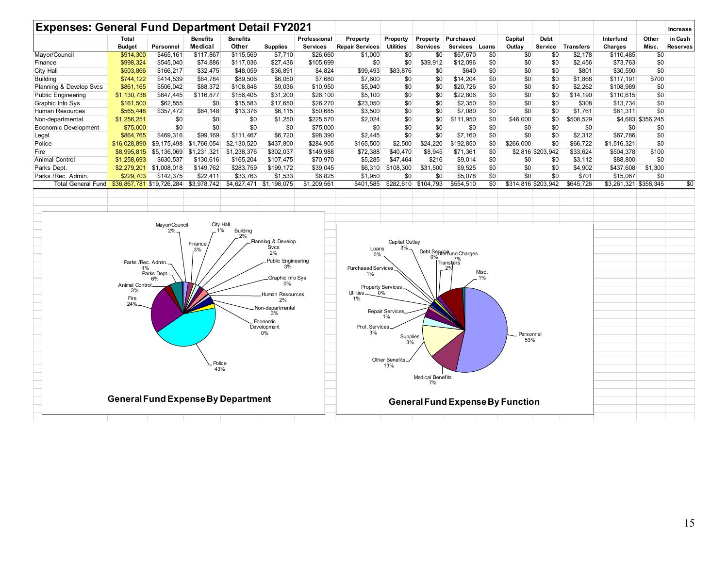|                           | Total                                                                  |                                          | <b>Benefits</b>                                                                                     | <b>Benefits</b>                                                                                  |                                                                                                                              | Professional                  | Property                                           | Property          | Property              | Purchased                               |     | Capital   | <b>Debt</b>         |                              | Interfund             | Other             | in Cash         |
|---------------------------|------------------------------------------------------------------------|------------------------------------------|-----------------------------------------------------------------------------------------------------|--------------------------------------------------------------------------------------------------|------------------------------------------------------------------------------------------------------------------------------|-------------------------------|----------------------------------------------------|-------------------|-----------------------|-----------------------------------------|-----|-----------|---------------------|------------------------------|-----------------------|-------------------|-----------------|
| Mayor/Council             | <b>Budget</b><br>\$914,300                                             | Personnel<br>\$465,161                   | Medical<br>\$117,867                                                                                | Other<br>\$115,569                                                                               | <b>Supplies</b>                                                                                                              | <b>Services</b>               | <b>Repair Services</b>                             | Utilities<br>\$0  | Services              | Services Loans<br>\$67,670              | \$0 | Outlay    | \$0                 | Service Transfers<br>\$2,178 | Charges               | Misc.<br>\$0      | <b>Reserves</b> |
|                           | \$998,324                                                              | \$545,040                                | \$74,886                                                                                            | \$117,036                                                                                        | \$7,710<br>\$27,436                                                                                                          | \$26,660<br>\$105,699         | \$1,000<br>\$0                                     | \$0               | \$0<br>\$39,912       |                                         | \$0 | \$0       | \$0                 | \$2,456                      | \$110,485<br>\$73,763 | \$0               |                 |
| Finance                   |                                                                        |                                          |                                                                                                     |                                                                                                  |                                                                                                                              |                               |                                                    |                   |                       | \$12,096                                |     | \$0       |                     |                              |                       |                   |                 |
| City Hall                 | \$503,866                                                              | \$166,217                                | \$32,475                                                                                            | \$48,059                                                                                         | \$36,891                                                                                                                     | \$4,824                       | \$99,493                                           | \$83,876          | \$0                   | \$640                                   | \$0 | \$0       | \$0                 | \$801                        | \$30,590              | \$0               |                 |
| <b>Building</b>           | \$744,122                                                              | \$414,539                                | \$84,784                                                                                            | \$89,506                                                                                         | \$6,050                                                                                                                      | \$7,680                       | \$7,600                                            | \$0               | \$0                   | \$14,204                                | \$0 | \$0       | \$0                 | \$1,868                      | \$117,191             | \$700             |                 |
| Planning & Develop Svcs   | \$861,165                                                              | \$506,042                                | \$88,372                                                                                            | \$108,848                                                                                        | \$9,036                                                                                                                      | \$10,950                      | \$5,940                                            | \$0               | \$0                   | \$20,726                                | \$0 | \$0       | \$0                 | \$2,262                      | \$108,989             | \$0               |                 |
| <b>Public Engineering</b> | \$1,130,738                                                            | \$647,445                                | \$116,877                                                                                           | \$156,405                                                                                        | \$31,200                                                                                                                     | \$26,100                      | \$5,100                                            | \$0               | \$0                   | \$22,806                                | \$0 | \$0       | \$0                 | \$14,190                     | \$110,615             | \$0               |                 |
| Graphic Info Sys          | \$161,500                                                              | \$62,555                                 | \$0                                                                                                 | \$15,583                                                                                         | \$17,650                                                                                                                     | \$26,270                      | \$23,050                                           | \$0               | \$0                   | \$2,350                                 | \$0 | \$0       | \$0                 | \$308                        | \$13,734              | \$0               |                 |
| Human Resources           | \$565,448                                                              | \$357,472                                | \$64,148                                                                                            | \$13,376                                                                                         | \$6,115                                                                                                                      | \$50,685                      | \$3,500                                            | \$0               | \$0                   | \$7,080                                 | \$0 | \$0       | \$0                 | \$1,761                      | \$61,311              | \$0               |                 |
| Non-departmental          | \$1,256,251                                                            | \$0                                      | \$0                                                                                                 | \$0                                                                                              | \$1,250                                                                                                                      | \$225,570                     | \$2,024                                            | \$0               | \$0                   | \$111,950                               | \$0 | \$46,000  | \$0                 | \$508,529                    |                       | \$4,683 \$356,245 |                 |
| Economic Development      | \$75,000                                                               | \$0                                      | \$0                                                                                                 | \$0                                                                                              | \$0                                                                                                                          | \$75,000                      | \$0                                                | \$0               | \$0                   | \$0                                     | \$0 | \$0       | \$0                 | \$0                          | \$0                   | \$0               |                 |
| Legal                     | \$864,765                                                              | \$469,316                                | \$99,169                                                                                            | \$111,467                                                                                        | \$6,720                                                                                                                      | \$98,390                      | \$2,445                                            | \$0               | \$0                   | \$7,160                                 | \$0 | \$0       | \$0                 | \$2,312                      | \$67,786              | \$0               |                 |
| Police                    | \$16,028,890                                                           |                                          | \$9,175,498 \$1,766,054                                                                             | \$2,130,520                                                                                      | \$437,800                                                                                                                    | \$284,905                     | \$165,500                                          | \$2,500           | \$24,220              | \$192,850                               | \$0 | \$266,000 | \$0                 | \$66,722                     | \$1,516,321           | \$0               |                 |
| Fire                      |                                                                        | $$8,995,815$ $$5,136,069$ $$1,231,321$   |                                                                                                     | \$1,238,376                                                                                      | \$302,037                                                                                                                    | \$149,988                     | \$72,388                                           | \$40,470          | \$8,945               | \$71,361                                | \$0 |           | \$2,816 \$203,942   | \$33,624                     | \$504,378             | \$100             |                 |
| <b>Animal Control</b>     | \$1,258,693                                                            | \$630,537                                | \$130,616                                                                                           | \$165,204                                                                                        | \$107,475                                                                                                                    | \$70,970                      | \$5,285                                            | \$47,464          | \$216                 | \$9,014                                 | \$0 | \$0       | \$0                 | \$3,112                      | \$88,800              | \$0               |                 |
| Parks Dept.               |                                                                        | \$2,279,201 \$1,008,018                  | \$149,762                                                                                           | \$283,759                                                                                        | \$199,172                                                                                                                    | \$39,045                      |                                                    | \$6,310 \$108,300 | \$31,500              | \$9,525                                 | \$0 | \$0       | \$0                 | \$4,902                      | \$437,608             | \$1,300           |                 |
| Parks / Rec. Admin.       | \$229,703                                                              | \$142,375                                | \$22,411                                                                                            | \$33,763                                                                                         | \$1,533                                                                                                                      | \$6,825                       | \$1,950                                            | \$0               | \$0                   | \$5,078                                 | \$0 | \$0       | \$0                 | \$701                        | \$15,067              | \$0               |                 |
| Total General Fund        | \$36,867,781 \$19,726,284                                              |                                          | \$3,978,742                                                                                         | \$4,627,471 \$1,198,075                                                                          |                                                                                                                              | \$1,209,561                   | \$401,585                                          |                   | $$282,610$ $$104,793$ | \$554,510                               | \$0 |           | \$314,816 \$203,942 | \$645,726                    | \$3,261,321 \$358,345 |                   | \$0             |
|                           | Parks /Rec. Admin.<br>1%<br><b>Animal Control</b><br>3%<br>Fire<br>24% | Mayor/Council<br>2%<br>Parks Dept.<br>6% | Planning & Develop<br>Public Engineering<br>Graphic Info Sys<br>Human Resources<br>Non-departmental | Loans<br>0%<br><b>Purchased Services</b><br>1%<br><b>Utilities</b><br>1%<br>Prof. Services<br>3% | Capital Outlay<br>3%<br>Property Services.<br>0%<br><b>Repair Services</b><br>1%<br>Supplies<br>3%<br>Other Benefits.<br>13% | 0%<br><b>Medical Benefits</b> | Debt Service und Charges<br>7%<br>Transfers <br>29 | Misc.<br>1%       | Personnel<br>53%      |                                         |     |           |                     |                              |                       |                   |                 |
|                           | <b>General Fund Expense By Department</b>                              |                                          |                                                                                                     |                                                                                                  |                                                                                                                              |                               |                                                    |                   | 7%                    | <b>General Fund Expense By Function</b> |     |           |                     |                              |                       |                   |                 |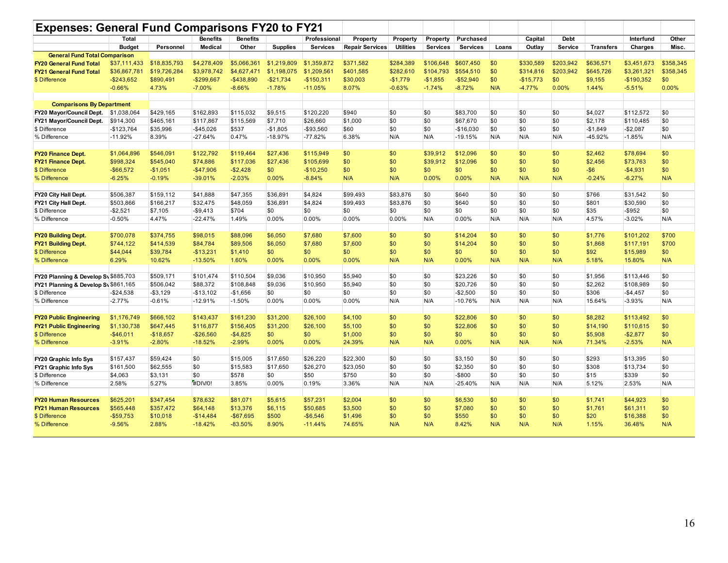| <b>Expenses: General Fund Comparisons FY20 to FY21</b> |               |              |                 |                 |                 |                 |                        |                  |                 |                 |       |            |             |                  |             |           |
|--------------------------------------------------------|---------------|--------------|-----------------|-----------------|-----------------|-----------------|------------------------|------------------|-----------------|-----------------|-------|------------|-------------|------------------|-------------|-----------|
|                                                        | <b>Total</b>  |              | <b>Benefits</b> | <b>Benefits</b> |                 | Professional    | Property               | Property         | Property        | Purchased       |       | Capital    | <b>Debt</b> |                  | Interfund   | Other     |
|                                                        | <b>Budget</b> | Personnel    | <b>Medical</b>  | Other           | <b>Supplies</b> | <b>Services</b> | <b>Repair Services</b> | <b>Utilities</b> | <b>Services</b> | <b>Services</b> | Loans | Outlay     | Service     | <b>Transfers</b> | Charges     | Misc.     |
| <b>General Fund Total Comparison</b>                   |               |              |                 |                 |                 |                 |                        |                  |                 |                 |       |            |             |                  |             |           |
| <b>FY20 General Fund Total</b>                         | \$37,111,433  | \$18,835,793 | \$4,278,409     | \$5,066,361     | \$1,219,809     | \$1,359,872     | \$371,582              | \$284,389        | \$106,648       | \$607.450       | \$0   | \$330,589  | \$203,942   | \$636,571        | \$3,451,673 | \$358,345 |
| <b>FY21 General Fund Total</b>                         | \$36,867,781  | \$19,726,284 | \$3,978,742     | \$4,627,471     | \$1,198,075     | \$1,209,561     | \$401,585              | \$282,610        | \$104.793       | \$554,510       | \$0   | \$314,816  | \$203.942   | \$645,726        | \$3,261,321 | \$358.345 |
| \$ Difference                                          | $-$ \$243.652 | \$890,491    | $-$299,667$     | $-$438,890$     | $-$21,734$      | $-$150,311$     | \$30,003               | $-$1,779$        | $-$1,855$       | $-$52,940$      | \$0   | $-$15,773$ | \$0         | \$9,155          | $-$190,352$ | \$0       |
|                                                        | $-0.66%$      | 4.73%        | $-7.00%$        | $-8.66%$        | $-1.78%$        | $-11.05%$       | 8.07%                  | $-0.63%$         | $-1.74%$        | $-8.72%$        | N/A   | $-4.77%$   | 0.00%       | 1.44%            | $-5.51%$    | 0.00%     |
|                                                        |               |              |                 |                 |                 |                 |                        |                  |                 |                 |       |            |             |                  |             |           |
| <b>Comparisons By Department</b>                       |               |              |                 |                 |                 |                 |                        |                  |                 |                 |       |            |             |                  |             |           |
| FY20 Mayor/Council Dept.                               | \$1,038,064   | \$429,165    | \$162,893       | \$115,032       | \$9,515         | \$120,220       | \$940                  | \$0              | \$0             | \$83,700        | \$0   | \$0        | \$0         | \$4,027          | \$112,572   | \$0       |
| FY21 Mayor/Council Dept.                               | \$914,300     | \$465,161    | \$117,867       | \$115,569       | \$7,710         | \$26,660        | \$1,000                | \$0              | \$0             | \$67,670        | \$0   | \$0        | \$0         | \$2,178          | \$110,485   | \$0       |
| \$ Difference                                          | $-$123,764$   | \$35,996     | $-$45,026$      | \$537           | $-$1.805$       | $-$93,560$      | \$60                   | \$0              | \$0             | $-$16,030$      | \$0   | \$0        | \$0         | $-$1.849$        | $-$2,087$   | \$0       |
| % Difference                                           | $-11.92%$     | 8.39%        | $-27.64%$       | 0.47%           | $-18.97%$       | $-77.82%$       | 6.38%                  | N/A              | N/A             | $-19.15%$       | N/A   | N/A        | N/A         | -45.92%          | $-1.85%$    | N/A       |
|                                                        |               |              |                 |                 |                 |                 |                        |                  |                 |                 |       |            |             |                  |             |           |
| <b>FY20 Finance Dept.</b>                              | \$1,064,896   | \$546,091    | \$122,792       | \$119,464       | \$27.436        | \$115,949       | \$0                    | \$0              | \$39,912        | \$12,096        | \$0   | \$0        | \$0         | \$2,462          | \$78,694    | \$0       |
| <b>FY21 Finance Dept.</b>                              | \$998,324     | \$545,040    | \$74,886        | \$117,036       | \$27,436        | \$105,699       | \$0                    | \$0              | \$39,912        | \$12,096        | \$0   | \$0        | \$0         | \$2,456          | \$73,763    | \$0       |
| \$ Difference                                          | $-$66,572$    | $-$1,051$    | $-$47,906$      | $-$2,428$       | \$0             | $-$10,250$      | \$0                    | \$0              | \$0             | \$0             | \$0   | \$0        | \$0         | $-$ \$6          | $-$4,931$   | \$0       |
| % Difference                                           | $-6.25%$      | $-0.19%$     | $-39.01%$       | $-2.03%$        | 0.00%           | $-8.84%$        | N/A                    | N/A              | 0.00%           | 0.00%           | N/A   | N/A        | N/A         | $-0.24%$         | $-6.27%$    | N/A       |
|                                                        |               |              |                 |                 |                 |                 |                        |                  |                 |                 |       |            |             |                  |             |           |
| FY20 City Hall Dept.                                   | \$506,387     | \$159,112    | \$41,888        | \$47,355        | \$36.891        | \$4,824         | \$99,493               | \$83,876         | \$0             | \$640           | \$0   | \$0        | \$0         | \$766            | \$31,542    | \$0       |
| FY21 City Hall Dept.                                   | \$503,866     | \$166,217    | \$32,475        | \$48,059        | \$36.891        | \$4,824         | \$99,493               | \$83,876         | \$0             | \$640           | \$0   | \$0        | \$0         | \$801            | \$30,590    | \$0       |
| \$ Difference                                          | $-$2,521$     | \$7,105      | $-$9,413$       | \$704           | \$0             | \$0             | \$0                    | \$0              | \$0             | \$0             | \$0   | \$0        | \$0         | \$35             | $-$ \$952   | \$0       |
| % Difference                                           | $-0.50%$      | 4.47%        | $-22.47%$       | 1.49%           | 0.00%           | 0.00%           | 0.00%                  | 0.00%            | N/A             | 0.00%           | N/A   | N/A        | N/A         | 4.57%            | $-3.02%$    | N/A       |
|                                                        |               |              |                 |                 |                 |                 |                        |                  |                 |                 |       |            |             |                  |             |           |
| <b>FY20 Building Dept.</b>                             | \$700,078     | \$374,755    | \$98,015        | \$88,096        | \$6,050         | \$7,680         | \$7,600                | \$0              | \$0             | \$14,204        | \$0   | \$0        | \$0         | \$1,776          | \$101,202   | \$700     |
| <b>FY21 Building Dept.</b>                             | \$744,122     | \$414,539    | \$84,784        | \$89,506        | \$6,050         | \$7,680         | \$7,600                | \$0              | \$0             | \$14,204        | \$0   | \$0        | \$0         | \$1,868          | \$117,191   | \$700     |
| \$ Difference                                          | \$44,044      | \$39,784     | $-$13,231$      | \$1,410         | \$0             | \$0             | \$0                    | \$0              | \$0             | \$0             | \$0   | \$0        | \$0         | \$92             | \$15,989    | \$0       |
| % Difference                                           | 6.29%         | 10.62%       | $-13.50%$       | 1.60%           | 0.00%           | 0.00%           | 0.00%                  | N/A              | N/A             | 0.00%           | N/A   | N/A        | N/A         | 5.18%            | 15.80%      | N/A       |
|                                                        |               |              |                 |                 |                 |                 |                        |                  |                 |                 |       |            |             |                  |             |           |
| FY20 Planning & Develop Sv \$885,703                   |               | \$509,171    | \$101,474       | \$110,504       | \$9,036         | \$10,950        | \$5.940                | \$0              | \$0             | \$23,226        | \$0   | \$0        | \$0         | \$1,956          | \$113,446   | \$0       |
| FY21 Planning & Develop Sv \$861,165                   |               | \$506,042    | \$88,372        | \$108,848       | \$9,036         | \$10,950        | \$5,940                | \$0              | \$0             | \$20,726        | \$0   | \$0        | \$0         | \$2,262          | \$108,989   | \$0       |
| \$ Difference                                          | $-$24,538$    | $- $3,129$   | $-$13,102$      | $-$1,656$       | \$0             | \$0             | \$0                    | \$0              | \$0             | $-$2,500$       | \$0   | \$0        | \$0         | \$306            | $-$4,457$   | \$0       |
| % Difference                                           | $-2.77%$      | $-0.61%$     | $-12.91%$       | $-1.50%$        | 0.00%           | 0.00%           | 0.00%                  | N/A              | N/A             | $-10.76%$       | N/A   | N/A        | N/A         | 15.64%           | $-3.93%$    | N/A       |
|                                                        |               |              |                 |                 |                 |                 |                        |                  |                 |                 |       |            |             |                  |             |           |
| <b>FY20 Public Engineering</b>                         | \$1,176,749   | \$666,102    | \$143.437       | \$161,230       | \$31.200        | \$26,100        | \$4,100                | \$0              | \$0             | \$22,806        | \$0   | \$0        | \$0         | \$8,282          | \$113,492   | \$0       |
| <b>FY21 Public Engineering</b>                         | \$1,130,738   | \$647,445    | \$116,877       | \$156,405       | \$31,200        | \$26,100        | \$5,100                | \$0              | \$0             | \$22,806        | \$0   | \$0        | \$0         | \$14,190         | \$110,615   | \$0       |
| \$ Difference                                          | $-$46,011$    | $-$18,657$   | $-$26,560$      | $-$4,825$       | \$0             | \$0             | \$1,000                | \$0              | \$0             | \$0             | \$0   | \$0        | \$0         | \$5,908          | $-$2,877$   | \$0       |
| % Difference                                           | $-3.91%$      | $-2.80%$     | $-18.52%$       | $-2.99%$        | 0.00%           | 0.00%           | 24.39%                 | N/A              | N/A             | 0.00%           | N/A   | N/A        | N/A         | 71.34%           | $-2.53%$    | N/A       |
|                                                        |               |              |                 |                 |                 |                 |                        |                  |                 |                 |       |            |             |                  |             |           |
| FY20 Graphic Info Sys                                  | \$157,437     | \$59,424     | \$0             | \$15,005        | \$17,650        | \$26,220        | \$22,300               | \$0              | \$0             | \$3,150         | \$0   | \$0        | \$0         | \$293            | \$13,395    | \$0       |
| FY21 Graphic Info Sys                                  | \$161,500     | \$62,555     | \$0             | \$15,583        | \$17,650        | \$26,270        | \$23,050               | \$0              | \$0             | \$2,350         | \$0   | \$0        | \$0         | \$308            | \$13,734    | \$0       |
| \$ Difference                                          | \$4,063       | \$3,131      | \$0             | \$578           | \$0             | \$50            | \$750                  | \$0              | \$0             | -\$800          | \$0   | \$0        | \$0         | \$15             | \$339       | \$0       |
| % Difference                                           | 2.58%         | 5.27%        | #DIV/0!         | 3.85%           | 0.00%           | 0.19%           | 3.36%                  | N/A              | N/A             | $-25.40%$       | N/A   | N/A        | N/A         | 5.12%            | 2.53%       | N/A       |
|                                                        |               |              |                 |                 |                 |                 |                        |                  |                 |                 |       |            |             |                  |             |           |
| <b>FY20 Human Resources</b>                            | \$625,201     | \$347,454    | \$78,632        | \$81,071        | \$5,615         | \$57,231        | \$2,004                | \$0              | \$0             | \$6,530         | \$0   | \$0        | \$0         | \$1,741          | \$44,923    | \$0       |
| <b>FY21 Human Resources</b>                            | \$565,448     | \$357,472    | \$64,148        | \$13,376        | \$6,115         | \$50,685        | \$3,500                | \$0              | \$0             | \$7,080         | \$0   | \$0        | \$0         | \$1,761          | \$61,311    | \$0       |
| \$ Difference                                          | $-$59,753$    | \$10,018     | $-$14,484$      | $-$67,695$      | \$500           | $-$6,546$       | \$1,496                | \$0              | \$0             | \$550           | \$0   | \$0        | \$0         | \$20             | \$16,388    | \$0       |
| % Difference                                           | $-9.56%$      | 2.88%        | $-18.42%$       | $-83.50%$       | 8.90%           | $-11.44%$       | 74.65%                 | N/A              | N/A             | 8.42%           | N/A   | N/A        | N/A         | 1.15%            | 36.48%      | N/A       |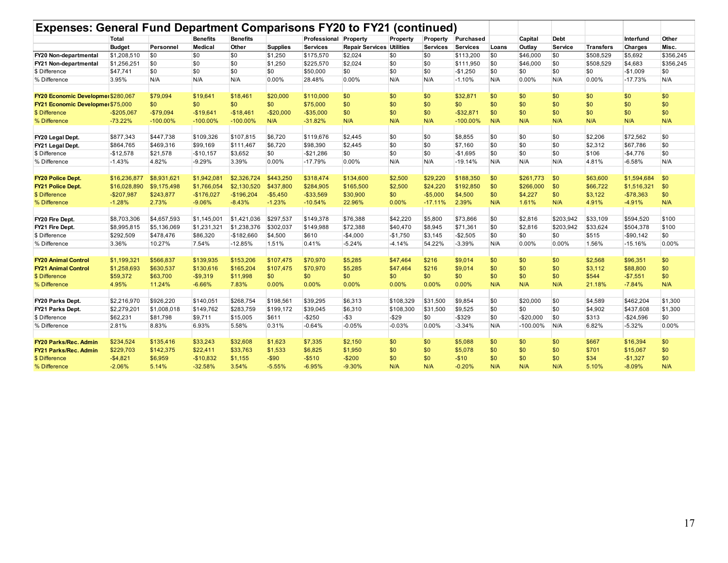|                                    | Total         |             | <b>Benefits</b> | <b>Benefits</b> |                 | Professional    | Property                         | Property  | Property  | Purchased       |             | Capital    | <b>Debt</b>    |                  | Interfund   | Other     |
|------------------------------------|---------------|-------------|-----------------|-----------------|-----------------|-----------------|----------------------------------|-----------|-----------|-----------------|-------------|------------|----------------|------------------|-------------|-----------|
|                                    | <b>Budget</b> | Personnel   | Medical         | Other           | <b>Supplies</b> | <b>Services</b> | <b>Repair Services Utilities</b> |           | Services  | <b>Services</b> | Loans       | Outlav     | <b>Service</b> | <b>Transfers</b> | Charges     | Misc.     |
| <b>FY20 Non-departmental</b>       | \$1,208,510   | \$0         | \$0             | \$0             | \$1,250         | \$175,570       | \$2,024                          | \$0       | \$0       | \$113,200       | $\sqrt{50}$ | \$46,000   | $\sqrt{50}$    | \$508,529        | \$5,692     | \$356,245 |
| FY21 Non-departmental              | \$1,256,251   | \$0         | \$0             | \$0             | \$1,250         | \$225,570       | \$2,024                          | \$0       | \$0       | \$111,950       | \$0         | \$46,000   | \$0            | \$508,529        | \$4,683     | \$356,245 |
| \$ Difference                      | \$47,741      | \$0         | \$0             | \$0             | \$0             | \$50,000        | \$0                              | \$0       | \$0       | $-$1,250$       | \$0         | \$0        | \$0            | \$0              | $-$1,009$   | \$0       |
| % Difference                       | 3.95%         | N/A         | N/A             | N/A             | 0.00%           | 28.48%          | 0.00%                            | N/A       | N/A       | $-1.10%$        | N/A         | 0.00%      | N/A            | 0.00%            | $-17.73%$   | N/A       |
| FY20 Economic Developmer \$280,067 |               | \$79,094    | \$19.641        | \$18,461        | \$20,000        | \$110,000       | \$0                              | \$0       | \$0       | \$32,871        | \$0         | \$0        | \$0            | \$0              | \$0         | \$0       |
| FY21 Economic Developmer \$75,000  |               | \$0         | \$0             | \$0             | \$0             | \$75,000        | \$0                              | \$0       | \$0       | \$0             | \$0         | \$0        | \$0            | \$0              | \$0         | \$0       |
| \$ Difference                      | $-$205,067$   | $-$79,094$  | $-$19,641$      | $-$18,461$      | $-$20,000$      | $-$35,000$      | \$0                              | \$0       | \$0       | $-$ \$32,871    | \$0         | \$0        | \$0            | \$0              | \$0         | \$0       |
| % Difference                       | $-73.22%$     | $-100.00%$  | $-100.00\%$     | $-100.00\%$     | N/A             | $-31.82%$       | N/A                              | N/A       | N/A       | $-100.00\%$     | N/A         | N/A        | N/A            | N/A              | N/A         | N/A       |
| FY20 Legal Dept.                   | \$877,343     | \$447,738   | \$109,326       | \$107,815       | \$6,720         | \$119,676       | \$2,445                          | \$0       | \$0       | \$8,855         | \$0         | \$0        | \$0            | \$2,206          | \$72,562    | \$0       |
| FY21 Legal Dept.                   | \$864,765     | \$469,316   | \$99,169        | \$111,467       | \$6,720         | \$98,390        | \$2,445                          | \$0       | \$0       | \$7,160         | \$0         | \$0        | \$0            | \$2,312          | \$67,786    | \$0       |
| \$ Difference                      | $-$12,578$    | \$21,578    | $-$10,157$      | \$3,652         | \$0             | $-$21,286$      | \$0                              | \$0       | \$0       | $-$1,695$       | \$0         | \$0        | \$0            | \$106            | $-$4,776$   | \$0       |
| % Difference                       | $-1.43%$      | 4.82%       | $-9.29%$        | 3.39%           | 0.00%           | $-17.79%$       | 0.00%                            | N/A       | N/A       | $-19.14%$       | N/A         | N/A        | N/A            | 4.81%            | $-6.58%$    | N/A       |
|                                    |               |             |                 |                 |                 |                 |                                  |           |           |                 |             |            |                |                  |             |           |
| <b>FY20 Police Dept.</b>           | \$16,236,877  | \$8,931,621 | \$1,942,081     | \$2,326,724     | \$443.250       | \$318,474       | \$134,600                        | \$2,500   | \$29,220  | \$188,350       | \$0         | \$261.773  | \$0            | \$63,600         | \$1,594,684 | \$0       |
| FY21 Police Dept.                  | \$16,028,890  | \$9,175,498 | \$1.766.054     | \$2,130,520     | \$437,800       | \$284,905       | \$165,500                        | \$2,500   | \$24,220  | \$192,850       | \$0         | \$266,000  | \$0            | \$66,722         | \$1,516,321 | \$0       |
| \$ Difference                      | $-$207,987$   | \$243,877   | $-$176,027$     | $-$196,204$     | $-$5,450$       | $-$33,569$      | \$30,900                         | \$0       | $-$5,000$ | \$4,500         | \$0         | \$4,227    | \$0            | \$3,122          | $-$78,363$  | \$0       |
| % Difference                       | $-1.28%$      | 2.73%       | $-9.06%$        | $-8.43%$        | $-1.23%$        | $-10.54%$       | 22.96%                           | 0.00%     | $-17.11%$ | 2.39%           | N/A         | 1.61%      | N/A            | 4.91%            | $-4.91%$    | N/A       |
| FY20 Fire Dept.                    | \$8,703,306   | \$4,657,593 | \$1,145,001     | \$1,421,036     | \$297,537       | \$149,378       | \$76,388                         | \$42,220  | \$5,800   | \$73,866        | \$0         | \$2,816    | \$203,942      | \$33,109         | \$594,520   | \$100     |
| FY21 Fire Dept.                    | \$8,995,815   | \$5,136,069 | \$1,231,321     | \$1,238,376     | \$302,037       | \$149,988       | \$72,388                         | \$40,470  | \$8,945   | \$71,361        | \$0         | \$2,816    | \$203,942      | \$33,624         | \$504,378   | \$100     |
| \$ Difference                      | \$292,509     | \$478,476   | \$86,320        | $-$182,660$     | \$4,500         | \$610           | $-$4,000$                        | $-$1,750$ | \$3,145   | $-$2,505$       | \$0         | \$0        | \$0            | \$515            | $-$90,142$  | \$0       |
| % Difference                       | 3.36%         | 10.27%      | 7.54%           | $-12.85%$       | 1.51%           | 0.41%           | $-5.24%$                         | $-4.14%$  | 54.22%    | $-3.39%$        | N/A         | $0.00\%$   | 0.00%          | 1.56%            | $-15.16%$   | 0.00%     |
| <b>FY20 Animal Control</b>         | \$1.199.32    | \$566.837   | \$139,935       | \$153,206       | \$107.475       | \$70,970        | \$5,285                          | \$47,464  | \$216     | \$9,014         | \$0         | \$0        | \$0            | \$2,568          | \$96,351    | \$0       |
| <b>FY21 Animal Control</b>         | \$1,258,693   | \$630,537   | \$130,616       | \$165,204       | \$107,475       | \$70,970        | \$5,285                          | \$47,464  | \$216     | \$9,014         | \$0         | \$0        | \$0            | \$3,112          | \$88,800    | \$0       |
| \$ Difference                      | \$59,372      | \$63,700    | $-$9,319$       | \$11,998        | \$0             | \$0             | \$0                              | \$0       | \$0       | \$0             | \$0         | \$0        | \$0            | \$544            | $-$7,551$   | \$0       |
| % Difference                       | 4.95%         | 11.24%      | $-6.66%$        | 7.83%           | 0.00%           | 0.00%           | 0.00%                            | $0.00\%$  | 0.00%     | 0.00%           | N/A         | N/A        | N/A            | 21.18%           | $-7.84%$    | N/A       |
| <b>FY20 Parks Dept.</b>            | \$2,216,970   | \$926.220   | \$140.051       | \$268.754       | \$198.561       | \$39,295        | \$6,313                          | \$108,329 | \$31,500  | \$9.854         | <b>SO</b>   | \$20,000   | <b>SO</b>      | \$4,589          | \$462,204   | \$1,300   |
| <b>FY21 Parks Dept.</b>            | \$2,279,201   | \$1,008,018 | \$149,762       | \$283,759       | \$199.172       | \$39,045        | \$6,310                          | \$108,300 | 31,500    | \$9.525         | \$0         | \$0        | \$0            | \$4,902          | \$437,608   | \$1,300   |
| \$ Difference                      | \$62,231      | \$81,798    | \$9,711         | \$15,005        | \$611           | $-$250$         | $-$ \$3                          | $-$29$    | \$0       | $-$ \$329       | \$0         | $-$20.000$ | \$0            | \$313            | $-$24,596$  | \$0       |
| % Difference                       | 2.81%         | 8.83%       | 6.93%           | 5.58%           | 0.31%           | $-0.64%$        | $-0.05%$                         | $-0.03%$  | 0.00%     | $-3.34%$        | N/A         | -100.00%   | N/A            | 6.82%            | $-5.32%$    | 0.00%     |
|                                    |               |             |                 |                 |                 |                 |                                  |           |           |                 |             |            |                |                  |             |           |
| <b>FY20 Parks/Rec. Admin</b>       | \$234.524     | \$135.416   | \$33,243        | \$32,608        | \$1,623         | \$7,335         | \$2,150                          | \$0       | \$0       | \$5.088         | \$0         | \$0        | \$0            | \$667            | \$16,394    | \$0       |
| <b>FY21 Parks/Rec. Admin</b>       | \$229,703     | \$142,375   | \$22,411        | \$33.763        | \$1,533         | \$6,825         | \$1,950                          | \$0       | \$0       | \$5,078         | \$0         | \$0        | \$0            | \$701            | \$15,067    | \$0       |
| \$ Difference                      | $-$4,821$     | \$6,959     | $-$10,832$      | \$1,155         | $-$ \$90        | $-$510$         | $-$200$                          | \$0       | \$0       | $-$10$          | \$0         | \$0        | \$0            | \$34             | $-$1,327$   | \$0       |
| % Difference                       | $-2.06%$      | 5.14%       | $-32.58%$       | 3.54%           | $-5.55%$        | $-6.95%$        | $-9.30%$                         | N/A       | N/A       | $-0.20%$        | N/A         | N/A        | N/A            | 5.10%            | $-8.09%$    | N/A       |
|                                    |               |             |                 |                 |                 |                 |                                  |           |           |                 |             |            |                |                  |             |           |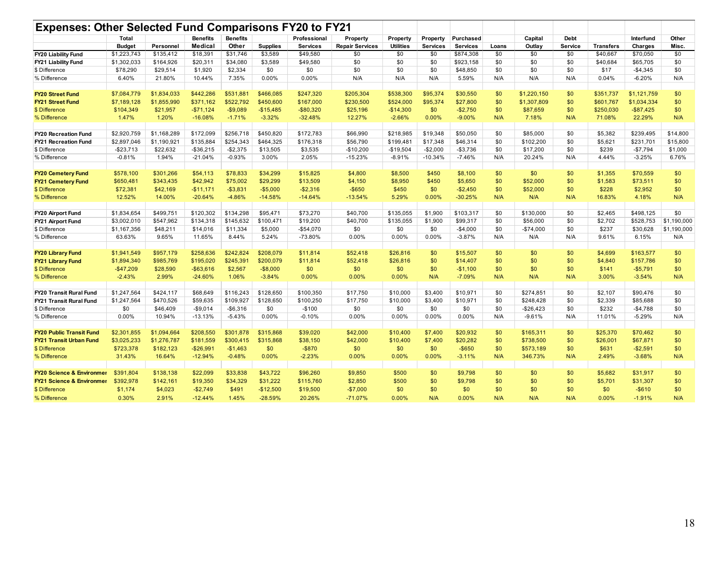| Expenses: Other Selected Fund Comparisons FY20 to FY21 |                        |                        |                      |                      |                 |                      |                        |                    |                 |                    |            |                 |             |                  |                      |             |
|--------------------------------------------------------|------------------------|------------------------|----------------------|----------------------|-----------------|----------------------|------------------------|--------------------|-----------------|--------------------|------------|-----------------|-------------|------------------|----------------------|-------------|
|                                                        | Total                  |                        | <b>Benefits</b>      | <b>Benefits</b>      |                 | Professional         | Property               | Property           | Property        | Purchased          |            | Capital         | <b>Debt</b> |                  | Interfund            | Other       |
|                                                        | <b>Budget</b>          | Personnel              | Medical              | Other                | <b>Supplies</b> | <b>Services</b>      | <b>Repair Services</b> | <b>Utilities</b>   | <b>Services</b> | <b>Services</b>    | Loans      | Outlay          | Service     | <b>Transfers</b> | Charges              | Misc.       |
| FY20 Liability Fund                                    | \$1,223,743            | \$135,412              | \$18,391             | \$31,746             | \$3.589         | \$49,580             | \$0                    | \$0                | \$0             | \$874,308          | \$0        | \$0             | \$0         | \$40,667         | \$70.050             | \$0         |
| FY21 Liability Fund                                    | \$1,302,033            | \$164,926              | \$20,311             | \$34,080             | \$3,589         | \$49,580             | \$0                    | \$0                | \$0             | \$923,158          | \$0        | \$0             | \$0         | \$40,684         | \$65,705             | \$0         |
| \$ Difference                                          | \$78,290               | \$29,514               | \$1,920              | \$2,334              | \$0             | \$0                  | \$0                    | \$0                | \$0             | \$48,850           | \$0        | \$0             | \$0         | \$17             | $-$4,345$            | \$0         |
| % Difference                                           | 6.40%                  | 21.80%                 | 10.44%               | 7.35%                | 0.00%           | 0.00%                | N/A                    | N/A                | N/A             | 5.59%              | N/A        | N/A             | N/A         | 0.04%            | $-6.20%$             | N/A         |
|                                                        |                        |                        |                      |                      |                 |                      |                        |                    |                 |                    |            |                 |             |                  |                      |             |
| <b>FY20 Street Fund</b>                                | \$7,084,779            | \$1,834,033            | \$442.286            | \$531,881            | \$466,085       | \$247.320            | \$205,304              | \$538,300          | \$95,374        | \$30,550           | \$0        | \$1,220,150     | \$0         | \$351.737        | \$1.121.759          | \$0         |
| <b>FY21 Street Fund</b>                                | \$7,189,128            | \$1,855,990            | \$371,162            | \$522,792            | \$450,600       | \$167,000            | \$230,500              | \$524,000          | \$95,374        | \$27,800           | \$0        | \$1,307,809     | \$0         | \$601,767        | \$1,034,334          | \$0         |
| \$ Difference                                          | \$104,349              | \$21,957               | $-$71,124$           | $-$9,089$            | $-$15,485$      | $-$80,320$           | \$25,196               | $-$14,300$         | \$0             | $-$2,750$          | \$0        | \$87,659        | \$0         | \$250,030        | $-$87,425$           | \$0         |
| % Difference                                           | 1.47%                  | 1.20%                  | $-16.08%$            | $-1.71%$             | $-3.32%$        | $-32.48%$            | 12.27%                 | $-2.66%$           | 0.00%           | $-9.00%$           | N/A        | 7.18%           | N/A         | 71.08%           | 22.29%               | N/A         |
|                                                        |                        |                        |                      |                      |                 |                      |                        |                    |                 |                    |            |                 |             |                  |                      |             |
| FY20 Recreation Fund                                   | \$2,920,759            | \$1,168,289            | \$172,099            | \$256,718            | \$450,820       | \$172,783            | \$66,990               | \$218,985          | \$19,348        | \$50,050           | \$0        | \$85,000        | \$0         | \$5,382          | \$239,495            | \$14,800    |
| <b>FY21 Recreation Fund</b>                            | \$2,897,046            | \$1,190,921            | \$135,884            | \$254,343            | \$464,325       | \$176,318            | \$56,790               | \$199,481          | \$17,348        | \$46,314           | \$0        | \$102.200       | \$0         | \$5.621          | \$231,701            | \$15,800    |
| \$ Difference                                          | $-$23,713$             | \$22,632               | $-$ \$36,215         | $-$2,375$            | \$13,505        | \$3,535              | $-$10,200$             | $-$19,504$         | $-$2,000$       | $-$3,736$          | \$0        | \$17,200        | \$0         | \$239            | $-$7,794$            | \$1,000     |
| % Difference                                           | $-0.81%$               | 1.94%                  | $-21.04%$            | $-0.93%$             | 3.00%           | 2.05%                | $-15.23%$              | $-8.91%$           | $-10.34%$       | $-7.46%$           | N/A        | 20.24%          | N/A         | 4.44%            | $-3.25%$             | 6.76%       |
|                                                        |                        |                        |                      |                      | \$34,299        |                      |                        |                    | \$450           |                    |            |                 |             | \$1,355          |                      |             |
| <b>FY20 Cemetery Fund</b>                              | \$578,100<br>\$650,481 | \$301,266<br>\$343,435 | \$54,113<br>\$42,942 | \$78,833<br>\$75,002 | \$29,299        | \$15,825<br>\$13,509 | \$4,800<br>\$4,150     | \$8,500<br>\$8,950 | \$450           | \$8,100<br>\$5,650 | \$0<br>\$0 | \$0<br>\$52,000 | \$0<br>\$0  | \$1,583          | \$70,559<br>\$73,511 | \$0<br>\$0  |
| <b>FY21 Cemetery Fund</b><br>\$ Difference             | \$72,381               | \$42,169               | $-$11,171$           | $-$3,831$            | $-$5,000$       | $-$2,316$            | $-$ \$650              | \$450              | \$0             | $-$2,450$          | \$0        | \$52,000        | \$0         | \$228            | \$2,952              | \$0         |
|                                                        | 12.52%                 | 14.00%                 | $-20.64%$            | $-4.86%$             | $-14.58%$       | $-14.64%$            | $-13.54%$              | 5.29%              | 0.00%           | $-30.25%$          | N/A        | N/A             | N/A         | 16.83%           | 4.18%                | N/A         |
| % Difference                                           |                        |                        |                      |                      |                 |                      |                        |                    |                 |                    |            |                 |             |                  |                      |             |
| FY20 Airport Fund                                      | \$1,834,654            | \$499,751              | \$120,302            | \$134,298            | \$95.471        | \$73,270             | \$40.700               | \$135,055          | \$1,900         | \$103,317          | \$0        | \$130,000       | \$0         | \$2,465          | \$498.125            | \$0         |
| FY21 Airport Fund                                      | \$3,002,010            | \$547,962              | \$134,318            | \$145,632            | \$100,471       | \$19,200             | \$40,700               | \$135,055          | \$1,900         | \$99,317           | \$0        | \$56,000        | \$0         | \$2,702          | \$528,753            | \$1,190,000 |
| \$ Difference                                          | \$1,167,356            | \$48,211               | \$14,016             | \$11,334             | \$5,000         | $-$54,070$           | \$0                    | \$0                | \$0             | $-$4,000$          | \$0        | $-$74,000$      | \$0         | \$237            | \$30,628             | \$1,190,000 |
| % Difference                                           | 63.63%                 | 9.65%                  | 11.65%               | 8.44%                | 5.24%           | $-73.80%$            | 0.00%                  | 0.00%              | 0.00%           | $-3.87%$           | N/A        | N/A             | N/A         | 9.61%            | 6.15%                | N/A         |
|                                                        |                        |                        |                      |                      |                 |                      |                        |                    |                 |                    |            |                 |             |                  |                      |             |
| <b>FY20 Library Fund</b>                               | \$1,941,549            | \$957,179              | \$258,636            | \$242,824            | \$208,079       | \$11,814             | \$52,418               | \$26,816           | \$0             | \$15,507           | \$0        | \$0             | \$0         | \$4,699          | \$163,577            | \$0         |
| <b>FY21 Library Fund</b>                               | \$1,894,340            | \$985,769              | \$195,020            | \$245,391            | \$200,079       | \$11,814             | \$52,418               | \$26,816           | \$0             | \$14,407           | \$0        | \$0             | \$0         | \$4,840          | \$157,786            | \$0         |
| \$ Difference                                          | $-$47,209$             | \$28,590               | $-$63,616$           | \$2,567              | $-$8,000$       | \$0                  | \$0                    | \$0                | \$0             | $-$1,100$          | \$0        | \$0             | \$0         | \$141            | $-$5,791$            | \$0         |
| % Difference                                           | $-2.43%$               | 2.99%                  | $-24.60%$            | 1.06%                | $-3.84%$        | 0.00%                | 0.00%                  | 0.00%              | N/A             | $-7.09%$           | N/A        | N/A             | N/A         | 3.00%            | $-3.54%$             | N/A         |
|                                                        |                        |                        |                      |                      |                 |                      |                        |                    |                 |                    |            |                 |             |                  |                      |             |
| FY20 Transit Rural Fund                                | \$1,247,564            | \$424,117              | \$68,649             | \$116,243            | \$128,650       | \$100,350            | \$17,750               | \$10,000           | \$3,400         | \$10,971           | \$0        | \$274,851       | \$0         | \$2,107          | \$90,476             | \$0         |
| <b>FY21 Transit Rural Fund</b>                         | \$1,247,564            | \$470,526              | \$59,635             | \$109,927            | \$128,650       | \$100,250            | \$17,750               | \$10,000           | \$3,400         | \$10,971           | \$0        | \$248,428       | \$0         | \$2,339          | \$85,688             | \$0         |
| \$ Difference                                          | \$0                    | \$46,409               | $-$9,014$            | $-$6,316$            | \$0             | $-$100$              | \$0                    | \$0                | \$0             | \$0                | \$0        | $-$26,423$      | \$0         | \$232            | $-$4,788$            | \$0         |
| % Difference                                           | 0.00%                  | 10.94%                 | $-13.13%$            | $-5.43%$             | 0.00%           | $-0.10%$             | 0.00%                  | 0.00%              | 0.00%           | 0.00%              | N/A        | $-9.61%$        | N/A         | 11.01%           | $-5.29%$             | N/A         |
|                                                        |                        |                        |                      |                      |                 |                      |                        |                    |                 |                    |            |                 |             |                  |                      |             |
| <b>FY20 Public Transit Fund</b>                        | \$2,301,855            | \$1,094,664            | \$208,550            | \$301,878            | \$315,868       | \$39,020             | \$42,000               | \$10,400           | \$7,400         | \$20,932           | \$0        | \$165,311       | \$0         | \$25,370         | \$70,462             | \$0         |
| <b>FY21 Transit Urban Fund</b>                         | \$3,025,233            | \$1,276,787            | \$181,559            | \$300,415            | \$315,868       | \$38,150             | \$42,000               | \$10,400           | \$7,400         | \$20,282           | \$0        | \$738,500       | \$0         | \$26,001         | \$67,871             | \$0         |
| \$ Difference                                          | \$723,378              | \$182,123              | $-$ \$26,991         | $-$1,463$            | \$0             | $-$870$              | \$0                    | \$0                | \$0             | $-$ \$650          | \$0        | \$573,189       | \$0         | \$631            | $-$2,591$            | \$0         |
| % Difference                                           | 31.43%                 | 16.64%                 | $-12.94%$            | $-0.48%$             | 0.00%           | $-2.23%$             | 0.00%                  | 0.00%              | 0.00%           | $-3.11%$           | N/A        | 346.73%         | N/A         | 2.49%            | $-3.68%$             | N/A         |
|                                                        |                        |                        |                      |                      |                 |                      |                        |                    |                 |                    |            |                 |             |                  |                      |             |
| <b>FY20 Science &amp; Environmer</b>                   | \$391,804              | \$138,138              | \$22,099             | \$33,838             | \$43,722        | \$96,260             | \$9,850                | \$500              | \$0             | \$9,798            | \$0        | \$0             | \$0         | \$5,682          | \$31,917             | \$0         |
| <b>FY21 Science &amp; Environmer</b>                   | \$392,978              | \$142,161              | \$19,350             | \$34,329             | \$31,222        | \$115,760            | \$2,850                | \$500              | \$0             | \$9,798            | \$0        | \$0             | \$0         | \$5,701          | \$31,307             | \$0         |
| \$ Difference                                          | \$1,174                | \$4,023                | $-$2,749$            | \$491                | $-$12,500$      | \$19,500             | $-$7,000$              | \$0                | \$0             | \$0                | \$0        | \$0             | \$0         | \$0              | $-$610$              | \$0         |
| % Difference                                           | 0.30%                  | 2.91%                  | $-12.44%$            | 1.45%                | $-28.59%$       | 20.26%               | $-71.07%$              | 0.00%              | N/A             | 0.00%              | N/A        | N/A             | N/A         | 0.00%            | $-1.91%$             | N/A         |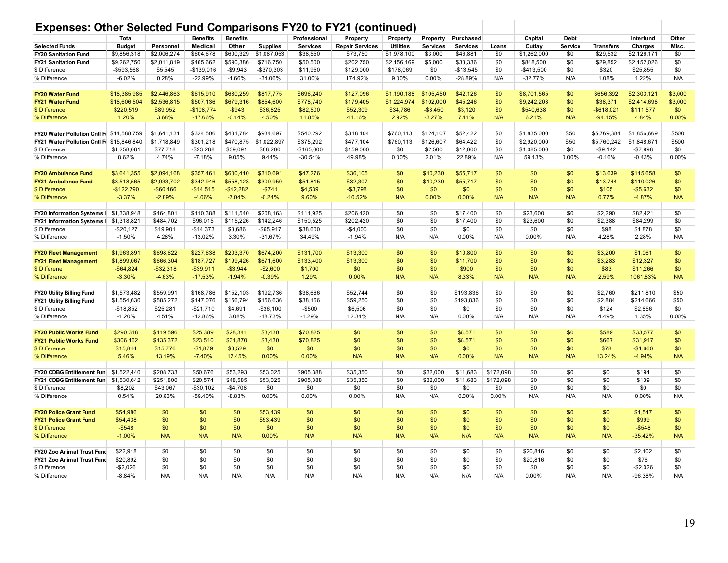| Expenses: Other Selected Fund Comparisons FY20 to FY21 (continued) | Total         |              | <b>Benefits</b> | <b>Benefits</b> |                 | Professional    | Property               | Property         | Property        | Purchased       |           | Capital     | Debt    |                  | Interfund   | Other   |
|--------------------------------------------------------------------|---------------|--------------|-----------------|-----------------|-----------------|-----------------|------------------------|------------------|-----------------|-----------------|-----------|-------------|---------|------------------|-------------|---------|
| <b>Selected Funds</b>                                              | <b>Budget</b> | Personnel    | Medical         | Other           | <b>Supplies</b> | <b>Services</b> | <b>Repair Services</b> | <b>Utilities</b> | <b>Services</b> | <b>Services</b> | Loans     | Outlay      | Service | <b>Transfers</b> | Charges     | Misc.   |
| <b>FY20 Sanitation Fund</b>                                        | \$9,856,318   | \$2,006,274  | \$604,678       | \$600,329       | \$1,087,053     | \$38,550        | \$73,750               | \$1,978,100      | \$3,000         | \$46,881        | \$0       | \$1,262,000 | \$0     | \$29,532         | \$2,126,171 | \$0     |
| <b>FY21 Sanitation Fund</b>                                        | \$9,262,750   | \$2,011,819  | \$465,662       | \$590,386       | \$716,750       | \$50,500        | \$202,750              | \$2,156,169      | \$5,000         | \$33,336        | \$0       | \$848,500   | \$0     | \$29,852         | \$2,152,026 | \$0     |
| \$ Difference                                                      | -\$593,568    | \$5,545      | $-$139,016$     | $-$9,943$       | -\$370,303      | \$11,950        | \$129,000              | \$178,069        | \$0             | $-$13,545$      | \$0       | $-$413,500$ | \$0     | \$320            | \$25,855    | \$0     |
| % Difference                                                       | $-6.02%$      | 0.28%        | $-22.99%$       | $-1.66%$        | $-34.06%$       | 31.00%          | 174.92%                | 9.00%            | 0.00%           | -28.89%         | N/A       | $-32.77%$   | N/A     | 1.08%            | 1.22%       | N/A     |
|                                                                    |               |              |                 |                 |                 |                 |                        |                  |                 |                 |           |             |         |                  |             |         |
| <b>FY20 Water Fund</b>                                             |               |              | \$615,910       |                 |                 |                 |                        |                  |                 |                 | \$0       |             | \$0     |                  |             |         |
| <b>FY21 Water Fund</b>                                             | \$18,385,985  | \$2,446,863  |                 | \$680,259       | \$817,775       | \$696,240       | \$127,096              | \$1,190,188      | \$105,450       | \$42,126        |           | \$8,701,565 |         | \$656,392        | \$2,303,121 | \$3,000 |
|                                                                    | \$18,606,504  | \$2,536,815  | \$507,136       | \$679,316       | \$854,600       | \$778,740       | \$179,405              | \$1,224,974      | \$102,000       | \$45,246        | \$0       | \$9,242,203 | \$0     | \$38,371         | \$2,414,698 | \$3,000 |
| \$ Difference                                                      | \$220,519     | \$89,952     | $-$108,774$     | $-$ \$943       | \$36,825        | \$82,500        | \$52,309               | \$34,786         | $-$3,450$       | \$3,120         | \$0       | \$540,638   | \$0     | $-$ \$618,021    | \$111,577   | \$0     |
| % Difference                                                       | 1.20%         | 3.68%        | $-17.66%$       | $-0.14%$        | 4.50%           | 11.85%          | 41.16%                 | 2.92%            | $-3.27%$        | 7.41%           | N/A       | 6.21%       | N/A     | $-94.15%$        | 4.84%       | 0.00%   |
|                                                                    |               |              |                 |                 |                 |                 |                        |                  |                 |                 |           |             |         |                  |             |         |
| FY20 Water Pollution Cntl Fi \$14,588,759                          |               | \$1,641,131  | \$324,506       | \$431.784       | \$934,697       | \$540,292       | \$318,104              | \$760.113        | \$124,107       | \$52.422        | \$0       | \$1,835,000 | \$50    | \$5,769,384      | \$1,856,669 | \$500   |
| <b>FY21 Water Pollution Cntl Ft \$15,846,840</b>                   |               | \$1,718,849  | \$301,218       | \$470,875       | \$1,022,897     | \$375,292       | \$477,104              | \$760,113        | \$126,607       | \$64,422        | \$0       | \$2,920,000 | \$50    | \$5,760,242      | \$1,848,671 | \$500   |
| \$ Difference                                                      | \$1,258,081   | \$77,718     | $-$23,288$      | \$39,091        | \$88,200        | $-$165,000$     | \$159,000              | \$0              | \$2,500         | \$12,000        | \$0       | \$1,085,000 | \$0     | $-$9,142$        | $-$7,998$   | \$0     |
| % Difference                                                       | 8.62%         | 4.74%        | $-7.18%$        | 9.05%           | 9.44%           | $-30.54%$       | 49.98%                 | 0.00%            | 2.01%           | 22.89%          | N/A       | 59.13%      | 0.00%   | $-0.16%$         | $-0.43%$    | 0.00%   |
|                                                                    |               |              |                 |                 |                 |                 |                        |                  |                 |                 |           |             |         |                  |             |         |
| <b>FY20 Ambulance Fund</b>                                         | \$3,641,355   | \$2,094,168  | \$357,461       | \$600,410       | \$310,691       | \$47,276        | \$36,105               | \$0              | \$10,230        | \$55,717        | \$0       | \$0         | \$0     | \$13,639         | \$115,658   | \$0     |
| <b>FY21 Ambulance Fund</b>                                         | \$3,518,565   | \$2,033,702  | \$342,946       | \$558,128       | \$309,950       | \$51,815        | \$32,307               | \$0              | \$10,230        | \$55,717        | \$0       | \$0         | \$0     | \$13,744         | \$110,026   | \$0     |
| \$ Difference                                                      | $-$122,790$   | $-$60,466$   | $-$14,515$      | $-$42,282$      | $-$741$         | \$4,539         | $-$3,798$              | \$0              | \$0             | \$0             | \$0       | \$0         | \$0     | \$105            | $-$5,632$   | \$0     |
| % Difference                                                       | $-3.37%$      | $-2.89%$     | $-4.06%$        | $-7.04%$        | $-0.24%$        | 9.60%           | $-10.52%$              | N/A              | 0.00%           | 0.00%           | N/A       | N/A         | N/A     | 0.77%            | $-4.87%$    | N/A     |
|                                                                    |               |              |                 |                 |                 |                 |                        |                  |                 |                 |           |             |         |                  |             |         |
| <b>FY20 Information Systems I</b>                                  | \$1,338,948   | \$464,801    | \$110,388       | \$111,540       | \$208,163       | \$111,925       | \$206,420              | \$0              | \$0             | \$17,400        | \$0       | \$23,600    | \$0     | \$2.290          | \$82,421    | \$0     |
| FY21 Information Systems   \$1,318,821                             |               | \$484,702    | \$96,015        | \$115,226       | \$142,246       | \$150,525       | \$202,420              | \$0              | \$0             | \$17,400        | \$0       | \$23,600    | \$0     | \$2,388          | \$84,299    | \$0     |
| \$ Difference                                                      | $-$20,127$    | \$19,901     | $-$14,373$      | \$3,686         | $-$65,917$      | \$38,600        | $-$4,000$              | \$0              | \$0             | \$0             | \$0       | \$0         | \$0     | \$98             | \$1,878     | \$0     |
| % Difference                                                       | $-1.50%$      | 4.28%        | $-13.02%$       | 3.30%           | $-31.67%$       | 34.49%          | $-1.94%$               | N/A              | N/A             | 0.00%           | N/A       | 0.00%       | N/A     | 4.28%            | 2.28%       | N/A     |
|                                                                    |               |              |                 |                 |                 |                 |                        |                  |                 |                 |           |             |         |                  |             |         |
| <b>FY20 Fleet Management</b>                                       | \$1,963,891   | \$698,622    | \$227,638       | \$203,370       | \$674,200       | \$131,700       | \$13,300               | \$0              | \$0             | \$10,800        | \$0       | \$0         | \$0     | \$3,200          | \$1,061     | \$0     |
| <b>FY21 Fleet Management</b>                                       | \$1,899,067   | \$666,304    | \$187,727       | \$199,426       | \$671,600       | \$133,400       | \$13,300               | \$0              | \$0             | \$11,700        | \$0       | \$0         | \$0     | \$3,283          | \$12,327    | \$0     |
| \$ Differene                                                       | $-$64,824$    | $-$ \$32,318 | -\$39,911       | $-$3,944$       | $-$2,600$       | \$1,700         | \$0                    | \$0              | \$0             | \$900           | \$0       | \$0         | \$0     | \$83             | \$11,266    | \$0     |
| % Difference                                                       | $-3.30%$      | $-4.63%$     | $-17.53%$       | $-1.94%$        | $-0.39%$        | 1.29%           | 0.00%                  | N/A              | N/A             | 8.33%           | N/A       | N/A         | N/A     | 2.59%            | 1061.83%    | N/A     |
|                                                                    |               |              |                 |                 |                 |                 |                        |                  |                 |                 |           |             |         |                  |             |         |
| FY20 Utility Billing Fund                                          | \$1,573,482   | \$559,991    | \$168,786       | \$152,103       | \$192,736       | \$38,666        | \$52,744               | \$0              | \$0             | \$193,836       | \$0       | \$0         | \$0     | \$2,760          | \$211,810   | \$50    |
| FY21 Utility Billing Fund                                          | \$1,554,630   | \$585,272    | \$147,076       | \$156,794       | \$156,636       | \$38,166        | \$59,250               | \$0              | \$0             | \$193,836       | \$0       | \$0         | \$0     | \$2.884          | \$214,666   | \$50    |
| \$ Difference                                                      | $-$18.852$    | \$25,281     | $-$21,710$      | \$4,691         | $-$36,100$      | $-$500$         | \$6,506                | \$0              | \$0             | \$0             | \$0       | \$0         | \$0     | \$124            | \$2,856     | \$0     |
| % Difference                                                       | $-1.20%$      | 4.51%        | $-12.86%$       | 3.08%           | $-18.73%$       | $-1.29%$        | 12.34%                 | N/A              | N/A             | 0.00%           | N/A       | N/A         | N/A     | 4.49%            | 1.35%       | 0.00%   |
|                                                                    |               |              |                 |                 |                 |                 |                        |                  |                 |                 |           |             |         |                  |             |         |
| <b>FY20 Public Works Fund</b>                                      | \$290,318     | \$119,596    | \$25,389        | \$28,341        | \$3,430         | \$70,825        | \$0                    | \$0              | \$0             | \$8,571         | \$0       | \$0         | \$0     | \$589            | \$33,577    | \$0     |
| <b>FY21 Public Works Fund</b>                                      | \$306.162     | \$135.372    | \$23,510        | \$31,870        | \$3,430         | \$70.825        | \$0                    | \$0              | \$0             | \$8,571         | \$0       | \$0         | \$0     | \$667            | \$31.917    | \$0     |
|                                                                    |               |              |                 |                 |                 |                 |                        |                  |                 |                 |           |             |         |                  |             |         |
| \$ Difference                                                      | \$15,844      | \$15,776     | $-$1,879$       | \$3,529         | \$0             | \$0             | \$0                    | \$0              | \$0             | \$0             | \$0       | \$0         | \$0     | \$78             | $-$1,660$   | \$0     |
| % Difference                                                       | 5.46%         | 13.19%       | $-7.40%$        | 12.45%          | 0.00%           | 0.00%           | N/A                    | N/A              | N/A             | 0.00%           | N/A       | N/A         | N/A     | 13.24%           | $-4.94%$    | N/A     |
|                                                                    |               |              |                 |                 |                 |                 |                        |                  |                 |                 |           |             |         |                  |             |         |
| FY20 CDBG Entitlement Fund \$1,522,440                             |               | \$208,733    | \$50,676        | \$53,293        | \$53,025        | \$905,388       | \$35,350               | \$0              | \$32,000        | \$11,683        | \$172,098 | \$0         | \$0     | \$0              | \$194       | \$0     |
| FY21 CDBG Entitlement Fund \$1,530,642                             |               | \$251,800    | \$20,574        | \$48,585        | \$53,025        | \$905,388       | \$35,350               | \$0              | \$32,000        | \$11,683        | \$172,098 | \$0         | \$0     | \$0              | \$139       | \$0     |
| \$ Difference                                                      | \$8,202       | \$43,067     | $-$30,102$      | $-$4,708$       | \$0             | \$0             | \$0                    | \$0              | \$0             | \$0             | \$0       | \$0         | \$0     | \$0              | \$0         | \$0     |
| % Difference                                                       | 0.54%         | 20.63%       | -59.40%         | $-8.83%$        | 0.00%           | 0.00%           | 0.00%                  | N/A              | N/A             | 0.00%           | 0.00%     | N/A         | N/A     | N/A              | 0.00%       | N/A     |
|                                                                    |               |              |                 |                 |                 |                 |                        |                  |                 |                 |           |             |         |                  |             |         |
| <b>FY20 Police Grant Fund</b>                                      | \$54,986      | \$0          | \$0             | \$0             | \$53,439        | \$0             | \$0                    | \$0              | \$0             | \$0             | \$0       | \$0         | \$0     | \$0              | \$1,547     | \$0     |
| <b>FY21 Police Grant Fund</b>                                      | \$54,438      | \$0          | \$0             | \$0             | \$53,439        | \$0             | \$0                    | \$0              | \$0             | \$0             | \$0       | \$0         | \$0     | \$0              | \$999       | \$0     |
| \$ Difference                                                      | $-$ \$548     | \$0          | \$0             | \$0             | \$0             | \$0             | \$0                    | \$0              | \$0             | \$0             | \$0       | \$0         | \$0     | \$0              | $-$548$     | \$0     |
| % Difference                                                       | $-1.00%$      | N/A          | N/A             | N/A             | 0.00%           | N/A             | N/A                    | N/A              | N/A             | N/A             | N/A       | N/A         | N/A     | N/A              | $-35.42%$   | N/A     |
|                                                                    |               |              |                 |                 |                 |                 |                        |                  |                 |                 |           |             |         |                  |             |         |
| FY20 Zoo Animal Trust Fund                                         | \$22,918      | \$0          | \$0             | \$0             | \$0             | \$0             | \$0                    | \$0              | \$0             | \$0             | \$0       | \$20,816    | \$0     | \$0              | \$2,102     | \$0     |
| FY21 Zoo Animal Trust Fund                                         | \$20,892      | \$0          | \$0             | \$0             | \$0             | \$0             | \$0                    | \$0              | \$0             | \$0             | \$0       | \$20,816    | \$0     | \$0              | \$76        | \$0     |
| \$ Difference                                                      | $-$2,026$     | \$0          | \$0             | \$0             | \$0             | \$0             | \$0                    | \$0              | \$0             | \$0             | \$0       | \$0         | \$0     | \$0              | $-$2,026$   | \$0     |
| % Difference                                                       | $-8.84%$      | N/A          | N/A             | N/A             | N/A             | N/A             | N/A                    | N/A              | N/A             | N/A             | N/A       | 0.00%       | N/A     | N/A              | -96.38%     | N/A     |
|                                                                    |               |              |                 |                 |                 |                 |                        |                  |                 |                 |           |             |         |                  |             |         |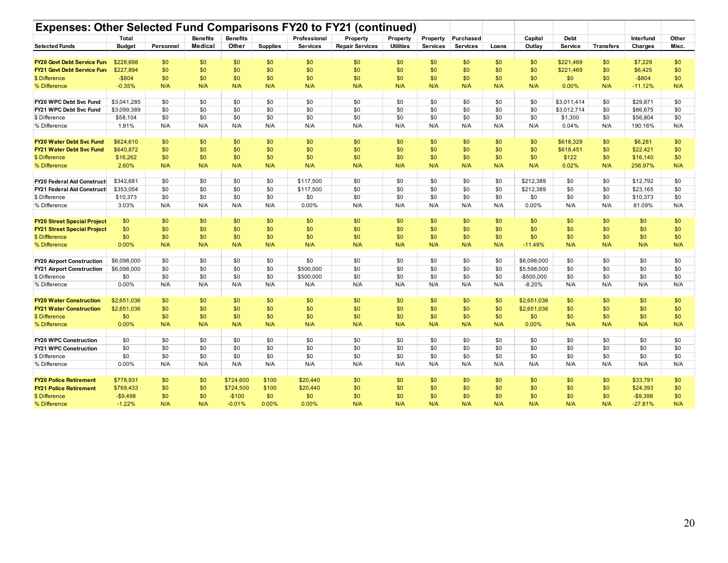| Professional<br>Property<br>Purchased<br>Capital<br>Other<br><b>Total</b><br>Property<br>Property<br><b>Debt</b><br>Interfund<br>Medical<br>Other<br><b>Repair Services</b><br><b>Selected Funds</b><br><b>Supplies</b><br><b>Services</b><br><b>Utilities</b><br><b>Services</b><br><b>Services</b><br>Loans<br>Outlay<br>Service<br><b>Transfers</b><br>Charges<br>Misc.<br><b>Budget</b><br>Personnel<br>\$228,698<br>\$0<br>\$0<br>\$0<br>\$0<br>\$0<br>\$0<br>\$0<br>\$0<br>\$0<br>\$0<br>\$0<br>\$221,469<br>\$0<br>\$7,229<br>\$0<br>FY20 Govt Debt Service Fun<br>\$227,894<br>\$0<br>\$0<br>\$0<br>\$221,469<br>\$0<br>\$0<br>\$0<br>\$0<br>\$0<br>\$0<br>\$0<br>\$0<br>\$0<br>\$0<br>\$6,425<br><b>FY21 Govt Debt Service Fun</b><br>$-$ \$804<br>\$ Difference<br>\$0<br>\$0<br>\$0<br>\$0<br>\$0<br>\$0<br>\$0<br>\$0<br>\$0<br>\$0<br>\$0<br>\$0<br>\$0<br>$-$804$<br>\$0<br>$-0.35%$<br>N/A<br>N/A<br>N/A<br>N/A<br>N/A<br>N/A<br>N/A<br>N/A<br>N/A<br>0.00%<br>$-11.12%$<br>N/A<br>% Difference<br>N/A<br>N/A<br>N/A<br>\$3,041,285<br>\$0<br>\$0<br>\$0<br>\$0<br>\$0<br>\$0<br>\$0<br>\$29,871<br>FY20 WPC Debt Svc Fund<br>\$0<br>\$0<br>\$0<br>\$0<br>\$0<br>\$3,011,414<br>\$0<br>\$0<br>\$0<br>\$0<br>\$0<br>\$0<br>\$0<br>\$0<br>\$0<br>FY21 WPC Debt Svc Fund<br>\$3,099,389<br>\$0<br>\$0<br>\$0<br>\$0<br>\$3,012,714<br>\$0<br>\$86,675<br>\$58,104<br>\$0<br>\$0<br>\$0<br>\$0<br>\$0<br>\$0<br>\$0<br>\$0<br>\$0<br>\$0<br>\$0<br>\$0<br>\$ Difference<br>\$1,300<br>\$0<br>\$56,804<br>N/A<br>N/A<br>N/A<br>N/A<br>N/A<br>N/A<br>N/A<br>1.91%<br>N/A<br>N/A<br>N/A<br>N/A<br>0.04%<br>N/A<br>190.16%<br>N/A<br>% Difference<br><b>FY20 Water Debt Svc Fund</b><br>\$624,610<br>\$0<br>\$0<br>\$0<br>\$0<br>\$0<br>\$0<br>\$0<br>\$0<br>\$0<br>\$0<br>\$0<br>\$618,329<br>\$0<br>\$6,281<br>\$0<br>\$0<br>\$0<br>FY21 Water Debt Svc Fund<br>\$640,872<br>\$0<br>\$0<br>\$0<br>\$0<br>\$0<br>\$0<br>\$0<br>\$0<br>\$0<br>\$618,451<br>\$0<br>\$22,421<br>\$0<br>\$0<br>\$0<br>\$16,262<br>\$0<br>\$0<br>\$0<br>\$0<br>\$0<br>\$0<br>\$0<br>\$0<br>\$0<br>\$122<br>\$0<br>\$16,140<br>\$0<br>\$ Difference<br>2.60%<br>N/A<br>N/A<br>0.02%<br>256.97%<br>% Difference<br>N/A<br>N/A<br>N/A<br>N/A<br>N/A<br>N/A<br>N/A<br>N/A<br>N/A<br>N/A<br>N/A<br>\$342,681<br>\$0<br>\$0<br>\$0<br>\$0<br>\$117,500<br>\$0<br>\$0<br>\$0<br>\$0<br>\$0<br>\$212,389<br>\$0<br>\$0<br>\$12,792<br>\$0<br>FY20 Federal Aid Constructi<br>\$353,054<br>\$0<br>\$0<br>\$0<br>\$0<br>\$117,500<br>\$0<br>\$0<br>\$0<br>\$0<br>\$0<br>\$212,389<br>\$0<br>\$0<br>\$23,165<br>\$0<br>FY21 Federal Aid Constructi<br>\$10,373<br>\$0<br>\$0<br>\$0<br>\$0<br>\$0<br>\$0<br>\$0<br>\$0<br>\$0<br>\$0<br>\$0<br>\$10,373<br>\$ Difference<br>\$0<br>\$0<br>\$0<br>$0.00\%$<br>3.03%<br>N/A<br>N/A<br>N/A<br>N/A<br>0.00%<br>N/A<br>N/A<br>N/A<br>N/A<br>N/A<br>N/A<br>81.09%<br>N/A<br>% Difference<br>N/A<br><b>FY20 Street Special Project</b><br>\$0<br>\$0<br>\$0<br>\$0<br>\$0<br>\$0<br>\$0<br>\$0<br>\$0<br>\$0<br>\$0<br>\$0<br>\$0<br>\$0<br>\$0<br>\$0<br>\$0<br><b>FY21 Street Special Project</b><br>\$0<br>\$0<br>\$0<br>\$0<br>\$0<br>\$0<br>\$0<br>\$0<br>\$0<br>\$0<br>\$0<br>\$0<br>\$0<br>\$0<br>\$0<br>\$0<br>\$0<br>\$0<br>\$0<br>\$0<br>\$0<br>\$0<br>\$0<br>\$0<br>\$0<br>\$0<br>\$0<br>\$0<br>\$0<br>\$0<br>\$0<br>\$ Diffference<br>0.00%<br>N/A<br>% Difference<br>N/A<br>N/A<br>N/A<br>N/A<br>N/A<br>N/A<br>N/A<br>N/A<br>N/A<br>$-11.49%$<br>N/A<br>N/A<br>N/A<br>N/A<br><b>FY20 Airport Construction</b><br>\$6,098,000<br>\$0<br>\$0<br>\$0<br>\$0<br>\$0<br>\$0<br>\$0<br>\$0<br>\$0<br>\$0<br>\$6,098,000<br>\$0<br>\$0<br>\$0<br>\$0<br>\$6,098,000<br>\$0<br>\$0<br>\$0<br>\$500,000<br>\$0<br>\$0<br>\$0<br>\$0<br>\$0<br>\$0<br>\$0<br><b>FY21 Airport Construction</b><br>\$0<br>\$5,598,000<br>\$0<br>\$0<br>\$0<br>\$0<br>\$0<br>\$0<br>\$0<br>\$500,000<br>\$0<br>\$0<br>\$0<br>\$0<br>\$0<br>\$0<br>\$0<br>\$0<br>\$0<br>\$ Difference<br>-\$500,000<br>0.00%<br>N/A<br>N/A<br>N/A<br>N/A<br>N/A<br>N/A<br>N/A<br>N/A<br>N/A<br>N/A<br>$-8.20%$<br>N/A<br>N/A<br>N/A<br>% Difference<br>N/A<br>\$0<br>\$2,651,036<br>\$0<br>\$0<br>\$0<br>\$0<br>\$0<br>\$0<br>\$0<br>\$0<br>\$0<br>\$2,651,036<br>\$0<br>\$0<br>\$0<br>\$0<br><b>FY20 Water Construction</b><br>\$0<br>\$2,651,036<br>\$0<br>\$0<br>\$0<br>\$0<br>\$0<br>\$0<br>\$0<br>\$0<br>\$0<br>\$2,651,036<br>\$0<br>\$0<br>\$0<br>\$0<br><b>FY21 Water Construction</b><br>\$0<br>\$0<br>\$0<br>\$0<br>\$0<br>\$0<br>\$0<br>\$0<br>\$0<br>\$0<br>\$0<br>\$0<br>\$0<br>\$0<br>\$0<br>\$0<br>\$ Difference<br>% Difference<br>0.00%<br>N/A<br>N/A<br>N/A<br>N/A<br>N/A<br>N/A<br>N/A<br>N/A<br>N/A<br>N/A<br>0.00%<br>N/A<br>N/A<br>N/A<br>N/A<br>\$0<br>\$0<br>\$0<br>\$0<br>\$0<br>\$0<br>\$0<br><b>FY20 WPC Construction</b><br>\$0<br>\$0<br>\$0<br>\$0<br>\$0<br>\$0<br>\$0<br>\$0<br>\$0<br>\$0<br>\$0<br>\$0<br>\$0<br>\$0<br>FY21 WPC Construction<br>\$0<br>\$0<br>\$0<br>\$0<br>\$0<br>\$0<br>\$0<br>\$0<br>\$0<br>\$0<br>\$0<br>\$0<br>\$0<br>\$0<br>\$0<br>\$0<br>\$0<br>\$0<br>\$0<br>\$0<br>\$0<br>\$0<br>\$0<br>\$0<br>\$0<br>\$0<br>\$0<br>\$ Difference<br>0.00%<br>N/A<br>N/A<br>N/A<br>N/A<br>N/A<br>N/A<br>N/A<br>N/A<br>N/A<br>N/A<br>N/A<br>N/A<br>N/A<br>N/A<br>% Difference<br>N/A<br>\$778,931<br>\$20,440<br><b>FY20 Police Retirement</b><br>\$0<br>\$0<br>\$724,600<br>\$100<br>\$0<br>\$0<br>\$0<br>\$0<br>\$0<br>\$0<br>\$0<br>\$0<br>\$33,791<br>\$0<br>\$769,433<br>\$0<br>\$24,393<br>\$0<br><b>FY21 Police Retirement</b><br>\$0<br>\$0<br>\$724,500<br>\$100<br>\$20,440<br>\$0<br>\$0<br>\$0<br>\$0<br>\$0<br>\$0<br>\$0<br>\$ Difference<br>$-$9,498$<br>\$0<br>\$0<br>$-$100$<br>\$0<br>\$0<br>\$0<br>\$0<br>\$0<br>\$0<br>\$0<br>\$0<br>\$0<br>\$0<br>$-$9,398$<br>\$0 | Expenses: Other Selected Fund Comparisons FY20 to FY21 (continued) |  |  |                 |                 |  |  |  |  |  |  |  |  |  |
|-------------------------------------------------------------------------------------------------------------------------------------------------------------------------------------------------------------------------------------------------------------------------------------------------------------------------------------------------------------------------------------------------------------------------------------------------------------------------------------------------------------------------------------------------------------------------------------------------------------------------------------------------------------------------------------------------------------------------------------------------------------------------------------------------------------------------------------------------------------------------------------------------------------------------------------------------------------------------------------------------------------------------------------------------------------------------------------------------------------------------------------------------------------------------------------------------------------------------------------------------------------------------------------------------------------------------------------------------------------------------------------------------------------------------------------------------------------------------------------------------------------------------------------------------------------------------------------------------------------------------------------------------------------------------------------------------------------------------------------------------------------------------------------------------------------------------------------------------------------------------------------------------------------------------------------------------------------------------------------------------------------------------------------------------------------------------------------------------------------------------------------------------------------------------------------------------------------------------------------------------------------------------------------------------------------------------------------------------------------------------------------------------------------------------------------------------------------------------------------------------------------------------------------------------------------------------------------------------------------------------------------------------------------------------------------------------------------------------------------------------------------------------------------------------------------------------------------------------------------------------------------------------------------------------------------------------------------------------------------------------------------------------------------------------------------------------------------------------------------------------------------------------------------------------------------------------------------------------------------------------------------------------------------------------------------------------------------------------------------------------------------------------------------------------------------------------------------------------------------------------------------------------------------------------------------------------------------------------------------------------------------------------------------------------------------------------------------------------------------------------------------------------------------------------------------------------------------------------------------------------------------------------------------------------------------------------------------------------------------------------------------------------------------------------------------------------------------------------------------------------------------------------------------------------------------------------------------------------------------------------------------------------------------------------------------------------------------------------------------------------------------------------------------------------------------------------------------------------------------------------------------------------------------------------------------------------------------------------------------------------------------------------------------------------------------------------------------------------------------------------------------------------------------------------------------------------------------------------------------------------------------------------------------------------------------------------------------------------------------------------------------------------------------------------------------------------------------------------------------------------------------------------------------------------------------------------------------------------------------------------------------------------------------------------------------------------------------------------------------------------------------------------------------------------------------------------------------------------------------------------------------------------------------------------------------------------------------------------------------------------------------------------------------------------------------------------------------------------------------------------------------------------------------------------------------------|--------------------------------------------------------------------|--|--|-----------------|-----------------|--|--|--|--|--|--|--|--|--|
|                                                                                                                                                                                                                                                                                                                                                                                                                                                                                                                                                                                                                                                                                                                                                                                                                                                                                                                                                                                                                                                                                                                                                                                                                                                                                                                                                                                                                                                                                                                                                                                                                                                                                                                                                                                                                                                                                                                                                                                                                                                                                                                                                                                                                                                                                                                                                                                                                                                                                                                                                                                                                                                                                                                                                                                                                                                                                                                                                                                                                                                                                                                                                                                                                                                                                                                                                                                                                                                                                                                                                                                                                                                                                                                                                                                                                                                                                                                                                                                                                                                                                                                                                                                                                                                                                                                                                                                                                                                                                                                                                                                                                                                                                                                                                                                                                                                                                                                                                                                                                                                                                                                                                                                                                                                                                                                                                                                                                                                                                                                                                                                                                                                                                                                                                                                                                   |                                                                    |  |  | <b>Benefits</b> | <b>Benefits</b> |  |  |  |  |  |  |  |  |  |
|                                                                                                                                                                                                                                                                                                                                                                                                                                                                                                                                                                                                                                                                                                                                                                                                                                                                                                                                                                                                                                                                                                                                                                                                                                                                                                                                                                                                                                                                                                                                                                                                                                                                                                                                                                                                                                                                                                                                                                                                                                                                                                                                                                                                                                                                                                                                                                                                                                                                                                                                                                                                                                                                                                                                                                                                                                                                                                                                                                                                                                                                                                                                                                                                                                                                                                                                                                                                                                                                                                                                                                                                                                                                                                                                                                                                                                                                                                                                                                                                                                                                                                                                                                                                                                                                                                                                                                                                                                                                                                                                                                                                                                                                                                                                                                                                                                                                                                                                                                                                                                                                                                                                                                                                                                                                                                                                                                                                                                                                                                                                                                                                                                                                                                                                                                                                                   |                                                                    |  |  |                 |                 |  |  |  |  |  |  |  |  |  |
|                                                                                                                                                                                                                                                                                                                                                                                                                                                                                                                                                                                                                                                                                                                                                                                                                                                                                                                                                                                                                                                                                                                                                                                                                                                                                                                                                                                                                                                                                                                                                                                                                                                                                                                                                                                                                                                                                                                                                                                                                                                                                                                                                                                                                                                                                                                                                                                                                                                                                                                                                                                                                                                                                                                                                                                                                                                                                                                                                                                                                                                                                                                                                                                                                                                                                                                                                                                                                                                                                                                                                                                                                                                                                                                                                                                                                                                                                                                                                                                                                                                                                                                                                                                                                                                                                                                                                                                                                                                                                                                                                                                                                                                                                                                                                                                                                                                                                                                                                                                                                                                                                                                                                                                                                                                                                                                                                                                                                                                                                                                                                                                                                                                                                                                                                                                                                   |                                                                    |  |  |                 |                 |  |  |  |  |  |  |  |  |  |
|                                                                                                                                                                                                                                                                                                                                                                                                                                                                                                                                                                                                                                                                                                                                                                                                                                                                                                                                                                                                                                                                                                                                                                                                                                                                                                                                                                                                                                                                                                                                                                                                                                                                                                                                                                                                                                                                                                                                                                                                                                                                                                                                                                                                                                                                                                                                                                                                                                                                                                                                                                                                                                                                                                                                                                                                                                                                                                                                                                                                                                                                                                                                                                                                                                                                                                                                                                                                                                                                                                                                                                                                                                                                                                                                                                                                                                                                                                                                                                                                                                                                                                                                                                                                                                                                                                                                                                                                                                                                                                                                                                                                                                                                                                                                                                                                                                                                                                                                                                                                                                                                                                                                                                                                                                                                                                                                                                                                                                                                                                                                                                                                                                                                                                                                                                                                                   |                                                                    |  |  |                 |                 |  |  |  |  |  |  |  |  |  |
|                                                                                                                                                                                                                                                                                                                                                                                                                                                                                                                                                                                                                                                                                                                                                                                                                                                                                                                                                                                                                                                                                                                                                                                                                                                                                                                                                                                                                                                                                                                                                                                                                                                                                                                                                                                                                                                                                                                                                                                                                                                                                                                                                                                                                                                                                                                                                                                                                                                                                                                                                                                                                                                                                                                                                                                                                                                                                                                                                                                                                                                                                                                                                                                                                                                                                                                                                                                                                                                                                                                                                                                                                                                                                                                                                                                                                                                                                                                                                                                                                                                                                                                                                                                                                                                                                                                                                                                                                                                                                                                                                                                                                                                                                                                                                                                                                                                                                                                                                                                                                                                                                                                                                                                                                                                                                                                                                                                                                                                                                                                                                                                                                                                                                                                                                                                                                   |                                                                    |  |  |                 |                 |  |  |  |  |  |  |  |  |  |
|                                                                                                                                                                                                                                                                                                                                                                                                                                                                                                                                                                                                                                                                                                                                                                                                                                                                                                                                                                                                                                                                                                                                                                                                                                                                                                                                                                                                                                                                                                                                                                                                                                                                                                                                                                                                                                                                                                                                                                                                                                                                                                                                                                                                                                                                                                                                                                                                                                                                                                                                                                                                                                                                                                                                                                                                                                                                                                                                                                                                                                                                                                                                                                                                                                                                                                                                                                                                                                                                                                                                                                                                                                                                                                                                                                                                                                                                                                                                                                                                                                                                                                                                                                                                                                                                                                                                                                                                                                                                                                                                                                                                                                                                                                                                                                                                                                                                                                                                                                                                                                                                                                                                                                                                                                                                                                                                                                                                                                                                                                                                                                                                                                                                                                                                                                                                                   |                                                                    |  |  |                 |                 |  |  |  |  |  |  |  |  |  |
|                                                                                                                                                                                                                                                                                                                                                                                                                                                                                                                                                                                                                                                                                                                                                                                                                                                                                                                                                                                                                                                                                                                                                                                                                                                                                                                                                                                                                                                                                                                                                                                                                                                                                                                                                                                                                                                                                                                                                                                                                                                                                                                                                                                                                                                                                                                                                                                                                                                                                                                                                                                                                                                                                                                                                                                                                                                                                                                                                                                                                                                                                                                                                                                                                                                                                                                                                                                                                                                                                                                                                                                                                                                                                                                                                                                                                                                                                                                                                                                                                                                                                                                                                                                                                                                                                                                                                                                                                                                                                                                                                                                                                                                                                                                                                                                                                                                                                                                                                                                                                                                                                                                                                                                                                                                                                                                                                                                                                                                                                                                                                                                                                                                                                                                                                                                                                   |                                                                    |  |  |                 |                 |  |  |  |  |  |  |  |  |  |
|                                                                                                                                                                                                                                                                                                                                                                                                                                                                                                                                                                                                                                                                                                                                                                                                                                                                                                                                                                                                                                                                                                                                                                                                                                                                                                                                                                                                                                                                                                                                                                                                                                                                                                                                                                                                                                                                                                                                                                                                                                                                                                                                                                                                                                                                                                                                                                                                                                                                                                                                                                                                                                                                                                                                                                                                                                                                                                                                                                                                                                                                                                                                                                                                                                                                                                                                                                                                                                                                                                                                                                                                                                                                                                                                                                                                                                                                                                                                                                                                                                                                                                                                                                                                                                                                                                                                                                                                                                                                                                                                                                                                                                                                                                                                                                                                                                                                                                                                                                                                                                                                                                                                                                                                                                                                                                                                                                                                                                                                                                                                                                                                                                                                                                                                                                                                                   |                                                                    |  |  |                 |                 |  |  |  |  |  |  |  |  |  |
|                                                                                                                                                                                                                                                                                                                                                                                                                                                                                                                                                                                                                                                                                                                                                                                                                                                                                                                                                                                                                                                                                                                                                                                                                                                                                                                                                                                                                                                                                                                                                                                                                                                                                                                                                                                                                                                                                                                                                                                                                                                                                                                                                                                                                                                                                                                                                                                                                                                                                                                                                                                                                                                                                                                                                                                                                                                                                                                                                                                                                                                                                                                                                                                                                                                                                                                                                                                                                                                                                                                                                                                                                                                                                                                                                                                                                                                                                                                                                                                                                                                                                                                                                                                                                                                                                                                                                                                                                                                                                                                                                                                                                                                                                                                                                                                                                                                                                                                                                                                                                                                                                                                                                                                                                                                                                                                                                                                                                                                                                                                                                                                                                                                                                                                                                                                                                   |                                                                    |  |  |                 |                 |  |  |  |  |  |  |  |  |  |
|                                                                                                                                                                                                                                                                                                                                                                                                                                                                                                                                                                                                                                                                                                                                                                                                                                                                                                                                                                                                                                                                                                                                                                                                                                                                                                                                                                                                                                                                                                                                                                                                                                                                                                                                                                                                                                                                                                                                                                                                                                                                                                                                                                                                                                                                                                                                                                                                                                                                                                                                                                                                                                                                                                                                                                                                                                                                                                                                                                                                                                                                                                                                                                                                                                                                                                                                                                                                                                                                                                                                                                                                                                                                                                                                                                                                                                                                                                                                                                                                                                                                                                                                                                                                                                                                                                                                                                                                                                                                                                                                                                                                                                                                                                                                                                                                                                                                                                                                                                                                                                                                                                                                                                                                                                                                                                                                                                                                                                                                                                                                                                                                                                                                                                                                                                                                                   |                                                                    |  |  |                 |                 |  |  |  |  |  |  |  |  |  |
|                                                                                                                                                                                                                                                                                                                                                                                                                                                                                                                                                                                                                                                                                                                                                                                                                                                                                                                                                                                                                                                                                                                                                                                                                                                                                                                                                                                                                                                                                                                                                                                                                                                                                                                                                                                                                                                                                                                                                                                                                                                                                                                                                                                                                                                                                                                                                                                                                                                                                                                                                                                                                                                                                                                                                                                                                                                                                                                                                                                                                                                                                                                                                                                                                                                                                                                                                                                                                                                                                                                                                                                                                                                                                                                                                                                                                                                                                                                                                                                                                                                                                                                                                                                                                                                                                                                                                                                                                                                                                                                                                                                                                                                                                                                                                                                                                                                                                                                                                                                                                                                                                                                                                                                                                                                                                                                                                                                                                                                                                                                                                                                                                                                                                                                                                                                                                   |                                                                    |  |  |                 |                 |  |  |  |  |  |  |  |  |  |
|                                                                                                                                                                                                                                                                                                                                                                                                                                                                                                                                                                                                                                                                                                                                                                                                                                                                                                                                                                                                                                                                                                                                                                                                                                                                                                                                                                                                                                                                                                                                                                                                                                                                                                                                                                                                                                                                                                                                                                                                                                                                                                                                                                                                                                                                                                                                                                                                                                                                                                                                                                                                                                                                                                                                                                                                                                                                                                                                                                                                                                                                                                                                                                                                                                                                                                                                                                                                                                                                                                                                                                                                                                                                                                                                                                                                                                                                                                                                                                                                                                                                                                                                                                                                                                                                                                                                                                                                                                                                                                                                                                                                                                                                                                                                                                                                                                                                                                                                                                                                                                                                                                                                                                                                                                                                                                                                                                                                                                                                                                                                                                                                                                                                                                                                                                                                                   |                                                                    |  |  |                 |                 |  |  |  |  |  |  |  |  |  |
|                                                                                                                                                                                                                                                                                                                                                                                                                                                                                                                                                                                                                                                                                                                                                                                                                                                                                                                                                                                                                                                                                                                                                                                                                                                                                                                                                                                                                                                                                                                                                                                                                                                                                                                                                                                                                                                                                                                                                                                                                                                                                                                                                                                                                                                                                                                                                                                                                                                                                                                                                                                                                                                                                                                                                                                                                                                                                                                                                                                                                                                                                                                                                                                                                                                                                                                                                                                                                                                                                                                                                                                                                                                                                                                                                                                                                                                                                                                                                                                                                                                                                                                                                                                                                                                                                                                                                                                                                                                                                                                                                                                                                                                                                                                                                                                                                                                                                                                                                                                                                                                                                                                                                                                                                                                                                                                                                                                                                                                                                                                                                                                                                                                                                                                                                                                                                   |                                                                    |  |  |                 |                 |  |  |  |  |  |  |  |  |  |
|                                                                                                                                                                                                                                                                                                                                                                                                                                                                                                                                                                                                                                                                                                                                                                                                                                                                                                                                                                                                                                                                                                                                                                                                                                                                                                                                                                                                                                                                                                                                                                                                                                                                                                                                                                                                                                                                                                                                                                                                                                                                                                                                                                                                                                                                                                                                                                                                                                                                                                                                                                                                                                                                                                                                                                                                                                                                                                                                                                                                                                                                                                                                                                                                                                                                                                                                                                                                                                                                                                                                                                                                                                                                                                                                                                                                                                                                                                                                                                                                                                                                                                                                                                                                                                                                                                                                                                                                                                                                                                                                                                                                                                                                                                                                                                                                                                                                                                                                                                                                                                                                                                                                                                                                                                                                                                                                                                                                                                                                                                                                                                                                                                                                                                                                                                                                                   |                                                                    |  |  |                 |                 |  |  |  |  |  |  |  |  |  |
|                                                                                                                                                                                                                                                                                                                                                                                                                                                                                                                                                                                                                                                                                                                                                                                                                                                                                                                                                                                                                                                                                                                                                                                                                                                                                                                                                                                                                                                                                                                                                                                                                                                                                                                                                                                                                                                                                                                                                                                                                                                                                                                                                                                                                                                                                                                                                                                                                                                                                                                                                                                                                                                                                                                                                                                                                                                                                                                                                                                                                                                                                                                                                                                                                                                                                                                                                                                                                                                                                                                                                                                                                                                                                                                                                                                                                                                                                                                                                                                                                                                                                                                                                                                                                                                                                                                                                                                                                                                                                                                                                                                                                                                                                                                                                                                                                                                                                                                                                                                                                                                                                                                                                                                                                                                                                                                                                                                                                                                                                                                                                                                                                                                                                                                                                                                                                   |                                                                    |  |  |                 |                 |  |  |  |  |  |  |  |  |  |
|                                                                                                                                                                                                                                                                                                                                                                                                                                                                                                                                                                                                                                                                                                                                                                                                                                                                                                                                                                                                                                                                                                                                                                                                                                                                                                                                                                                                                                                                                                                                                                                                                                                                                                                                                                                                                                                                                                                                                                                                                                                                                                                                                                                                                                                                                                                                                                                                                                                                                                                                                                                                                                                                                                                                                                                                                                                                                                                                                                                                                                                                                                                                                                                                                                                                                                                                                                                                                                                                                                                                                                                                                                                                                                                                                                                                                                                                                                                                                                                                                                                                                                                                                                                                                                                                                                                                                                                                                                                                                                                                                                                                                                                                                                                                                                                                                                                                                                                                                                                                                                                                                                                                                                                                                                                                                                                                                                                                                                                                                                                                                                                                                                                                                                                                                                                                                   |                                                                    |  |  |                 |                 |  |  |  |  |  |  |  |  |  |
|                                                                                                                                                                                                                                                                                                                                                                                                                                                                                                                                                                                                                                                                                                                                                                                                                                                                                                                                                                                                                                                                                                                                                                                                                                                                                                                                                                                                                                                                                                                                                                                                                                                                                                                                                                                                                                                                                                                                                                                                                                                                                                                                                                                                                                                                                                                                                                                                                                                                                                                                                                                                                                                                                                                                                                                                                                                                                                                                                                                                                                                                                                                                                                                                                                                                                                                                                                                                                                                                                                                                                                                                                                                                                                                                                                                                                                                                                                                                                                                                                                                                                                                                                                                                                                                                                                                                                                                                                                                                                                                                                                                                                                                                                                                                                                                                                                                                                                                                                                                                                                                                                                                                                                                                                                                                                                                                                                                                                                                                                                                                                                                                                                                                                                                                                                                                                   |                                                                    |  |  |                 |                 |  |  |  |  |  |  |  |  |  |
|                                                                                                                                                                                                                                                                                                                                                                                                                                                                                                                                                                                                                                                                                                                                                                                                                                                                                                                                                                                                                                                                                                                                                                                                                                                                                                                                                                                                                                                                                                                                                                                                                                                                                                                                                                                                                                                                                                                                                                                                                                                                                                                                                                                                                                                                                                                                                                                                                                                                                                                                                                                                                                                                                                                                                                                                                                                                                                                                                                                                                                                                                                                                                                                                                                                                                                                                                                                                                                                                                                                                                                                                                                                                                                                                                                                                                                                                                                                                                                                                                                                                                                                                                                                                                                                                                                                                                                                                                                                                                                                                                                                                                                                                                                                                                                                                                                                                                                                                                                                                                                                                                                                                                                                                                                                                                                                                                                                                                                                                                                                                                                                                                                                                                                                                                                                                                   |                                                                    |  |  |                 |                 |  |  |  |  |  |  |  |  |  |
|                                                                                                                                                                                                                                                                                                                                                                                                                                                                                                                                                                                                                                                                                                                                                                                                                                                                                                                                                                                                                                                                                                                                                                                                                                                                                                                                                                                                                                                                                                                                                                                                                                                                                                                                                                                                                                                                                                                                                                                                                                                                                                                                                                                                                                                                                                                                                                                                                                                                                                                                                                                                                                                                                                                                                                                                                                                                                                                                                                                                                                                                                                                                                                                                                                                                                                                                                                                                                                                                                                                                                                                                                                                                                                                                                                                                                                                                                                                                                                                                                                                                                                                                                                                                                                                                                                                                                                                                                                                                                                                                                                                                                                                                                                                                                                                                                                                                                                                                                                                                                                                                                                                                                                                                                                                                                                                                                                                                                                                                                                                                                                                                                                                                                                                                                                                                                   |                                                                    |  |  |                 |                 |  |  |  |  |  |  |  |  |  |
|                                                                                                                                                                                                                                                                                                                                                                                                                                                                                                                                                                                                                                                                                                                                                                                                                                                                                                                                                                                                                                                                                                                                                                                                                                                                                                                                                                                                                                                                                                                                                                                                                                                                                                                                                                                                                                                                                                                                                                                                                                                                                                                                                                                                                                                                                                                                                                                                                                                                                                                                                                                                                                                                                                                                                                                                                                                                                                                                                                                                                                                                                                                                                                                                                                                                                                                                                                                                                                                                                                                                                                                                                                                                                                                                                                                                                                                                                                                                                                                                                                                                                                                                                                                                                                                                                                                                                                                                                                                                                                                                                                                                                                                                                                                                                                                                                                                                                                                                                                                                                                                                                                                                                                                                                                                                                                                                                                                                                                                                                                                                                                                                                                                                                                                                                                                                                   |                                                                    |  |  |                 |                 |  |  |  |  |  |  |  |  |  |
|                                                                                                                                                                                                                                                                                                                                                                                                                                                                                                                                                                                                                                                                                                                                                                                                                                                                                                                                                                                                                                                                                                                                                                                                                                                                                                                                                                                                                                                                                                                                                                                                                                                                                                                                                                                                                                                                                                                                                                                                                                                                                                                                                                                                                                                                                                                                                                                                                                                                                                                                                                                                                                                                                                                                                                                                                                                                                                                                                                                                                                                                                                                                                                                                                                                                                                                                                                                                                                                                                                                                                                                                                                                                                                                                                                                                                                                                                                                                                                                                                                                                                                                                                                                                                                                                                                                                                                                                                                                                                                                                                                                                                                                                                                                                                                                                                                                                                                                                                                                                                                                                                                                                                                                                                                                                                                                                                                                                                                                                                                                                                                                                                                                                                                                                                                                                                   |                                                                    |  |  |                 |                 |  |  |  |  |  |  |  |  |  |
|                                                                                                                                                                                                                                                                                                                                                                                                                                                                                                                                                                                                                                                                                                                                                                                                                                                                                                                                                                                                                                                                                                                                                                                                                                                                                                                                                                                                                                                                                                                                                                                                                                                                                                                                                                                                                                                                                                                                                                                                                                                                                                                                                                                                                                                                                                                                                                                                                                                                                                                                                                                                                                                                                                                                                                                                                                                                                                                                                                                                                                                                                                                                                                                                                                                                                                                                                                                                                                                                                                                                                                                                                                                                                                                                                                                                                                                                                                                                                                                                                                                                                                                                                                                                                                                                                                                                                                                                                                                                                                                                                                                                                                                                                                                                                                                                                                                                                                                                                                                                                                                                                                                                                                                                                                                                                                                                                                                                                                                                                                                                                                                                                                                                                                                                                                                                                   |                                                                    |  |  |                 |                 |  |  |  |  |  |  |  |  |  |
|                                                                                                                                                                                                                                                                                                                                                                                                                                                                                                                                                                                                                                                                                                                                                                                                                                                                                                                                                                                                                                                                                                                                                                                                                                                                                                                                                                                                                                                                                                                                                                                                                                                                                                                                                                                                                                                                                                                                                                                                                                                                                                                                                                                                                                                                                                                                                                                                                                                                                                                                                                                                                                                                                                                                                                                                                                                                                                                                                                                                                                                                                                                                                                                                                                                                                                                                                                                                                                                                                                                                                                                                                                                                                                                                                                                                                                                                                                                                                                                                                                                                                                                                                                                                                                                                                                                                                                                                                                                                                                                                                                                                                                                                                                                                                                                                                                                                                                                                                                                                                                                                                                                                                                                                                                                                                                                                                                                                                                                                                                                                                                                                                                                                                                                                                                                                                   |                                                                    |  |  |                 |                 |  |  |  |  |  |  |  |  |  |
|                                                                                                                                                                                                                                                                                                                                                                                                                                                                                                                                                                                                                                                                                                                                                                                                                                                                                                                                                                                                                                                                                                                                                                                                                                                                                                                                                                                                                                                                                                                                                                                                                                                                                                                                                                                                                                                                                                                                                                                                                                                                                                                                                                                                                                                                                                                                                                                                                                                                                                                                                                                                                                                                                                                                                                                                                                                                                                                                                                                                                                                                                                                                                                                                                                                                                                                                                                                                                                                                                                                                                                                                                                                                                                                                                                                                                                                                                                                                                                                                                                                                                                                                                                                                                                                                                                                                                                                                                                                                                                                                                                                                                                                                                                                                                                                                                                                                                                                                                                                                                                                                                                                                                                                                                                                                                                                                                                                                                                                                                                                                                                                                                                                                                                                                                                                                                   |                                                                    |  |  |                 |                 |  |  |  |  |  |  |  |  |  |
|                                                                                                                                                                                                                                                                                                                                                                                                                                                                                                                                                                                                                                                                                                                                                                                                                                                                                                                                                                                                                                                                                                                                                                                                                                                                                                                                                                                                                                                                                                                                                                                                                                                                                                                                                                                                                                                                                                                                                                                                                                                                                                                                                                                                                                                                                                                                                                                                                                                                                                                                                                                                                                                                                                                                                                                                                                                                                                                                                                                                                                                                                                                                                                                                                                                                                                                                                                                                                                                                                                                                                                                                                                                                                                                                                                                                                                                                                                                                                                                                                                                                                                                                                                                                                                                                                                                                                                                                                                                                                                                                                                                                                                                                                                                                                                                                                                                                                                                                                                                                                                                                                                                                                                                                                                                                                                                                                                                                                                                                                                                                                                                                                                                                                                                                                                                                                   |                                                                    |  |  |                 |                 |  |  |  |  |  |  |  |  |  |
|                                                                                                                                                                                                                                                                                                                                                                                                                                                                                                                                                                                                                                                                                                                                                                                                                                                                                                                                                                                                                                                                                                                                                                                                                                                                                                                                                                                                                                                                                                                                                                                                                                                                                                                                                                                                                                                                                                                                                                                                                                                                                                                                                                                                                                                                                                                                                                                                                                                                                                                                                                                                                                                                                                                                                                                                                                                                                                                                                                                                                                                                                                                                                                                                                                                                                                                                                                                                                                                                                                                                                                                                                                                                                                                                                                                                                                                                                                                                                                                                                                                                                                                                                                                                                                                                                                                                                                                                                                                                                                                                                                                                                                                                                                                                                                                                                                                                                                                                                                                                                                                                                                                                                                                                                                                                                                                                                                                                                                                                                                                                                                                                                                                                                                                                                                                                                   |                                                                    |  |  |                 |                 |  |  |  |  |  |  |  |  |  |
|                                                                                                                                                                                                                                                                                                                                                                                                                                                                                                                                                                                                                                                                                                                                                                                                                                                                                                                                                                                                                                                                                                                                                                                                                                                                                                                                                                                                                                                                                                                                                                                                                                                                                                                                                                                                                                                                                                                                                                                                                                                                                                                                                                                                                                                                                                                                                                                                                                                                                                                                                                                                                                                                                                                                                                                                                                                                                                                                                                                                                                                                                                                                                                                                                                                                                                                                                                                                                                                                                                                                                                                                                                                                                                                                                                                                                                                                                                                                                                                                                                                                                                                                                                                                                                                                                                                                                                                                                                                                                                                                                                                                                                                                                                                                                                                                                                                                                                                                                                                                                                                                                                                                                                                                                                                                                                                                                                                                                                                                                                                                                                                                                                                                                                                                                                                                                   |                                                                    |  |  |                 |                 |  |  |  |  |  |  |  |  |  |
|                                                                                                                                                                                                                                                                                                                                                                                                                                                                                                                                                                                                                                                                                                                                                                                                                                                                                                                                                                                                                                                                                                                                                                                                                                                                                                                                                                                                                                                                                                                                                                                                                                                                                                                                                                                                                                                                                                                                                                                                                                                                                                                                                                                                                                                                                                                                                                                                                                                                                                                                                                                                                                                                                                                                                                                                                                                                                                                                                                                                                                                                                                                                                                                                                                                                                                                                                                                                                                                                                                                                                                                                                                                                                                                                                                                                                                                                                                                                                                                                                                                                                                                                                                                                                                                                                                                                                                                                                                                                                                                                                                                                                                                                                                                                                                                                                                                                                                                                                                                                                                                                                                                                                                                                                                                                                                                                                                                                                                                                                                                                                                                                                                                                                                                                                                                                                   |                                                                    |  |  |                 |                 |  |  |  |  |  |  |  |  |  |
|                                                                                                                                                                                                                                                                                                                                                                                                                                                                                                                                                                                                                                                                                                                                                                                                                                                                                                                                                                                                                                                                                                                                                                                                                                                                                                                                                                                                                                                                                                                                                                                                                                                                                                                                                                                                                                                                                                                                                                                                                                                                                                                                                                                                                                                                                                                                                                                                                                                                                                                                                                                                                                                                                                                                                                                                                                                                                                                                                                                                                                                                                                                                                                                                                                                                                                                                                                                                                                                                                                                                                                                                                                                                                                                                                                                                                                                                                                                                                                                                                                                                                                                                                                                                                                                                                                                                                                                                                                                                                                                                                                                                                                                                                                                                                                                                                                                                                                                                                                                                                                                                                                                                                                                                                                                                                                                                                                                                                                                                                                                                                                                                                                                                                                                                                                                                                   |                                                                    |  |  |                 |                 |  |  |  |  |  |  |  |  |  |
|                                                                                                                                                                                                                                                                                                                                                                                                                                                                                                                                                                                                                                                                                                                                                                                                                                                                                                                                                                                                                                                                                                                                                                                                                                                                                                                                                                                                                                                                                                                                                                                                                                                                                                                                                                                                                                                                                                                                                                                                                                                                                                                                                                                                                                                                                                                                                                                                                                                                                                                                                                                                                                                                                                                                                                                                                                                                                                                                                                                                                                                                                                                                                                                                                                                                                                                                                                                                                                                                                                                                                                                                                                                                                                                                                                                                                                                                                                                                                                                                                                                                                                                                                                                                                                                                                                                                                                                                                                                                                                                                                                                                                                                                                                                                                                                                                                                                                                                                                                                                                                                                                                                                                                                                                                                                                                                                                                                                                                                                                                                                                                                                                                                                                                                                                                                                                   |                                                                    |  |  |                 |                 |  |  |  |  |  |  |  |  |  |
|                                                                                                                                                                                                                                                                                                                                                                                                                                                                                                                                                                                                                                                                                                                                                                                                                                                                                                                                                                                                                                                                                                                                                                                                                                                                                                                                                                                                                                                                                                                                                                                                                                                                                                                                                                                                                                                                                                                                                                                                                                                                                                                                                                                                                                                                                                                                                                                                                                                                                                                                                                                                                                                                                                                                                                                                                                                                                                                                                                                                                                                                                                                                                                                                                                                                                                                                                                                                                                                                                                                                                                                                                                                                                                                                                                                                                                                                                                                                                                                                                                                                                                                                                                                                                                                                                                                                                                                                                                                                                                                                                                                                                                                                                                                                                                                                                                                                                                                                                                                                                                                                                                                                                                                                                                                                                                                                                                                                                                                                                                                                                                                                                                                                                                                                                                                                                   |                                                                    |  |  |                 |                 |  |  |  |  |  |  |  |  |  |
|                                                                                                                                                                                                                                                                                                                                                                                                                                                                                                                                                                                                                                                                                                                                                                                                                                                                                                                                                                                                                                                                                                                                                                                                                                                                                                                                                                                                                                                                                                                                                                                                                                                                                                                                                                                                                                                                                                                                                                                                                                                                                                                                                                                                                                                                                                                                                                                                                                                                                                                                                                                                                                                                                                                                                                                                                                                                                                                                                                                                                                                                                                                                                                                                                                                                                                                                                                                                                                                                                                                                                                                                                                                                                                                                                                                                                                                                                                                                                                                                                                                                                                                                                                                                                                                                                                                                                                                                                                                                                                                                                                                                                                                                                                                                                                                                                                                                                                                                                                                                                                                                                                                                                                                                                                                                                                                                                                                                                                                                                                                                                                                                                                                                                                                                                                                                                   |                                                                    |  |  |                 |                 |  |  |  |  |  |  |  |  |  |
|                                                                                                                                                                                                                                                                                                                                                                                                                                                                                                                                                                                                                                                                                                                                                                                                                                                                                                                                                                                                                                                                                                                                                                                                                                                                                                                                                                                                                                                                                                                                                                                                                                                                                                                                                                                                                                                                                                                                                                                                                                                                                                                                                                                                                                                                                                                                                                                                                                                                                                                                                                                                                                                                                                                                                                                                                                                                                                                                                                                                                                                                                                                                                                                                                                                                                                                                                                                                                                                                                                                                                                                                                                                                                                                                                                                                                                                                                                                                                                                                                                                                                                                                                                                                                                                                                                                                                                                                                                                                                                                                                                                                                                                                                                                                                                                                                                                                                                                                                                                                                                                                                                                                                                                                                                                                                                                                                                                                                                                                                                                                                                                                                                                                                                                                                                                                                   |                                                                    |  |  |                 |                 |  |  |  |  |  |  |  |  |  |
|                                                                                                                                                                                                                                                                                                                                                                                                                                                                                                                                                                                                                                                                                                                                                                                                                                                                                                                                                                                                                                                                                                                                                                                                                                                                                                                                                                                                                                                                                                                                                                                                                                                                                                                                                                                                                                                                                                                                                                                                                                                                                                                                                                                                                                                                                                                                                                                                                                                                                                                                                                                                                                                                                                                                                                                                                                                                                                                                                                                                                                                                                                                                                                                                                                                                                                                                                                                                                                                                                                                                                                                                                                                                                                                                                                                                                                                                                                                                                                                                                                                                                                                                                                                                                                                                                                                                                                                                                                                                                                                                                                                                                                                                                                                                                                                                                                                                                                                                                                                                                                                                                                                                                                                                                                                                                                                                                                                                                                                                                                                                                                                                                                                                                                                                                                                                                   |                                                                    |  |  |                 |                 |  |  |  |  |  |  |  |  |  |
|                                                                                                                                                                                                                                                                                                                                                                                                                                                                                                                                                                                                                                                                                                                                                                                                                                                                                                                                                                                                                                                                                                                                                                                                                                                                                                                                                                                                                                                                                                                                                                                                                                                                                                                                                                                                                                                                                                                                                                                                                                                                                                                                                                                                                                                                                                                                                                                                                                                                                                                                                                                                                                                                                                                                                                                                                                                                                                                                                                                                                                                                                                                                                                                                                                                                                                                                                                                                                                                                                                                                                                                                                                                                                                                                                                                                                                                                                                                                                                                                                                                                                                                                                                                                                                                                                                                                                                                                                                                                                                                                                                                                                                                                                                                                                                                                                                                                                                                                                                                                                                                                                                                                                                                                                                                                                                                                                                                                                                                                                                                                                                                                                                                                                                                                                                                                                   |                                                                    |  |  |                 |                 |  |  |  |  |  |  |  |  |  |
|                                                                                                                                                                                                                                                                                                                                                                                                                                                                                                                                                                                                                                                                                                                                                                                                                                                                                                                                                                                                                                                                                                                                                                                                                                                                                                                                                                                                                                                                                                                                                                                                                                                                                                                                                                                                                                                                                                                                                                                                                                                                                                                                                                                                                                                                                                                                                                                                                                                                                                                                                                                                                                                                                                                                                                                                                                                                                                                                                                                                                                                                                                                                                                                                                                                                                                                                                                                                                                                                                                                                                                                                                                                                                                                                                                                                                                                                                                                                                                                                                                                                                                                                                                                                                                                                                                                                                                                                                                                                                                                                                                                                                                                                                                                                                                                                                                                                                                                                                                                                                                                                                                                                                                                                                                                                                                                                                                                                                                                                                                                                                                                                                                                                                                                                                                                                                   |                                                                    |  |  |                 |                 |  |  |  |  |  |  |  |  |  |
|                                                                                                                                                                                                                                                                                                                                                                                                                                                                                                                                                                                                                                                                                                                                                                                                                                                                                                                                                                                                                                                                                                                                                                                                                                                                                                                                                                                                                                                                                                                                                                                                                                                                                                                                                                                                                                                                                                                                                                                                                                                                                                                                                                                                                                                                                                                                                                                                                                                                                                                                                                                                                                                                                                                                                                                                                                                                                                                                                                                                                                                                                                                                                                                                                                                                                                                                                                                                                                                                                                                                                                                                                                                                                                                                                                                                                                                                                                                                                                                                                                                                                                                                                                                                                                                                                                                                                                                                                                                                                                                                                                                                                                                                                                                                                                                                                                                                                                                                                                                                                                                                                                                                                                                                                                                                                                                                                                                                                                                                                                                                                                                                                                                                                                                                                                                                                   |                                                                    |  |  |                 |                 |  |  |  |  |  |  |  |  |  |
|                                                                                                                                                                                                                                                                                                                                                                                                                                                                                                                                                                                                                                                                                                                                                                                                                                                                                                                                                                                                                                                                                                                                                                                                                                                                                                                                                                                                                                                                                                                                                                                                                                                                                                                                                                                                                                                                                                                                                                                                                                                                                                                                                                                                                                                                                                                                                                                                                                                                                                                                                                                                                                                                                                                                                                                                                                                                                                                                                                                                                                                                                                                                                                                                                                                                                                                                                                                                                                                                                                                                                                                                                                                                                                                                                                                                                                                                                                                                                                                                                                                                                                                                                                                                                                                                                                                                                                                                                                                                                                                                                                                                                                                                                                                                                                                                                                                                                                                                                                                                                                                                                                                                                                                                                                                                                                                                                                                                                                                                                                                                                                                                                                                                                                                                                                                                                   |                                                                    |  |  |                 |                 |  |  |  |  |  |  |  |  |  |
|                                                                                                                                                                                                                                                                                                                                                                                                                                                                                                                                                                                                                                                                                                                                                                                                                                                                                                                                                                                                                                                                                                                                                                                                                                                                                                                                                                                                                                                                                                                                                                                                                                                                                                                                                                                                                                                                                                                                                                                                                                                                                                                                                                                                                                                                                                                                                                                                                                                                                                                                                                                                                                                                                                                                                                                                                                                                                                                                                                                                                                                                                                                                                                                                                                                                                                                                                                                                                                                                                                                                                                                                                                                                                                                                                                                                                                                                                                                                                                                                                                                                                                                                                                                                                                                                                                                                                                                                                                                                                                                                                                                                                                                                                                                                                                                                                                                                                                                                                                                                                                                                                                                                                                                                                                                                                                                                                                                                                                                                                                                                                                                                                                                                                                                                                                                                                   |                                                                    |  |  |                 |                 |  |  |  |  |  |  |  |  |  |
|                                                                                                                                                                                                                                                                                                                                                                                                                                                                                                                                                                                                                                                                                                                                                                                                                                                                                                                                                                                                                                                                                                                                                                                                                                                                                                                                                                                                                                                                                                                                                                                                                                                                                                                                                                                                                                                                                                                                                                                                                                                                                                                                                                                                                                                                                                                                                                                                                                                                                                                                                                                                                                                                                                                                                                                                                                                                                                                                                                                                                                                                                                                                                                                                                                                                                                                                                                                                                                                                                                                                                                                                                                                                                                                                                                                                                                                                                                                                                                                                                                                                                                                                                                                                                                                                                                                                                                                                                                                                                                                                                                                                                                                                                                                                                                                                                                                                                                                                                                                                                                                                                                                                                                                                                                                                                                                                                                                                                                                                                                                                                                                                                                                                                                                                                                                                                   |                                                                    |  |  |                 |                 |  |  |  |  |  |  |  |  |  |
|                                                                                                                                                                                                                                                                                                                                                                                                                                                                                                                                                                                                                                                                                                                                                                                                                                                                                                                                                                                                                                                                                                                                                                                                                                                                                                                                                                                                                                                                                                                                                                                                                                                                                                                                                                                                                                                                                                                                                                                                                                                                                                                                                                                                                                                                                                                                                                                                                                                                                                                                                                                                                                                                                                                                                                                                                                                                                                                                                                                                                                                                                                                                                                                                                                                                                                                                                                                                                                                                                                                                                                                                                                                                                                                                                                                                                                                                                                                                                                                                                                                                                                                                                                                                                                                                                                                                                                                                                                                                                                                                                                                                                                                                                                                                                                                                                                                                                                                                                                                                                                                                                                                                                                                                                                                                                                                                                                                                                                                                                                                                                                                                                                                                                                                                                                                                                   |                                                                    |  |  |                 |                 |  |  |  |  |  |  |  |  |  |
|                                                                                                                                                                                                                                                                                                                                                                                                                                                                                                                                                                                                                                                                                                                                                                                                                                                                                                                                                                                                                                                                                                                                                                                                                                                                                                                                                                                                                                                                                                                                                                                                                                                                                                                                                                                                                                                                                                                                                                                                                                                                                                                                                                                                                                                                                                                                                                                                                                                                                                                                                                                                                                                                                                                                                                                                                                                                                                                                                                                                                                                                                                                                                                                                                                                                                                                                                                                                                                                                                                                                                                                                                                                                                                                                                                                                                                                                                                                                                                                                                                                                                                                                                                                                                                                                                                                                                                                                                                                                                                                                                                                                                                                                                                                                                                                                                                                                                                                                                                                                                                                                                                                                                                                                                                                                                                                                                                                                                                                                                                                                                                                                                                                                                                                                                                                                                   |                                                                    |  |  |                 |                 |  |  |  |  |  |  |  |  |  |
|                                                                                                                                                                                                                                                                                                                                                                                                                                                                                                                                                                                                                                                                                                                                                                                                                                                                                                                                                                                                                                                                                                                                                                                                                                                                                                                                                                                                                                                                                                                                                                                                                                                                                                                                                                                                                                                                                                                                                                                                                                                                                                                                                                                                                                                                                                                                                                                                                                                                                                                                                                                                                                                                                                                                                                                                                                                                                                                                                                                                                                                                                                                                                                                                                                                                                                                                                                                                                                                                                                                                                                                                                                                                                                                                                                                                                                                                                                                                                                                                                                                                                                                                                                                                                                                                                                                                                                                                                                                                                                                                                                                                                                                                                                                                                                                                                                                                                                                                                                                                                                                                                                                                                                                                                                                                                                                                                                                                                                                                                                                                                                                                                                                                                                                                                                                                                   |                                                                    |  |  |                 |                 |  |  |  |  |  |  |  |  |  |
|                                                                                                                                                                                                                                                                                                                                                                                                                                                                                                                                                                                                                                                                                                                                                                                                                                                                                                                                                                                                                                                                                                                                                                                                                                                                                                                                                                                                                                                                                                                                                                                                                                                                                                                                                                                                                                                                                                                                                                                                                                                                                                                                                                                                                                                                                                                                                                                                                                                                                                                                                                                                                                                                                                                                                                                                                                                                                                                                                                                                                                                                                                                                                                                                                                                                                                                                                                                                                                                                                                                                                                                                                                                                                                                                                                                                                                                                                                                                                                                                                                                                                                                                                                                                                                                                                                                                                                                                                                                                                                                                                                                                                                                                                                                                                                                                                                                                                                                                                                                                                                                                                                                                                                                                                                                                                                                                                                                                                                                                                                                                                                                                                                                                                                                                                                                                                   |                                                                    |  |  |                 |                 |  |  |  |  |  |  |  |  |  |
|                                                                                                                                                                                                                                                                                                                                                                                                                                                                                                                                                                                                                                                                                                                                                                                                                                                                                                                                                                                                                                                                                                                                                                                                                                                                                                                                                                                                                                                                                                                                                                                                                                                                                                                                                                                                                                                                                                                                                                                                                                                                                                                                                                                                                                                                                                                                                                                                                                                                                                                                                                                                                                                                                                                                                                                                                                                                                                                                                                                                                                                                                                                                                                                                                                                                                                                                                                                                                                                                                                                                                                                                                                                                                                                                                                                                                                                                                                                                                                                                                                                                                                                                                                                                                                                                                                                                                                                                                                                                                                                                                                                                                                                                                                                                                                                                                                                                                                                                                                                                                                                                                                                                                                                                                                                                                                                                                                                                                                                                                                                                                                                                                                                                                                                                                                                                                   |                                                                    |  |  |                 |                 |  |  |  |  |  |  |  |  |  |
|                                                                                                                                                                                                                                                                                                                                                                                                                                                                                                                                                                                                                                                                                                                                                                                                                                                                                                                                                                                                                                                                                                                                                                                                                                                                                                                                                                                                                                                                                                                                                                                                                                                                                                                                                                                                                                                                                                                                                                                                                                                                                                                                                                                                                                                                                                                                                                                                                                                                                                                                                                                                                                                                                                                                                                                                                                                                                                                                                                                                                                                                                                                                                                                                                                                                                                                                                                                                                                                                                                                                                                                                                                                                                                                                                                                                                                                                                                                                                                                                                                                                                                                                                                                                                                                                                                                                                                                                                                                                                                                                                                                                                                                                                                                                                                                                                                                                                                                                                                                                                                                                                                                                                                                                                                                                                                                                                                                                                                                                                                                                                                                                                                                                                                                                                                                                                   |                                                                    |  |  |                 |                 |  |  |  |  |  |  |  |  |  |
| % Difference<br>$-1.22%$<br>N/A<br>N/A<br>$-0.01%$<br>0.00%<br>0.00%<br>N/A<br>N/A<br>N/A<br>N/A<br>$-27.81%$<br>N/A<br>N/A<br>N/A<br>N/A<br>N/A                                                                                                                                                                                                                                                                                                                                                                                                                                                                                                                                                                                                                                                                                                                                                                                                                                                                                                                                                                                                                                                                                                                                                                                                                                                                                                                                                                                                                                                                                                                                                                                                                                                                                                                                                                                                                                                                                                                                                                                                                                                                                                                                                                                                                                                                                                                                                                                                                                                                                                                                                                                                                                                                                                                                                                                                                                                                                                                                                                                                                                                                                                                                                                                                                                                                                                                                                                                                                                                                                                                                                                                                                                                                                                                                                                                                                                                                                                                                                                                                                                                                                                                                                                                                                                                                                                                                                                                                                                                                                                                                                                                                                                                                                                                                                                                                                                                                                                                                                                                                                                                                                                                                                                                                                                                                                                                                                                                                                                                                                                                                                                                                                                                                  |                                                                    |  |  |                 |                 |  |  |  |  |  |  |  |  |  |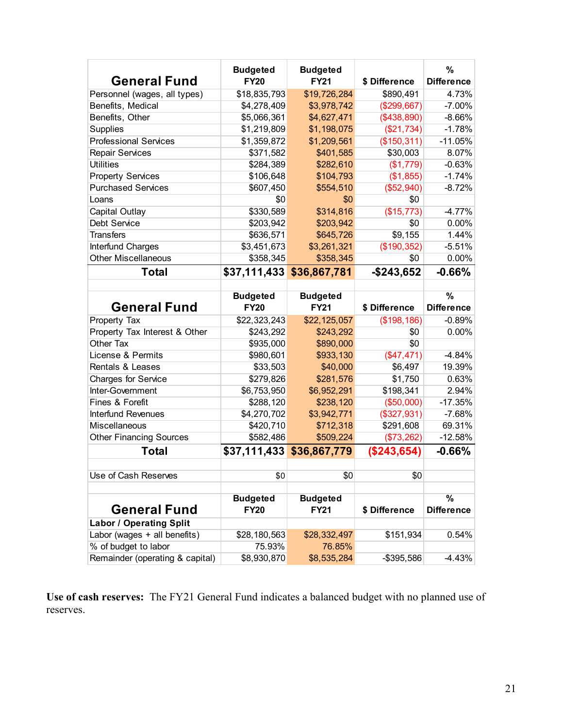|                                 | <b>Budgeted</b> | <b>Budgeted</b> |               | %                 |
|---------------------------------|-----------------|-----------------|---------------|-------------------|
| <b>General Fund</b>             | <b>FY20</b>     | <b>FY21</b>     | \$ Difference | <b>Difference</b> |
| Personnel (wages, all types)    | \$18,835,793    | \$19,726,284    | \$890,491     | 4.73%             |
| Benefits, Medical               | \$4,278,409     | \$3,978,742     | (\$299,667)   | $-7.00%$          |
| Benefits, Other                 | \$5,066,361     | \$4,627,471     | (\$438,890)   | $-8.66%$          |
| Supplies                        | \$1,219,809     | \$1,198,075     | (\$21,734)    | $-1.78%$          |
| <b>Professional Services</b>    | \$1,359,872     | \$1,209,561     | (\$150,311)   | $-11.05%$         |
| <b>Repair Services</b>          | \$371,582       | \$401,585       | \$30,003      | 8.07%             |
| <b>Utilities</b>                | \$284,389       | \$282,610       | (\$1,779)     | $-0.63%$          |
| <b>Property Services</b>        | \$106,648       | \$104,793       | (\$1,855)     | $-1.74%$          |
| <b>Purchased Services</b>       | \$607,450       | \$554,510       | (\$52,940)    | $-8.72%$          |
| Loans                           | \$0             | \$0             | \$0           |                   |
| Capital Outlay                  | \$330,589       | \$314,816       | (\$15,773)    | $-4.77%$          |
| <b>Debt Service</b>             | \$203,942       | \$203,942       | \$0           | 0.00%             |
| <b>Transfers</b>                | \$636,571       | \$645,726       | \$9,155       | 1.44%             |
| Interfund Charges               | \$3,451,673     | \$3,261,321     | (\$190,352)   | $-5.51%$          |
| <b>Other Miscellaneous</b>      | \$358,345       | \$358,345       | \$0           | $0.00\%$          |
| <b>Total</b>                    |                 |                 | $-$ \$243,652 | $-0.66%$          |
|                                 |                 |                 |               |                   |
|                                 | <b>Budgeted</b> | <b>Budgeted</b> |               | $\%$              |
| <b>General Fund</b>             | <b>FY20</b>     | <b>FY21</b>     | \$ Difference | <b>Difference</b> |
| Property Tax                    | \$22,323,243    | \$22,125,057    | (\$198, 186)  | $-0.89%$          |
| Property Tax Interest & Other   | \$243,292       | \$243,292       | \$0           | 0.00%             |
| Other Tax                       | \$935,000       | \$890,000       | \$0           |                   |
| License & Permits               | \$980,601       | \$933,130       | (\$47,471)    | $-4.84%$          |
| <b>Rentals &amp; Leases</b>     | \$33,503        | \$40,000        | \$6,497       | 19.39%            |
| <b>Charges for Service</b>      | \$279,826       | \$281,576       | \$1,750       | 0.63%             |
| Inter-Government                | \$6,753,950     | \$6,952,291     | \$198,341     | 2.94%             |
| Fines & Forefit                 | \$288,120       | \$238,120       | (\$50,000)    | $-17.35%$         |
| Interfund Revenues              | \$4,270,702     | \$3,942,771     | (\$327,931)   | $-7.68%$          |
| <b>Miscellaneous</b>            | \$420,710       | \$712,318       | \$291,608     | 69.31%            |
| <b>Other Financing Sources</b>  | \$582,486       | \$509,224       | (\$73,262)    | $-12.58%$         |
| Total                           | \$37,111,433    | \$36,867,779    | (\$243,654)   | $-0.66\%$         |
|                                 |                 |                 |               |                   |
| Use of Cash Reserves            | \$0             | \$0             | \$0           |                   |
|                                 |                 |                 |               |                   |
|                                 | <b>Budgeted</b> | <b>Budgeted</b> |               | $\frac{9}{6}$     |
| <b>General Fund</b>             | <b>FY20</b>     | <b>FY21</b>     | \$ Difference | <b>Difference</b> |
| <b>Labor / Operating Split</b>  |                 |                 |               |                   |
| Labor (wages + all benefits)    | \$28,180,563    | \$28,332,497    | \$151,934     | 0.54%             |
| % of budget to labor            | 75.93%          | 76.85%          |               |                   |
| Remainder (operating & capital) | \$8,930,870     | \$8,535,284     | $-$ \$395,586 | $-4.43%$          |

**Use of cash reserves:** The FY21 General Fund indicates a balanced budget with no planned use of reserves.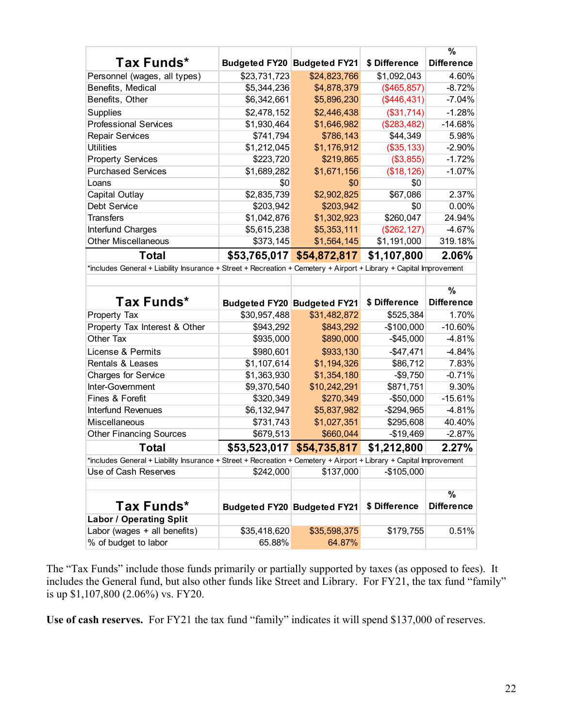|                                                                                                                    |                                    |                                    |               | $\frac{9}{6}$                                                                                                                             |
|--------------------------------------------------------------------------------------------------------------------|------------------------------------|------------------------------------|---------------|-------------------------------------------------------------------------------------------------------------------------------------------|
| Tax Funds*                                                                                                         | <b>Budgeted FY20 Budgeted FY21</b> |                                    | \$ Difference | <b>Difference</b>                                                                                                                         |
| Personnel (wages, all types)                                                                                       | \$23,731,723                       | \$24,823,766                       | \$1,092,043   | 4.60%                                                                                                                                     |
| Benefits, Medical                                                                                                  | \$5,344,236                        | \$4,878,379                        | (\$465, 857)  | $-8.72%$                                                                                                                                  |
| Benefits, Other                                                                                                    | \$6,342,661                        | \$5,896,230                        | (\$446,431)   | $-7.04%$                                                                                                                                  |
| <b>Supplies</b>                                                                                                    | \$2,478,152                        | \$2,446,438                        | (\$31,714)    | $-1.28%$                                                                                                                                  |
| <b>Professional Services</b>                                                                                       | \$1,930,464                        | \$1,646,982                        | (\$283,482)   | $-14.68%$                                                                                                                                 |
| <b>Repair Services</b>                                                                                             | \$741,794                          | \$786,143                          | \$44,349      | 5.98%                                                                                                                                     |
| <b>Utilities</b>                                                                                                   | \$1,212,045                        | \$1,176,912                        | (\$35, 133)   | $-2.90%$                                                                                                                                  |
| <b>Property Services</b>                                                                                           | \$223,720                          | \$219,865                          | (\$3,855)     | $-1.72%$                                                                                                                                  |
| <b>Purchased Services</b>                                                                                          | \$1,689,282                        | \$1,671,156                        | (\$18, 126)   | $-1.07%$                                                                                                                                  |
| Loans                                                                                                              | \$0                                | \$0                                | \$0           |                                                                                                                                           |
| Capital Outlay                                                                                                     | \$2,835,739                        | \$2,902,825                        | \$67,086      | 2.37%                                                                                                                                     |
| Debt Service                                                                                                       | \$203,942                          | \$203,942                          | \$0           | $0.00\%$                                                                                                                                  |
| <b>Transfers</b>                                                                                                   | \$1,042,876                        | \$1,302,923                        | \$260,047     | 24.94%                                                                                                                                    |
| Interfund Charges                                                                                                  | \$5,615,238                        | \$5,353,111                        | (\$262, 127)  | $-4.67%$                                                                                                                                  |
| <b>Other Miscellaneous</b>                                                                                         | \$373,145                          | \$1,564,145                        | \$1,191,000   | 319.18%                                                                                                                                   |
| <b>Total</b>                                                                                                       |                                    | \$53,765,017 \$54,872,817          | \$1,107,800   | 2.06%                                                                                                                                     |
| *includes General + Liability Insurance + Street + Recreation + Cemetery + Airport + Library + Capital Improvement |                                    |                                    |               |                                                                                                                                           |
|                                                                                                                    |                                    |                                    |               |                                                                                                                                           |
|                                                                                                                    |                                    |                                    |               |                                                                                                                                           |
|                                                                                                                    |                                    |                                    |               | $\frac{9}{6}$                                                                                                                             |
| Tax Funds*                                                                                                         |                                    | <b>Budgeted FY20 Budgeted FY21</b> | \$ Difference | <b>Difference</b>                                                                                                                         |
| Property Tax                                                                                                       | \$30,957,488                       | \$31,482,872                       | \$525,384     |                                                                                                                                           |
| Property Tax Interest & Other                                                                                      | \$943,292                          | \$843,292                          | $-$100,000$   |                                                                                                                                           |
| Other Tax                                                                                                          | \$935,000                          | \$890,000                          | $-$45,000$    |                                                                                                                                           |
| License & Permits                                                                                                  | \$980,601                          | \$933,130                          | $-$47,471$    |                                                                                                                                           |
| <b>Rentals &amp; Leases</b>                                                                                        | \$1,107,614                        | \$1,194,326                        | \$86,712      |                                                                                                                                           |
| Charges for Service                                                                                                | \$1,363,930                        | \$1,354,180                        | $-$9,750$     |                                                                                                                                           |
| Inter-Government                                                                                                   | \$9,370,540                        | \$10,242,291                       | \$871,751     |                                                                                                                                           |
| Fines & Forefit                                                                                                    | \$320,349                          | \$270,349                          | $-$50,000$    |                                                                                                                                           |
| <b>Interfund Revenues</b>                                                                                          | \$6,132,947                        | \$5,837,982                        | $-$294,965$   |                                                                                                                                           |
| Miscellaneous                                                                                                      | \$731,743                          | \$1,027,351                        | \$295,608     |                                                                                                                                           |
| <b>Other Financing Sources</b>                                                                                     | \$679,513                          | \$660,044                          | $-$19,469$    |                                                                                                                                           |
| Total                                                                                                              | \$53,523,017                       | \$54,735,817                       | \$1,212,800   |                                                                                                                                           |
| *includes General + Liability Insurance + Street + Recreation + Cemetery + Airport + Library + Capital Improvement |                                    |                                    |               |                                                                                                                                           |
| Use of Cash Reserves                                                                                               | \$242,000                          | \$137,000                          | $-$105,000$   |                                                                                                                                           |
|                                                                                                                    |                                    |                                    |               |                                                                                                                                           |
|                                                                                                                    |                                    |                                    |               | %                                                                                                                                         |
| Tax Funds*                                                                                                         | Budgeted FY20 Budgeted FY21        |                                    | \$ Difference | <b>Difference</b>                                                                                                                         |
| <b>Labor / Operating Split</b>                                                                                     |                                    |                                    |               |                                                                                                                                           |
| Labor (wages + all benefits)<br>% of budget to labor                                                               | \$35,418,620<br>65.88%             | \$35,598,375<br>64.87%             | \$179,755     | 1.70%<br>$-10.60%$<br>$-4.81%$<br>$-4.84%$<br>7.83%<br>$-0.71%$<br>9.30%<br>$-15.61%$<br>$-4.81%$<br>40.40%<br>$-2.87%$<br>2.27%<br>0.51% |

The "Tax Funds" include those funds primarily or partially supported by taxes (as opposed to fees). It includes the General fund, but also other funds like Street and Library. For FY21, the tax fund "family" is up \$1,107,800 (2.06%) vs. FY20.

**Use of cash reserves.** For FY21 the tax fund "family" indicates it will spend \$137,000 of reserves.